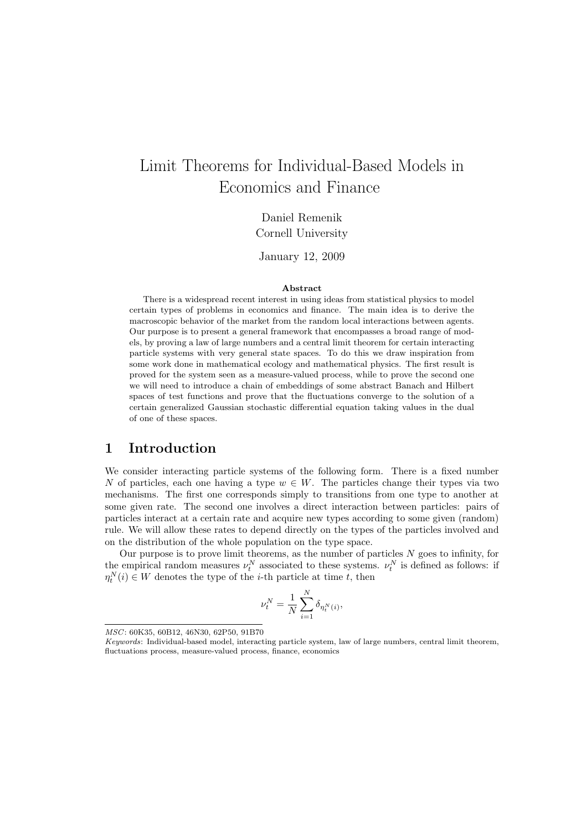# Limit Theorems for Individual-Based Models in Economics and Finance

Daniel Remenik Cornell University

January 12, 2009

#### Abstract

There is a widespread recent interest in using ideas from statistical physics to model certain types of problems in economics and finance. The main idea is to derive the macroscopic behavior of the market from the random local interactions between agents. Our purpose is to present a general framework that encompasses a broad range of models, by proving a law of large numbers and a central limit theorem for certain interacting particle systems with very general state spaces. To do this we draw inspiration from some work done in mathematical ecology and mathematical physics. The first result is proved for the system seen as a measure-valued process, while to prove the second one we will need to introduce a chain of embeddings of some abstract Banach and Hilbert spaces of test functions and prove that the fluctuations converge to the solution of a certain generalized Gaussian stochastic differential equation taking values in the dual of one of these spaces.

## <span id="page-0-0"></span>1 Introduction

We consider interacting particle systems of the following form. There is a fixed number N of particles, each one having a type  $w \in W$ . The particles change their types via two mechanisms. The first one corresponds simply to transitions from one type to another at some given rate. The second one involves a direct interaction between particles: pairs of particles interact at a certain rate and acquire new types according to some given (random) rule. We will allow these rates to depend directly on the types of the particles involved and on the distribution of the whole population on the type space.

Our purpose is to prove limit theorems, as the number of particles  $N$  goes to infinity, for the empirical random measures  $\nu_t^N$  associated to these systems.  $\nu_t^N$  is defined as follows: if  $\eta_t^N(i) \in W$  denotes the type of the *i*-th particle at time *t*, then

$$
\nu_t^N = \frac{1}{N} \sum_{i=1}^N \delta_{\eta_t^N(i)},
$$

MSC: 60K35, 60B12, 46N30, 62P50, 91B70

Keywords: Individual-based model, interacting particle system, law of large numbers, central limit theorem, fluctuations process, measure-valued process, finance, economics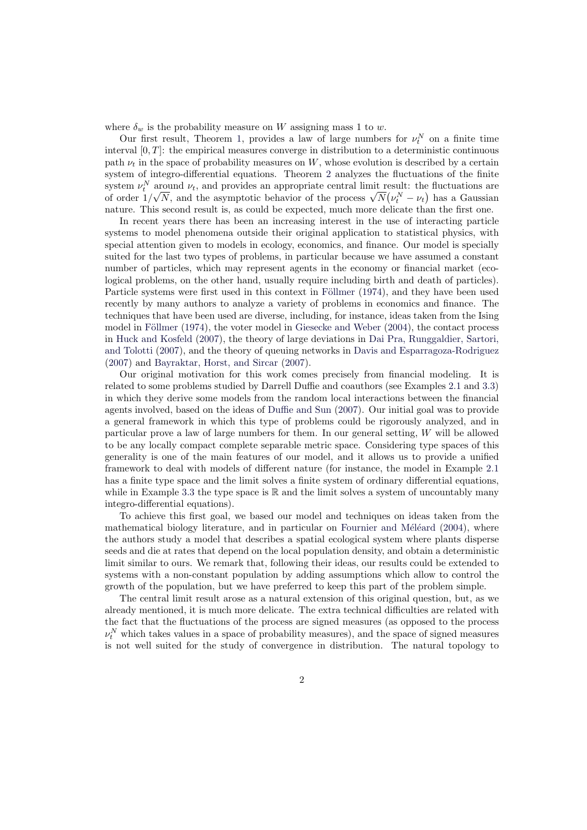where  $\delta_w$  is the probability measure on W assigning mass 1 to w.

Our first result, Theorem 1, provides a law of large numbers for  $\nu_t^N$  on a finite time interval  $[0, T]$ : the empirical measures converge in distribution to a deterministic continuous path  $\nu_t$  in the space of probability measures on W, whose evolution is described by a certain system of integro-differential equations. Theorem 2 analyzes the fluctuations of the finite system  $\nu_t^N$  around  $\nu_t$ , and pro[vi](#page-5-0)des an appropriate central limit result: the fluctuations are system  $\nu_i$  around  $\nu_t$ , and provides an appropriate central limit result: the fluctuations are<br>of order  $1/\sqrt{N}$ , and the asymptotic behavior of the process  $\sqrt{N}(\nu_i^N - \nu_t)$  has a Gaussian nature. This second result is, as could be expected, much more delicate than the first one.

In recent years there has been an increasing i[nte](#page-12-0)rest in the use of interacting particle systems to model phenomena outside their original application to statistical physics, with special attention given to models in ecology, economics, and finance. Our model is specially suited for the last two types of problems, in particular because we have assumed a constant number of particles, which may represent agents in the economy or financial market (ecological problems, on the other hand, usually require including birth and death of particles). Particle systems were first used in this context in Föllmer (1974), and they have been used recently by many authors to analyze a variety of problems in economics and finance. The techniques that have been used are diverse, including, for instance, ideas taken from the Ising model in Föllmer  $(1974)$ , the voter model in Giesecke and Weber  $(2004)$ , the contact process in Huck and Kosfeld (2007), the theory of large d[eviations](#page-36-0) in [Dai](#page-36-0) Pra, Runggaldier, Sartori, and Tolotti (2007), and the theory of queuing networks in Davis and Esparragoza-Rodriguez (2007) and Bayraktar, Horst, and Sircar (2007).

Our [original motiva](#page-36-0)tion for this work [comes precisely from finan](#page-36-1)cial modeling. It is re[lated to some problems st](#page-36-2)udied by Darrell Duffie and coaut[hors \(see Examples](#page-36-3) 2.1 and 3.3) [in which th](#page-36-3)e[y der](#page-36-3)ive some models from the random local [interactions between the financial](#page-36-4) [agents](#page-36-4) invo[lved, based on the ideas of](#page-35-0) Du[ffie an](#page-35-0)d Sun (2007). Our initial goal was to provide a general framework in which this type of problems could be rigorously analyzed, and in particular prove a law of large numbers for them. In our general setting, W wil[l be](#page-2-0) all[owed](#page-6-0) to be any locally compact complete separable metric space. Considering type spaces of this generality is one of the main feature[s of our model, and i](#page-36-5)t allows us to provide a unified framework to deal with models of different nature (for instance, the model in Example 2.1 has a finite type space and the limit solves a finite system of ordinary differential equations, while in Example 3.3 the type space is  $\mathbb R$  and the limit solves a system of uncountably many integro-differential equations).

To achieve this first goal, we based our model and techniques on ideas taken from [the](#page-2-0) mathematical biology literature, and in particular on Fournier and Méléard  $(2004)$ , where the authors stud[y a m](#page-6-0)odel that describes a spatial ecological system where plants disperse seeds and die at rates that depend on the local population density, and obtain a deterministic limit similar to ours. We remark that, following their ideas, our results could be extended to systems with a non-constant population by adding as[sumptions which allow](#page-36-6) [to con](#page-36-6)trol the growth of the population, but we have preferred to keep this part of the problem simple.

The central limit result arose as a natural extension of this original question, but, as we already mentioned, it is much more delicate. The extra technical difficulties are related with the fact that the fluctuations of the process are signed measures (as opposed to the process  $\nu_t^N$  which takes values in a space of probability measures), and the space of signed measures is not well suited for the study of convergence in distribution. The natural topology to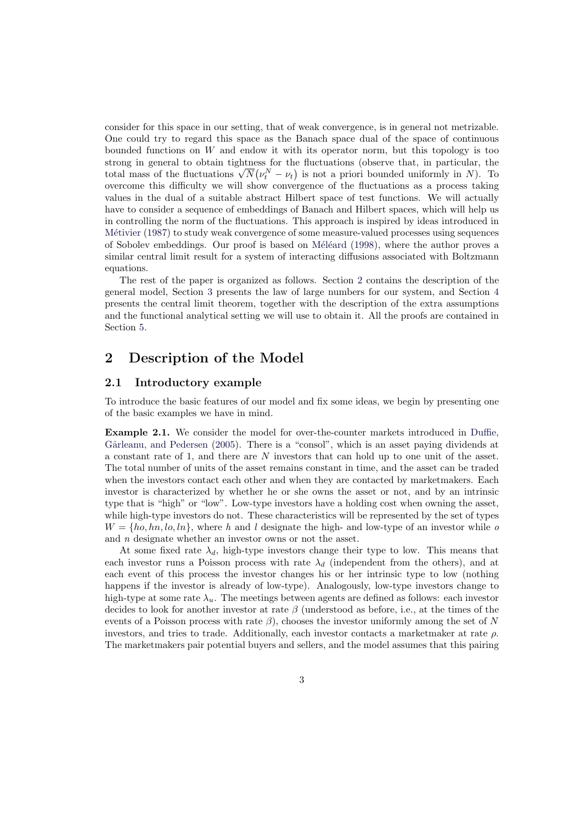consider for this space in our setting, that of weak convergence, is in general not metrizable. One could try to regard this space as the Banach space dual of the space of continuous bounded functions on  $W$  and endow it with its operator norm, but this topology is too strong in general to obtain tightness for the fluctuations (observe that, in particular, the strong in general to obtain tightness for the fluctuations (observe that, in particular, the total mass of the fluctuations  $\sqrt{N}(v_t^N - v_t)$  is not a priori bounded uniformly in N). To overcome this difficulty we will show convergence of the fluctuations as a process taking values in the dual of a suitable abstract Hilbert space of test functions. We will actually have to consider a sequence of embeddings of Banach and Hilbert spaces, which will help us in controlling the norm of the fluctuations. This approach is inspired by ideas introduced in Métivier (1987) to study weak convergence of some measure-valued processes using sequences of Sobolev embeddings. Our proof is based on Méléard (1998), where the author proves a similar central limit result for a system of interacting diffusions associated with Boltzmann equations.

[The rest of](#page-37-0) the paper is organized as follows. Section 2 contains the description of the general model, Section 3 presents the law of l[arge numbers fo](#page-37-1)r our system, and Section 4 presents the central limit theorem, together with the description of the extra assumptions and the functional analytical setting we will use to obtain it. All the proofs are contained in Section 5.

# 2 Description of the Model

### 2.1 [In](#page-20-0)troductory example

To introduce the basic features of our model and fix some ideas, we begin by presenting one of the basic examples we have in mind.

<span id="page-2-0"></span>Example 2.1. We consider the model for over-the-counter markets introduced in Duffie, Gârleanu, and Pedersen (2005). There is a "consol", which is an asset paying dividends at a constant rate of 1, and there are N investors that can hold up to one unit of the asset. The total number of units of the asset remains constant in time, and the asset can be traded when the investors contact each other and when they are contacted by marketmaker[s. Each](#page-36-7) [investor is characterized by w](#page-36-7)hether he or she owns the asset or not, and by an intrinsic type that is "high" or "low". Low-type investors have a holding cost when owning the asset, while high-type investors do not. These characteristics will be represented by the set of types  $W = \{ho, hn, lo, ln\},\$  where h and l designate the high- and low-type of an investor while o and n designate whether an investor owns or not the asset.

At some fixed rate  $\lambda_d$ , high-type investors change their type to low. This means that each investor runs a Poisson process with rate  $\lambda_d$  (independent from the others), and at each event of this process the investor changes his or her intrinsic type to low (nothing happens if the investor is already of low-type). Analogously, low-type investors change to high-type at some rate  $\lambda_u$ . The meetings between agents are defined as follows: each investor decides to look for another investor at rate  $\beta$  (understood as before, i.e., at the times of the events of a Poisson process with rate  $\beta$ ), chooses the investor uniformly among the set of N investors, and tries to trade. Additionally, each investor contacts a marketmaker at rate  $\rho$ . The marketmakers pair potential buyers and sellers, and the model assumes that this pairing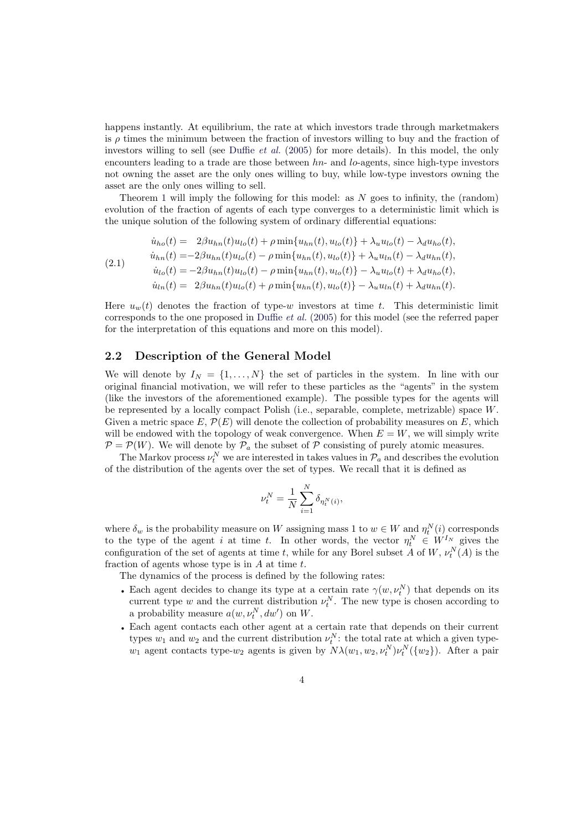happens instantly. At equilibrium, the rate at which investors trade through marketmakers is  $\rho$  times the minimum between the fraction of investors willing to buy and the fraction of investors willing to sell (see Duffie *et al.* (2005) for more details). In this model, the only encounters leading to a trade are those between  $hn-$  and lo-agents, since high-type investors not owning the asset are the only ones willing to buy, while low-type investors owning the asset are the only ones willing to sell.

Theorem 1 will imply th[e following fo](#page-36-7)r [this](#page-36-7) model: as  $N$  goes to infinity, the (random) evolution of the fraction of agents of each type converges to a deterministic limit which is the unique solution of the following system of ordinary differential equations:

(2.1)  
\n
$$
\dot{u}_{ho}(t) = 2\beta u_{hn}(t)u_{lo}(t) + \rho \min\{u_{hn}(t), u_{lo}(t)\} + \lambda_u u_{lo}(t) - \lambda_d u_{ho}(t),
$$
\n
$$
\dot{u}_{hn}(t) = -2\beta u_{hn}(t)u_{lo}(t) - \rho \min\{u_{hn}(t), u_{lo}(t)\} + \lambda_u u_{ln}(t) - \lambda_d u_{hn}(t),
$$
\n
$$
\dot{u}_{lo}(t) = -2\beta u_{hn}(t)u_{lo}(t) - \rho \min\{u_{hn}(t), u_{lo}(t)\} - \lambda_u u_{lo}(t) + \lambda_d u_{ho}(t),
$$
\n
$$
\dot{u}_{ln}(t) = 2\beta u_{hn}(t)u_{lo}(t) + \rho \min\{u_{hn}(t), u_{lo}(t)\} - \lambda_u u_{ln}(t) + \lambda_d u_{hn}(t).
$$

<span id="page-3-0"></span>Here  $u_w(t)$  denotes the fraction of type-w investors at time t. This deterministic limit corresponds to the one proposed in Duffie et al. (2005) for this model (see the referred paper for the interpretation of this equations and more on this model).

### 2.2 Description of the General Model

We will denote by  $I_N = \{1, \ldots, N\}$  [the set o](#page-36-7)f [parti](#page-36-7)cles in the system. In line with our original financial motivation, we will refer to these particles as the "agents" in the system (like the investors of the aforementioned example). The possible types for the agents will be represented by a locally compact Polish (i.e., separable, complete, metrizable) space W. Given a metric space  $E, \mathcal{P}(E)$  will denote the collection of probability measures on E, which will be endowed with the topology of weak convergence. When  $E = W$ , we will simply write  $\mathcal{P} = \mathcal{P}(W)$ . We will denote by  $\mathcal{P}_a$  the subset of  $\mathcal P$  consisting of purely atomic measures.

The Markov process  $\nu_t^N$  we are interested in takes values in  $\mathcal{P}_a$  and describes the evolution of the distribution of the agents over the set of types. We recall that it is defined as

$$
\nu_t^N = \frac{1}{N} \sum_{i=1}^N \delta_{\eta_t^N(i)},
$$

where  $\delta_w$  is the probability measure on W assigning mass 1 to  $w \in W$  and  $\eta_t^N(i)$  corresponds to the type of the agent i at time t. In other words, the vector  $\eta_t^N \in W^{I_N}$  gives the configuration of the set of agents at time t, while for any Borel subset A of W,  $\nu_t^N(A)$  is the fraction of agents whose type is in  $A$  at time  $t$ .

The dynamics of the process is defined by the following rates:

- Each agent decides to change its type at a certain rate  $\gamma(w, \nu_t^N)$  that depends on its current type w and the current distribution  $\nu_t^N$ . The new type is chosen according to a probability measure  $a(w, \nu_t^N, dw')$  on W.
- Each agent contacts each other agent at a certain rate that depends on their current types  $w_1$  and  $w_2$  and the current distribution  $\nu_t^N$ : the total rate at which a given type $w_1$  agent contacts type- $w_2$  agents is given by  $N\lambda(w_1, w_2, \nu_t^N)\nu_t^N(\{w_2\})$ . After a pair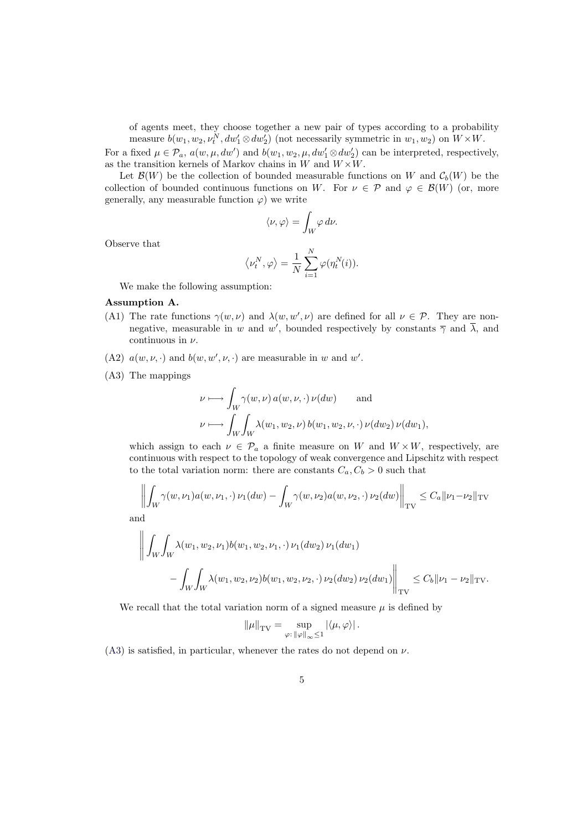of agents meet, they choose together a new pair of types according to a probability measure  $b(w_1, w_2, \nu_t^N, dw_1' \otimes dw_2')$  (not necessarily symmetric in  $w_1, w_2$ ) on  $W \times W$ .

For a fixed  $\mu \in \mathcal{P}_a$ ,  $a(w, \mu, dw')$  and  $b(w_1, w_2, \mu, dw'_1 \otimes dw'_2)$  can be interpreted, respectively, as the transition kernels of Markov chains in  $W$  and  $W \times W$ .

Let  $\mathcal{B}(W)$  be the collection of bounded measurable functions on W and  $\mathcal{C}_b(W)$  be the collection of bounded continuous functions on W. For  $\nu \in \mathcal{P}$  and  $\varphi \in \mathcal{B}(W)$  (or, more generally, any measurable function  $\varphi$ ) we write

$$
\langle \nu, \varphi \rangle = \int_W \varphi \, d\nu.
$$

Observe that

$$
\left<\nu_t^N,\varphi\right> = \frac{1}{N}\sum_{i=1}^N \varphi(\eta_t^N(i)).
$$

We make the following assumption:

#### Assumption A.

- (A1) The rate functions  $\gamma(w,\nu)$  and  $\lambda(w,w',\nu)$  are defined for all  $\nu \in \mathcal{P}$ . They are nonnegative, measurable in w and w', bounded respectively by constants  $\overline{\gamma}$  and  $\overline{\lambda}$ , and continuous in  $\nu$ .
- <span id="page-4-1"></span><span id="page-4-0"></span>(A2)  $a(w, \nu, \cdot)$  and  $b(w, w', \nu, \cdot)$  are measurable in w and w'.
- <span id="page-4-2"></span>(A3) The mappings

$$
\nu \longmapsto \int_W \gamma(w,\nu) a(w,\nu,\cdot) \nu(dw) \quad \text{and}
$$
  

$$
\nu \longmapsto \int_W \int_W \lambda(w_1, w_2, \nu) b(w_1, w_2, \nu, \cdot) \nu(dw_2) \nu(dw_1),
$$

<span id="page-4-3"></span>which assign to each  $\nu \in \mathcal{P}_a$  a finite measure on W and  $W \times W$ , respectively, are continuous with respect to the topology of weak convergence and Lipschitz with respect to the total variation norm: there are constants  $C_a, C_b > 0$  such that

$$
\left\| \int_W \gamma(w, \nu_1) a(w, \nu_1, \cdot) \nu_1(dw) - \int_W \gamma(w, \nu_2) a(w, \nu_2, \cdot) \nu_2(dw) \right\|_{\text{TV}} \leq C_a \| \nu_1 - \nu_2 \|_{\text{TV}}
$$

and °

$$
\left\| \int_W \int_W \lambda(w_1, w_2, \nu_1) b(w_1, w_2, \nu_1, \cdot) \nu_1(dw_2) \nu_1(dw_1 \right\|_{TV} \leq C_b \| \nu_1 - \int_W \int_W \lambda(w_1, w_2, \nu_2) b(w_1, w_2, \nu_2, \cdot) \nu_2(dw_2) \nu_2(dw_1 \right\|_{TV} \leq C_b \| \nu_1 - \nu_2 \|_{TV}.
$$

We recall that the total variation norm of a signed measure  $\mu$  is defined by

$$
\|\mu\|_{\mathrm{TV}} = \sup_{\varphi: \, \|\varphi\|_{\infty} \leq 1} |\langle \mu, \varphi \rangle|.
$$

 $(A3)$  is satisfied, in particular, whenever the rates do not depend on  $\nu$ .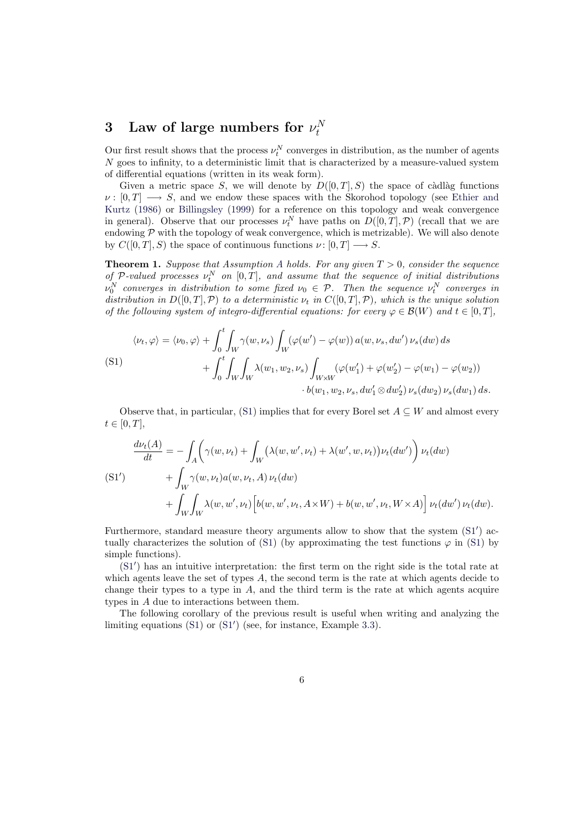#### 3 Law of large numbers for  $\nu_t^N$ t

Our first result shows that the process  $\nu_t^N$  converges in distribution, as the number of agents N goes to infinity, to a deterministic limit that is characterized by a measure-valued system of differential equations (written in its weak form).

Given a metric space S, we will denote by  $D([0,T], S)$  the space of càdlàg functions  $\nu : [0, T] \longrightarrow S$ , and we endow these spaces with the Skorohod topology (see Ethier and Kurtz (1986) or Billingsley (1999) for a reference on this topology and weak convergence in general). Observe that our processes  $\nu_t^N$  have paths on  $D([0,T], \mathcal{P})$  (recall that we are endowing  $P$  with the topology of weak convergence, which is metrizable). We will also denote by  $C([0, T], S)$  the space of continuous functions  $\nu : [0, T] \longrightarrow S$ .

**[Theorem 1.](#page-36-8)** Su[ppose that Assump](#page-36-9)tion A holds. For any given  $T > 0$ , consider the sequence of P-valued processes  $\nu_t^N$  on  $[0, T]$ , and assume that the sequence of initial distributions  $\nu_0^N$  converges in distribution to some fixed  $\nu_0 \in \mathcal{P}$ . Then the sequence  $\nu_t^N$  converges in distribution in  $D([0, T], \mathcal{P})$  to a deterministic  $\nu_t$  in  $C([0, T], \mathcal{P})$ , which is the unique solution of the following system of integro-differ[ent](#page-4-0)ial equations: for every  $\varphi \in \mathcal{B}(W)$  and  $t \in [0,T]$ ,

<span id="page-5-0"></span>(S1)  
\n
$$
\langle \nu_t, \varphi \rangle = \langle \nu_0, \varphi \rangle + \int_0^t \int_W \gamma(w, \nu_s) \int_W (\varphi(w') - \varphi(w)) a(w, \nu_s, dw') \nu_s(dw) ds
$$
\n
$$
+ \int_0^t \int_W \int_W \lambda(w_1, w_2, \nu_s) \int_{W \times W} (\varphi(w'_1) + \varphi(w'_2) - \varphi(w_1) - \varphi(w_2))
$$
\n
$$
\cdot b(w_1, w_2, \nu_s, dw'_1 \otimes dw'_2) \nu_s(dw_2) \nu_s(dw_1) ds.
$$

<span id="page-5-2"></span>Observe that, in particular, (S1) implies that for every Borel set  $A \subseteq W$  and almost every  $t \in [0, T],$ 

$$
\frac{d\nu_t(A)}{dt} = -\int_A \left(\gamma(w,\nu_t) + \int_W \left(\lambda(w,w',\nu_t) + \lambda(w',w,\nu_t)\right) \nu_t(dw')\right) \nu_t(dw) \n+ \int_W \gamma(w,\nu_t)a(w,\nu_t,A)\nu_t(dw) \n+ \int_W \int_W \lambda(w,w',\nu_t) \left[b(w,w',\nu_t,A\times W) + b(w,w',\nu_t,W\times A)\right] \nu_t(dw') \nu_t(dw).
$$

<span id="page-5-1"></span>Furthermore, standard measure theory arguments allow to show that the system  $(S1')$  actually characterizes the solution of (S1) (by approximating the test functions  $\varphi$  in (S1) by simple functions).

(S1<sup>'</sup>) has an intuitive interpretation: the first term on the right side is the total rate at which agents leave the set of types  $A$ , the second term is the rate at which agents [decid](#page-5-1)e to change their types to a type in  $A$ , [and](#page-5-2) the third term is the rate at which agents [acq](#page-5-2)uire types in A due to interactions between them.

<span id="page-5-3"></span>[The](#page-5-1) following corollary of the previous result is useful when writing and analyzing the limiting equations  $(S1)$  or  $(S1')$  (see, for instance, Example 3.3).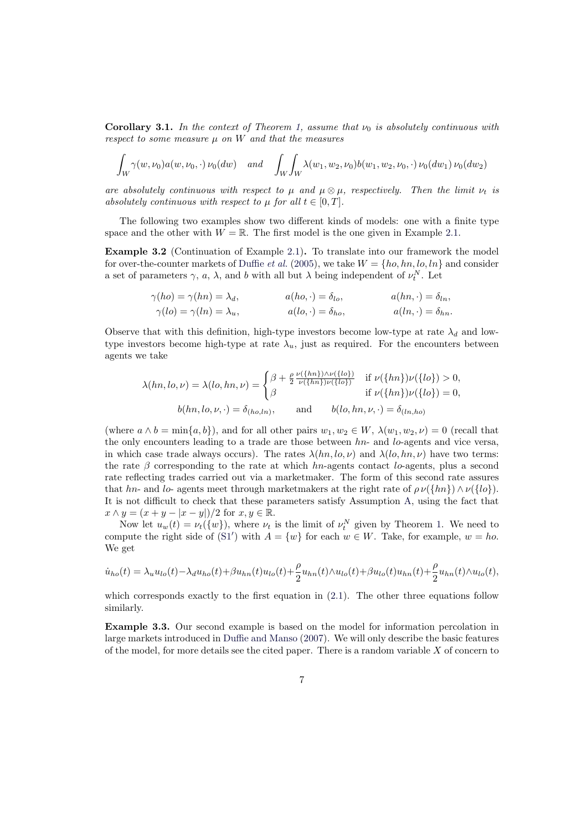**Corollary 3.1.** In the context of Theorem 1, assume that  $\nu_0$  is absolutely continuous with respect to some measure  $\mu$  on  $W$  and that the measures

$$
\int_W \gamma(w, \nu_0) a(w, \nu_0, \cdot) \nu_0(dw) \quad \text{and} \quad \int_W \int_W \lambda(w_1, w_2, \nu_0) b(w_1, w_2, \nu_0, \cdot) \nu_0(dw_1) \nu_0(dw_2)
$$

are absolutely continuous with respect to  $\mu$  and  $\mu \otimes \mu$ , respectively. Then the limit  $\nu_t$  is absolutely continuous with respect to  $\mu$  for all  $t \in [0, T]$ .

The following two examples show two different kinds of models: one with a finite type space and the other with  $W = \mathbb{R}$ . The first model is the one given in Example 2.1.

Example 3.2 (Continuation of Example 2.1). To translate into our framework the model for over-the-counter markets of Duffie *et al.* (2005), we take  $W = \{ho, hn, lo, ln\}$  and consider a set of parameters  $\gamma$ , a,  $\lambda$ , and b with all but  $\lambda$  being independent of  $\nu_t^N$ . Let

$$
\gamma(ho) = \gamma(hn) = \lambda_d, \qquad a(ho, \cdot) = \delta_{lo}, \qquad a(hn, \cdot) = \delta_{ln}, \n\gamma(lo) = \gamma(ln) = \lambda_u, \qquad a(lo, \cdot) = \delta_{ho}, \qquad a(ln, \cdot) = \delta_{hn}.
$$

Observe that with this definition, high-type investors become low-type at rate  $\lambda_d$  and lowtype investors become high-type at rate  $\lambda_u$ , just as required. For the encounters between agents we take

$$
\lambda(hn, lo, \nu) = \lambda(lo, hn, \nu) = \begin{cases} \beta + \frac{\rho}{2} \frac{\nu(\{hn\}) \wedge \nu(\{lo\})}{\nu(\{hn\}) \nu(\{lo\})} & \text{if } \nu(\{hn\}) \nu(\{lo\}) > 0, \\ \beta & \text{if } \nu(\{hn\}) \nu(\{lo\}) = 0, \end{cases}
$$
  

$$
b(hn, lo, \nu, \cdot) = \delta_{(ho, ln)}, \quad \text{and} \quad b(lo, hn, \nu, \cdot) = \delta_{(ln, ho)}
$$

(where  $a \wedge b = \min\{a, b\}$ ), and for all other pairs  $w_1, w_2 \in W$ ,  $\lambda(w_1, w_2, \nu) = 0$  (recall that the only encounters leading to a trade are those between  $hn-$  and lo-agents and vice versa, in which case trade always occurs). The rates  $\lambda(hn, lo, \nu)$  and  $\lambda(lo, hn, \nu)$  have two terms: the rate  $\beta$  corresponding to the rate at which hn-agents contact lo-agents, plus a second rate reflecting trades carried out via a marketmaker. The form of this second rate assures that hn- and lo- agents meet through marketmakers at the right rate of  $\rho \nu({hh}) \wedge \nu({lo}).$ It is not difficult to check that these parameters satisfy Assumption A, using the fact that  $x \wedge y = (x + y - |x - y|)/2$  for  $x, y \in \mathbb{R}$ .

Now let  $u_w(t) = \nu_t(\{w\})$ , where  $\nu_t$  is the limit of  $\nu_t^N$  given by Theorem 1. We need to compute the right side of (S1') with  $A = \{w\}$  for each  $w \in W$ . Take, for example,  $w = ho$ . We get

$$
\dot{u}_{ho}(t) = \lambda_u u_{lo}(t) - \lambda_d u_{ho}(t) + \beta u_{hn}(t)u_{lo}(t) + \frac{\rho}{2} u_{hn}(t) \wedge u_{lo}(t) + \beta u_{lo}(t)u_{hn}(t) + \frac{\rho}{2} u_{hn}(t) \wedge u_{lo}(t),
$$

which corresponds exactly to the first equation in  $(2.1)$ . The other three equations follow similarly.

<span id="page-6-0"></span>Example 3.3. Our second example is based on the model for information percolation in large markets introduced in Duffie and Manso (2007). We will only describe the basic features of the model, for more details see the cited paper. T[here](#page-3-0) is a random variable  $X$  of concern to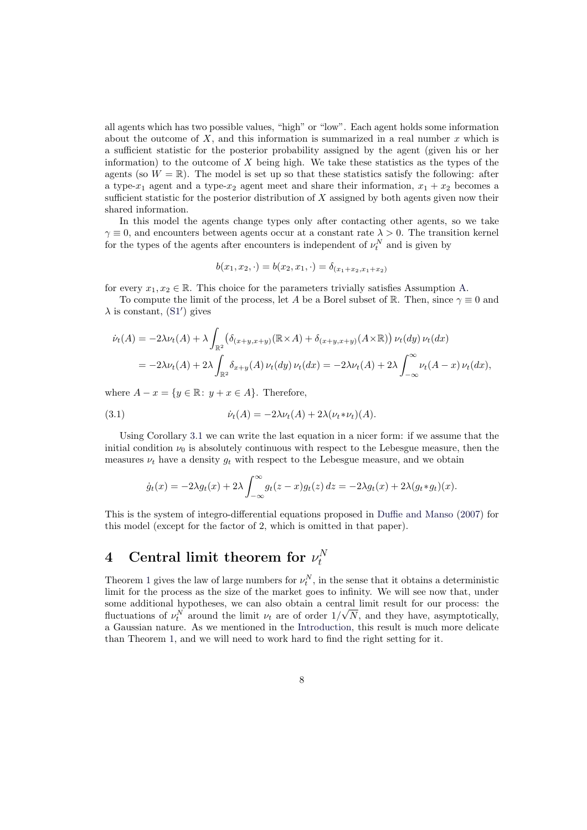all agents which has two possible values, "high" or "low". Each agent holds some information about the outcome of  $X$ , and this information is summarized in a real number  $x$  which is a sufficient statistic for the posterior probability assigned by the agent (given his or her information) to the outcome of  $X$  being high. We take these statistics as the types of the agents (so  $W = \mathbb{R}$ ). The model is set up so that these statistics satisfy the following: after a type- $x_1$  agent and a type- $x_2$  agent meet and share their information,  $x_1 + x_2$  becomes a sufficient statistic for the posterior distribution of  $X$  assigned by both agents given now their shared information.

In this model the agents change types only after contacting other agents, so we take  $\gamma \equiv 0$ , and encounters between agents occur at a constant rate  $\lambda > 0$ . The transition kernel for the types of the agents after encounters is independent of  $\nu_t^N$  and is given by

$$
b(x_1, x_2, \cdot) = b(x_2, x_1, \cdot) = \delta_{(x_1 + x_2, x_1 + x_2)}
$$

for every  $x_1, x_2 \in \mathbb{R}$ . This choice for the parameters trivially satisfies Assumption A.

To compute the limit of the process, let A be a Borel subset of R. Then, since  $\gamma \equiv 0$  and  $\lambda$  is constant, (S1') gives

$$
\dot{\nu}_t(A) = -2\lambda \nu_t(A) + \lambda \int_{\mathbb{R}^2} \left( \delta_{(x+y,x+y)}(\mathbb{R} \times A) + \delta_{(x+y,x+y)}(A \times \mathbb{R}) \right) \nu_t(dy) \nu_t(dx)
$$
  
= 
$$
-2\lambda \nu_t(A) + 2\lambda \int_{\mathbb{R}^2} \delta_{x+y}(A) \nu_t(dy) \nu_t(dx) = -2\lambda \nu_t(A) + 2\lambda \int_{-\infty}^{\infty} \nu_t(A-x) \nu_t(dx),
$$

where  $A - x = \{y \in \mathbb{R} : y + x \in A\}$ . Therefore,

(3.1) 
$$
\dot{\nu}_t(A) = -2\lambda \nu_t(A) + 2\lambda (\nu_t * \nu_t)(A).
$$

Using Corollary 3.1 we can write the last equation in a nicer form: if we assume that the initial condition  $\nu_0$  is absolutely continuous with respect to the Lebesgue measure, then the measures  $\nu_t$  have a density  $g_t$  with respect to the Lebesgue measure, and we obtain

$$
\dot{g}_t(x) = -2\lambda g_t(x) + 2\lambda \int_{-\infty}^{\infty} g_t(z-x)g_t(z) dz = -2\lambda g_t(x) + 2\lambda (g_t * g_t)(x).
$$

This is the system of integro-differential equations proposed in Duffie and Manso (2007) for this model (except for the factor of 2, which is omitted in that paper).

#### 4 Central limit theorem for  $\nu_t^N$ t

Theorem 1 gives the law of large numbers for  $\nu_t^N$ , in the sense that it obtains a deterministic limit for the process as the size of the market goes to infinity. We will see now that, under some additional hypotheses, we can also obtain a central limit result for our process: the fluctuations of  $\nu_t^N$  around the limit  $\nu_t$  are of order  $1/\sqrt{N}$ , and they have, asymptotically, a Gaussi[an](#page-5-0) nature. As we mentioned in the Introduction, this result is much more delicate than Theorem 1, and we will need to work hard to find the right setting for it.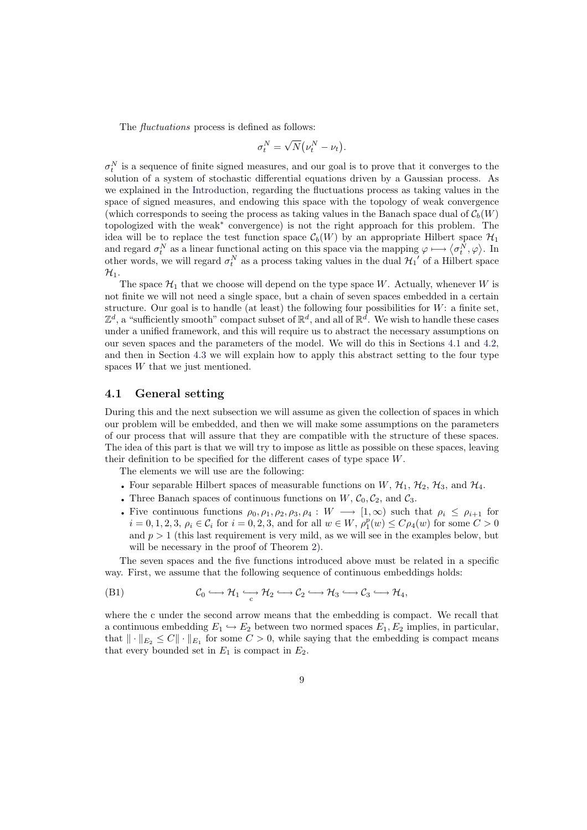The *fluctuations* process is defined as follows:

$$
\sigma_t^N = \sqrt{N} \big( \nu_t^N - \nu_t \big).
$$

 $\sigma_t^N$  is a sequence of finite signed measures, and our goal is to prove that it converges to the solution of a system of stochastic differential equations driven by a Gaussian process. As we explained in the Introduction, regarding the fluctuations process as taking values in the space of signed measures, and endowing this space with the topology of weak convergence (which corresponds to seeing the process as taking values in the Banach space dual of  $\mathcal{C}_b(W)$ ) topologized with the weak<sup>∗</sup> convergence) is not the right approach for this problem. The idea will be to repl[ace the test f](#page-0-0)unction space  $\mathcal{C}_b(W)$  by an appropriate Hilbert space  $\mathcal{H}_1$ and regard  $\sigma_t^N$  as a linear functional acting on this space via the mapping  $\varphi \mapsto \langle \sigma_t^N, \varphi \rangle$ . In and regard  $\sigma_t^N$  as a linear functional acting on this space via the mapping  $\varphi \mapsto \langle \sigma_t^N, \varphi \rangle$ . other words, we will regard  $\sigma_t^N$  as a process taking values in the dual  $\mathcal{H}_1'$  of a Hilbert space  $\mathcal{H}_1$ .

The space  $\mathcal{H}_1$  that we choose will depend on the type space W. Actually, whenever W is not finite we will not need a single space, but a chain of seven spaces embedded in a certain structure. Our goal is to handle (at least) the following four possibilities for  $W$ : a finite set,  $\mathbb{Z}^d$ , a "sufficiently smooth" compact subset of  $\mathbb{R}^d$ , and all of  $\mathbb{R}^d$ . We wish to handle these cases under a unified framework, and this will require us to abstract the necessary assumptions on our seven spaces and the parameters of the model. We will do this in Sections 4.1 and 4.2, and then in Section 4.3 we will explain how to apply this abstract setting to the four type spaces W that we just mentioned.

### 4.1 General setting

During this and the [next](#page-13-0) subsection we will assume as given the collection of spaces in which our problem will be embedded, and then we will make some assumptions on the parameters of our process that will assure that they are compatible with the structure of these spaces. The idea of this part is that we will try to impose as little as possible on these spaces, leaving their definition to be specified for the different cases of type space W.

The elements we will use are the following:

- Four separable Hilbert spaces of measurable functions on  $W$ ,  $\mathcal{H}_1$ ,  $\mathcal{H}_2$ ,  $\mathcal{H}_3$ , and  $\mathcal{H}_4$ .
- Three Banach spaces of continuous functions on  $W, \mathcal{C}_0, \mathcal{C}_2$ , and  $\mathcal{C}_3$ .
- Five continuous functions  $\rho_0, \rho_1, \rho_2, \rho_3, \rho_4 : W \longrightarrow [1, \infty)$  such that  $\rho_i \le \rho_{i+1}$  for  $i = 0, 1, 2, 3, \rho_i \in C_i$  for  $i = 0, 2, 3,$  and for all  $w \in W$ ,  $\rho_1^p(w) \le C \rho_4(w)$  for some  $C > 0$ and  $p > 1$  (this last requirement is very mild, as we will see in the examples below, but will be necessary in the proof of Theorem 2).

The seven spaces and the five functions introduced above must be related in a specific way. First, we assume that the following sequence of continuous embeddings holds:

(B1) 
$$
\mathcal{C}_0 \hookrightarrow \mathcal{H}_1 \hookrightarrow \mathcal{H}_2 \hookrightarrow \mathcal{C}_2 \hookrightarrow \mathcal{H}_3 \hookrightarrow \mathcal{C}_3 \hookrightarrow \mathcal{H}_4,
$$

<span id="page-8-0"></span>where the c under the second arrow means that the embedding is compact. We recall that a continuous embedding  $E_1 \hookrightarrow E_2$  between two normed spaces  $E_1, E_2$  implies, in particular, that  $\|\cdot\|_{E_2} \leq C \|\cdot\|_{E_1}$  for some  $C > 0$ , while saying that the embedding is compact means that every bounded set in  $E_1$  is compact in  $E_2$ .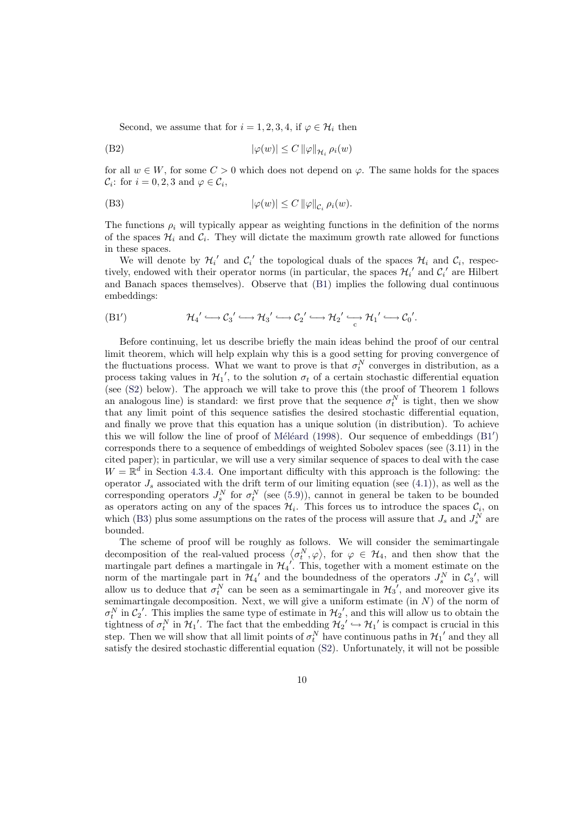<span id="page-9-2"></span>Second, we assume that for  $i = 1, 2, 3, 4$ , if  $\varphi \in \mathcal{H}_i$  then

$$
|\varphi(w)| \le C \|\varphi\|_{\mathcal{H}_i} \, \rho_i(w)
$$

for all  $w \in W$ , for some  $C > 0$  which does not depend on  $\varphi$ . The same holds for the spaces  $\mathcal{C}_i$ : for  $i = 0, 2, 3$  and  $\varphi \in \mathcal{C}_i$ ,

$$
|\varphi(w)| \le C \|\varphi\|_{\mathcal{C}_i} \, \rho_i(w).
$$

The functions  $\rho_i$  will typically appear as weighting functions in the definition of the norms of the spaces  $\mathcal{H}_i$  and  $\mathcal{C}_i$ . They will dictate the maximum growth rate allowed for functions in these spaces.

<span id="page-9-1"></span>We will denote by  $\mathcal{H}_i'$  and  $\mathcal{C}_i'$  the topological duals of the spaces  $\mathcal{H}_i$  and  $\mathcal{C}_i$ , respectively, endowed with their operator norms (in particular, the spaces  $\mathcal{H}_i'$  and  $\mathcal{C}_i'$  are Hilbert and Banach spaces themselves). Observe that (B1) implies the following dual continuous embeddings:

$$
(B1') \t\mathcal{H}_4' \hookrightarrow \mathcal{C}_3' \hookrightarrow \mathcal{H}_3' \hookrightarrow \mathcal{C}_2' \hookrightarrow \mathcal{H}_2' \hookrightarrow \mathcal{H}_1' \hookrightarrow \mathcal{C}_0'.
$$

<span id="page-9-0"></span>Before continuing, let us describe briefly the main ideas behind the proof of our central limit theorem, which will help explain why this is a good setting for proving convergence of the fluctuations process. What we want to prove is that  $\sigma_t^N$  converges in distribution, as a process taking values in  $\mathcal{H}_1'$ , to the solution  $\sigma_t$  of a certain stochastic differential equation (see (S2) below). The approach we will take to prove this (the proof of Theorem 1 follows an analogous line) is standard: we first prove that the sequence  $\sigma_t^N$  is tight, then we show that any limit point of this sequence satisfies the desired stochastic differential equation, and finally we prove that this equation has a unique solution (in distribution). To achieve this [we w](#page-12-1)ill follow the line of proof of Méléard (1998). Our sequence of embeddi[ng](#page-5-0)s  $(B1')$ corresponds there to a sequence of embeddings of weighted Sobolev spaces (see (3.11) in the cited paper); in particular, we will use a very similar sequence of spaces to deal with the case  $W = \mathbb{R}^d$  in Section 4.3.4. One important difficulty with this approach is the following: the operator  $J_s$  associated with the drift te[rm of our limiti](#page-37-1)ng equation (see (4.1)), as well a[s the](#page-9-0) corresponding operators  $J_s^N$  for  $\sigma_t^N$  (see (5.9)), cannot in general be taken to be bounded as operators acting on any of the spaces  $\mathcal{H}_i$ . This forces us to introduce the spaces  $\mathcal{C}_i$ , on which (B3) plus so[me ass](#page-18-0)umptions on the rates of the process will assure that  $J_s$  and  $J_s^N$  are bounded.

The scheme of proof will be roughly [as f](#page-27-0)ollows. We will consider the semimartingale The scheme of proof will be roughly as follows. We will consider the semimartingate decomposition of the real-valued process  $\langle \sigma_t^N, \varphi \rangle$ , for  $\varphi \in \mathcal{H}_4$ , and then show that the martin[gale](#page-9-1) part defines a martingale in  $\mathcal{H}_{4}'$ . This, together with a moment estimate on the norm of the martingale part in  $\mathcal{H}_4$  and the boundedness of the operators  $J_s^N$  in  $\mathcal{C}_3$ , will allow us to deduce that  $\sigma_t^N$  can be seen as a semimartingale in  $\mathcal{H}_3$ <sup>'</sup>, and moreover give its semimartingale decomposition. Next, we will give a uniform estimate  $(in N)$  of the norm of  $\sigma_t^N$  in  $C_2'$ . This implies the same type of estimate in  $\mathcal{H}_2'$ , and this will allow us to obtain the tightness of  $\sigma_t^N$  in  $\mathcal{H}_1'$ . The fact that the embedding  $\mathcal{H}_2' \hookrightarrow \mathcal{H}_1'$  is compact is crucial in this step. Then we will show that all limit points of  $\sigma_t^N$  have continuous paths in  $\mathcal{H}_1'$  and they all satisfy the desired stochastic differential equation (S2). Unfortunately, it will not be possible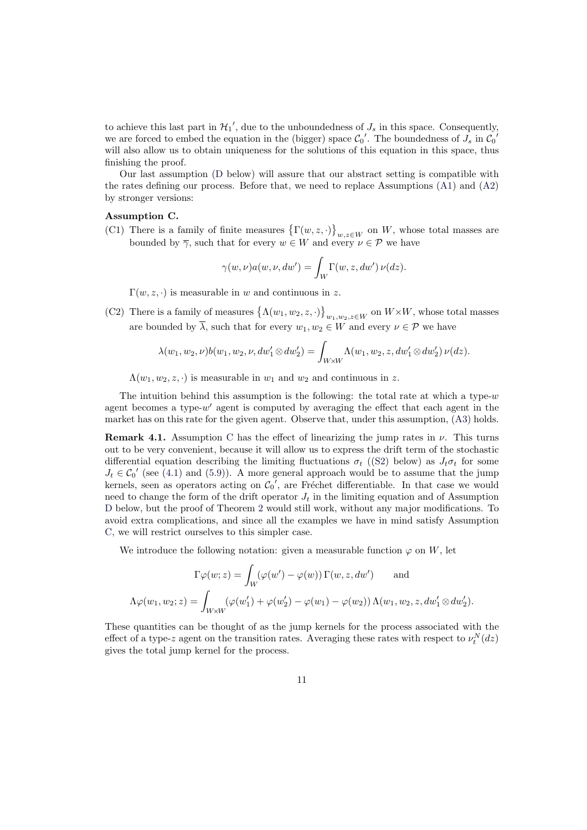to achieve this last part in  $\mathcal{H}_1'$ , due to the unboundedness of  $J_s$  in this space. Consequently, we are forced to embed the equation in the (bigger) space  $\mathcal{C}_0'$ . The boundedness of  $J_s$  in  $\mathcal{C}_0'$ will also allow us to obtain uniqueness for the solutions of this equation in this space, thus finishing the proof.

Our last assumption (D below) will assure that our abstract setting is compatible with the rates defining our process. Before that, we need to replace Assumptions (A1) and (A2) by stronger versions:

#### Assumption C.

<span id="page-10-1"></span>**EXECUTE:** CONTROLLEX CONTROLLEX CONTROLLEX CONTROLLEX CONTROLLEX CONTROLLEX CONTROLLEX CONTROLLEX CONTROLLEX CONTROLLEX CONTROLLEX CONTROLLEX CONTROLLEX CONTROLLEX CONTROLLEX CONTROLLEX CONTROLLEX CONTROLLEX CONTROLLEX C ª  $_{w,z\in W}$  on W, whose to[tal m](#page-4-1)asse[s are](#page-4-2) bounded by  $\overline{\gamma}$ , such that for every  $w \in W$  and every  $v \in \mathcal{P}$  we have

$$
\gamma(w,\nu)a(w,\nu,dw') = \int_W \Gamma(w,z,dw') \nu(dz).
$$

 $\Gamma(w, z, \cdot)$  is measurable in w and continuous in z.

(C2) There is a family of measures  $\{\Lambda(w_1, w_2, z, \cdot)\}$ ª  $w_1, w_2, z \in W$  on  $W \times W$ , whose total masses are bounded by  $\overline{\lambda}$ , such that for every  $w_1, w_2 \in W$  and every  $\nu \in \mathcal{P}$  we have

$$
\lambda(w_1, w_2, \nu)b(w_1, w_2, \nu, dw_1' \otimes dw_2') = \int_{W \times W} \Lambda(w_1, w_2, z, dw_1' \otimes dw_2') \nu(dz).
$$

 $\Lambda(w_1, w_2, z, \cdot)$  is measurable in  $w_1$  and  $w_2$  and continuous in z.

The intuition behind this assumption is the following: the total rate at which a type- $w$ agent becomes a type- $w'$  agent is computed by averaging the effect that each agent in the market has on this rate for the given agent. Observe that, under this assumption, (A3) holds.

**Remark 4.1.** Assumption C has the effect of linearizing the jump rates in  $\nu$ . This turns out to be very convenient, because it will allow us to express the drift term of the stochastic differential equation describing the limiting fluctuations  $\sigma_t$  ((S2) below) as  $J_t\sigma_t$  for some  $J_t \in \mathcal{C}_0'$  (see (4.1) and (5.9)). A more general approach would be to assume tha[t th](#page-4-3)e jump kernels, seen as operators [acti](#page-10-1)ng on  $\mathcal{C}_0'$ , are Fréchet differentiable. In that case we would need to change the form of the drift operator  $J_t$  in the limiting equation and of Assumption D below, but the proof of Theorem 2 would still work, without [any](#page-12-1) major modifications. To avoid extra c[omp](#page-12-2)licatio[ns, a](#page-27-0)nd since all the examples we have in mind satisfy Assumption C, we will restrict ourselves to this simpler case.

We introduce the following not[atio](#page-12-0)n: given a measurable function  $\varphi$  on W, let

$$
\Gamma \varphi(w; z) = \int_W (\varphi(w') - \varphi(w)) \Gamma(w, z, dw') \quad \text{and}
$$
  

$$
\Lambda \varphi(w_1, w_2; z) = \int_{W \times W} (\varphi(w'_1) + \varphi(w'_2) - \varphi(w_1) - \varphi(w_2)) \Lambda(w_1, w_2, z, dw'_1 \otimes dw'_2).
$$

<span id="page-10-0"></span>These quantities can be thought of as the jump kernels for the process associated with the effect of a type-z agent on the transition rates. Averaging these rates with respect to  $\nu_t^N(dz)$ gives the total jump kernel for the process.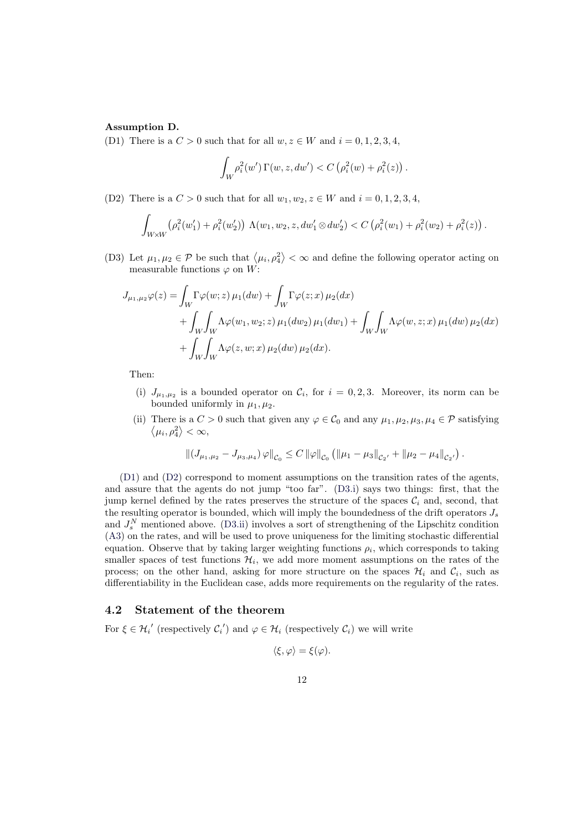#### Assumption D.

(D1) There is a  $C > 0$  such that for all  $w, z \in W$  and  $i = 0, 1, 2, 3, 4$ ,

$$
\int_W \rho_i^2(w') \, \Gamma(w, z, dw') < C \left( \rho_i^2(w) + \rho_i^2(z) \right)
$$

.

<span id="page-11-0"></span>(D2) There is a  $C > 0$  such that for all  $w_1, w_2, z \in W$  and  $i = 0, 1, 2, 3, 4$ ,

$$
\int_{W\times W} \left(\rho_i^2(w_1') + \rho_i^2(w_2')\right) \Lambda(w_1, w_2, z, dw_1' \otimes dw_2') < C \left(\rho_i^2(w_1) + \rho_i^2(w_2) + \rho_i^2(z)\right).
$$

<span id="page-11-1"></span>(D3) Let  $\mu_1, \mu_2 \in \mathcal{P}$  be such that  $\langle \mu_i, \rho_4^2 \rangle$ ®  $<$   $\infty$  and define the following operator acting on measurable functions  $\varphi$  on W:

<span id="page-11-4"></span>
$$
J_{\mu_1,\mu_2}\varphi(z) = \int_W \Gamma \varphi(w; z) \mu_1(dw) + \int_W \Gamma \varphi(z; x) \mu_2(dx)
$$
  
+ 
$$
\int_W \int_W \Lambda \varphi(w_1, w_2; z) \mu_1(dw_2) \mu_1(dw_1) + \int_W \int_W \Lambda \varphi(w, z; x) \mu_1(dw) \mu_2(dx)
$$
  
+ 
$$
\int_W \int_W \Lambda \varphi(z, w; x) \mu_2(dw) \mu_2(dx).
$$

Then:

- (i)  $J_{\mu_1,\mu_2}$  is a bounded operator on  $\mathcal{C}_i$ , for  $i=0,2,3$ . Moreover, its norm can be bounded uniformly in  $\mu_1, \mu_2$ .
- <span id="page-11-2"></span>(ii) There is a  $C > 0$  such that given any  $\varphi \in C_0$  and any  $\mu_1, \mu_2, \mu_3, \mu_4 \in \mathcal{P}$  satisfying  $\mu_i, \rho_4^2 \rangle < \infty,$

$$
\left\| \left( J_{\mu_1,\mu_2} - J_{\mu_3,\mu_4} \right) \varphi \right\|_{\mathcal{C}_0} \leq C \left\| \varphi \right\|_{\mathcal{C}_0} \left( \left\| \mu_1 - \mu_3 \right\|_{\mathcal{C}_2'} + \left\| \mu_2 - \mu_4 \right\|_{\mathcal{C}_2'} \right).
$$

<span id="page-11-3"></span>(D1) and (D2) correspond to moment assumptions on the transition rates of the agents, and assure that the agents do not jump "too far". (D3.i) says two things: first, that the jump kernel defined by the rates preserves the structure of the spaces  $\mathcal{C}_i$  and, second, that the resulting operator is bounded, which will imply the boundedness of the drift operators  $J_s$ and  $J_s^N$  $J_s^N$  ment[ione](#page-11-1)d above. (D3.ii) involves a sort of strengthening of the Lipschitz condition (A3) on the rates, and will be used to prove uniquenes[s for t](#page-11-2)he limiting stochastic differential equation. Observe that by taking larger weighting functions  $\rho_i$ , which corresponds to taking smaller spaces of test functions  $\mathcal{H}_i$ , we add more moment assumptions on the rates of the process; on the other han[d, ask](#page-11-3)ing for more structure on the spaces  $\mathcal{H}_i$  and  $\mathcal{C}_i$ , such as [diffe](#page-4-3)rentiability in the Euclidean case, adds more requirements on the regularity of the rates.

#### 4.2 Statement of the theorem

For  $\xi \in \mathcal{H}_i'$  (respectively  $\mathcal{C}_i'$ ) and  $\varphi \in \mathcal{H}_i$  (respectively  $\mathcal{C}_i$ ) we will write

$$
\langle \xi, \varphi \rangle = \xi(\varphi).
$$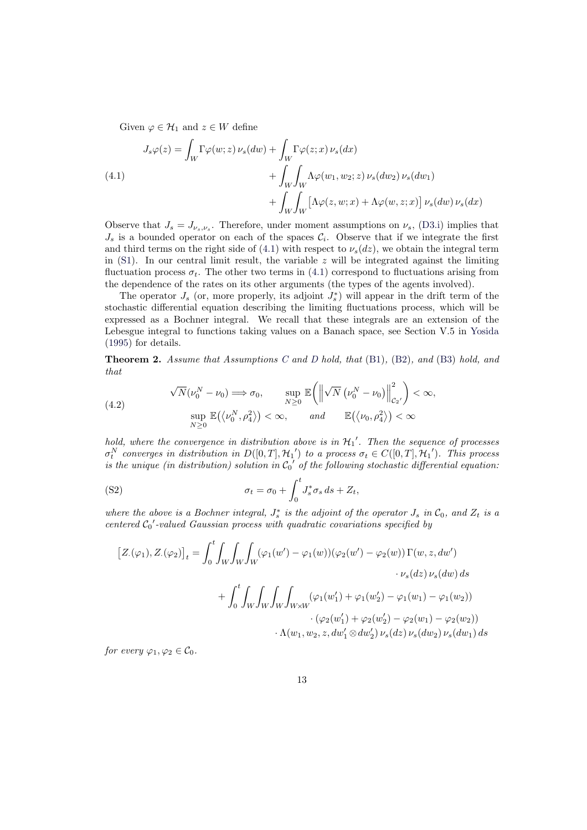Given  $\varphi \in \mathcal{H}_1$  and  $z \in W$  define

(4.1)  
\n
$$
J_s \varphi(z) = \int_W \Gamma \varphi(w; z) \nu_s(dw) + \int_W \Gamma \varphi(z; x) \nu_s(dx) + \int_W \int_W \Lambda \varphi(w_1, w_2; z) \nu_s(dw_2) \nu_s(dw_1) + \int_W \int_W \left[ \Lambda \varphi(z, w; x) + \Lambda \varphi(w, z; x) \right] \nu_s(dw) \nu_s(dx)
$$

<span id="page-12-2"></span>Observe that  $J_s = J_{\nu_s,\nu_s}$ . Therefore, under moment assumptions on  $\nu_s$ , (D3.i) implies that  $J_s$  is a bounded operator on each of the spaces  $\mathcal{C}_i$ . Observe that if we integrate the first and third terms on the right side of (4.1) with respect to  $\nu_s(dz)$ , we obtain the integral term in  $(S1)$ . In our central limit result, the variable z will be integrated against the limiting fluctuation process  $\sigma_t$ . The other two terms in (4.1) correspond to fluctu[ations](#page-11-2) arising from the dependence of the rates on its other arguments (the types of the agents involved).

The operator  $J_s$  (or, more prop[erly,](#page-12-2) its adjoint  $J_s^*$ ) will appear in the drift term of the sto[cha](#page-5-2)stic differential equation describing the limiting fluctuations process, which will be expressed as a Bochner integral. We recall t[hat](#page-12-2) these integrals are an extension of the Lebesgue integral to functions taking values on a Banach space, see Section V.5 in Yosida (1995) for details.

Theorem 2. Assume that Assumptions C and D hold, that (B1), (B2), and (B3) hold, and that  $\mathbf{r}$ 

<span id="page-12-0"></span>(4.2)  
\n
$$
\sqrt{N}(\nu_0^N - \nu_0) \Longrightarrow \sigma_0, \qquad \sup_{N \ge 0} \mathbb{E}\left(\left\|\sqrt{N}(\nu_0^N - \nu_0)\right\|_{\mathcal{C}_2}^2\right) < \infty, \qquad \text{and} \qquad \mathbb{E}(\langle \nu_0, \rho_4^2 \rangle) < \infty
$$

<span id="page-12-3"></span>hold, where the convergence in distribution above is in  $\mathcal{H}_1'$ . Then the sequence of processes  $\sigma_t^N$  converges in distribution in  $D([0,T], \mathcal{H}_1)$  to a process  $\sigma_t \in C([0,T], \mathcal{H}_1')$ . This process is the unique (in distribution) solution in  $C_0'$  of the following stochastic differential equation:

(S2) 
$$
\sigma_t = \sigma_0 + \int_0^t J_s^* \sigma_s ds + Z_t,
$$

where the above is a Bochner integral,  $J_s^*$  is the adjoint of the operator  $J_s$  in  $\mathcal{C}_0$ , and  $Z_t$  is a centered  $C_0'$ -valued Gaussian process with quadratic covariations specified by

<span id="page-12-1"></span>
$$
[Z.(\varphi_1), Z.(\varphi_2)]_t = \int_0^t \int_W \int_W \int_W (\varphi_1(w') - \varphi_1(w)) (\varphi_2(w') - \varphi_2(w)) \Gamma(w, z, dw') \cdot \nu_s(dz) \nu_s(dw) ds + \int_0^t \int_W \int_W \int_W \int_{W \times W} (\varphi_1(w'_1) + \varphi_1(w'_2) - \varphi_1(w_1) - \varphi_1(w_2)) \cdot (\varphi_2(w'_1) + \varphi_2(w'_2) - \varphi_2(w_1) - \varphi_2(w_2)) \cdot \Lambda(w_1, w_2, z, dw'_1 \otimes dw'_2) \nu_s(dz) \nu_s(dw) ds
$$

for every  $\varphi_1, \varphi_2 \in \mathcal{C}_0$ .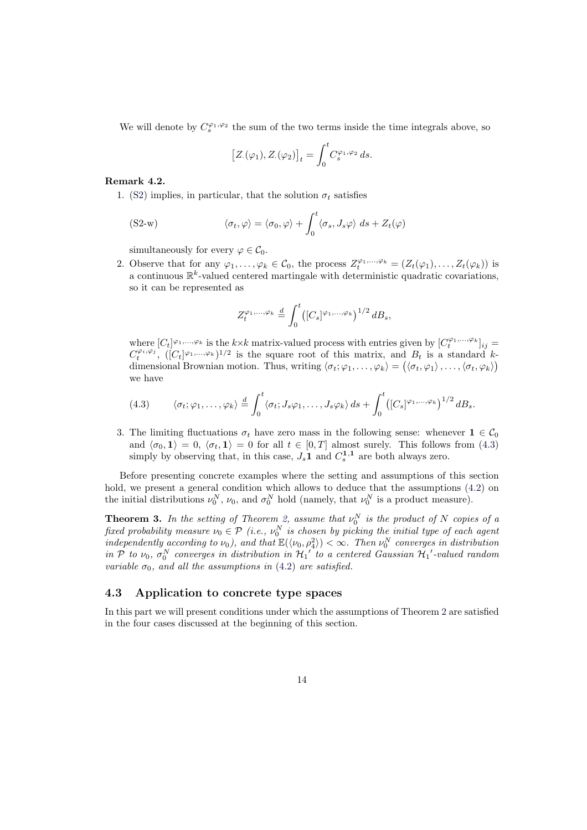We will denote by  $C_s^{\varphi_1,\varphi_2}$  the sum of the two terms inside the time integrals above, so

$$
\left[Z(\varphi_1), Z(\varphi_2)\right]_t = \int_0^t C_s^{\varphi_1, \varphi_2} ds.
$$

#### Remark 4.2.

1. (S2) implies, in particular, that the solution  $\sigma_t$  satisfies

(S2-w) 
$$
\langle \sigma_t, \varphi \rangle = \langle \sigma_0, \varphi \rangle + \int_0^t \langle \sigma_s, J_s \varphi \rangle ds + Z_t(\varphi)
$$

[simu](#page-12-1)ltaneously for every  $\varphi \in \mathcal{C}_0$ .

2. Observe that for any  $\varphi_1,\ldots,\varphi_k \in \mathcal{C}_0$ , the process  $Z_t^{\varphi_1,\ldots,\varphi_k} = (Z_t(\varphi_1),\ldots,Z_t(\varphi_k))$  is a continuous  $\mathbb{R}^k$ -valued centered martingale with deterministic quadratic covariations, so it can be represented as

<span id="page-13-2"></span>
$$
Z_t^{\varphi_1,\ldots,\varphi_k} \stackrel{d}{=} \int_0^t \left( [C_s]^{\varphi_1,\ldots,\varphi_k} \right)^{1/2} d B_s,
$$

where  $[C_t]^{\varphi_1,\ldots,\varphi_k}$  is the  $k \times k$  matrix-valued process with entries given by  $[C_t^{\varphi_1,\ldots,\varphi_k}]_{ij} =$  $C_t^{\varphi_i,\varphi_j}$ ,  $([C_t]^{\varphi_1,\ldots,\varphi_k})^{1/2}$  is the square root of this matrix, and  $B_t$  is a standard kdimensional Brownian motion. Thus, writing  $\langle \sigma_t; \varphi_1, \ldots, \varphi_k \rangle = (\langle \sigma_t, \varphi_1 \rangle, \ldots, \langle \sigma_t, \varphi_k \rangle)$ we have

(4.3) 
$$
\langle \sigma_t; \varphi_1, \ldots, \varphi_k \rangle \stackrel{d}{=} \int_0^t \langle \sigma_t; J_s \varphi_1, \ldots, J_s \varphi_k \rangle ds + \int_0^t \left( [C_s]^{\varphi_1, \ldots, \varphi_k} \right)^{1/2} dB_s.
$$

<span id="page-13-1"></span>3. The limiting fluctuations  $\sigma_t$  have zero mass in the following sense: whenever  $\mathbf{1} \in \mathcal{C}_0$ and  $\langle \sigma_0, 1 \rangle = 0$ ,  $\langle \sigma_t, 1 \rangle = 0$  for all  $t \in [0, T]$  almost surely. This follows from (4.3) simply by observing that, in this case,  $J_s \mathbf{1}$  and  $C_s^{\mathbf{1},\mathbf{1}}$  are both always zero.

Before presenting concrete examples where the setting and assumptions of this section hold, we present a general condition which allows to deduce that the assumptions  $(4.2)$  on the initial distributions  $\nu_0^N$ ,  $\nu_0$ , and  $\sigma_0^N$  hold (namely, that  $\nu_0^N$  is a product measure).

**Theorem 3.** In the setting of Theorem 2, assume that  $\nu_0^N$  is the product of N copies of a fixed probability measure  $\nu_0 \in \mathcal{P}$  (i.e.,  $\nu_0^N$  is chosen by picking the initial type of each agent independently according to  $\nu_0$ ), and that  $\mathbb{E}(\langle \nu_0, \rho_4^2 \rangle) < \infty$ . Then  $\nu_0^N$  converges in dist[ribut](#page-12-3)ion in P to  $\nu_0$ ,  $\sigma_0^N$  converges in distribution in  $\mathcal{H}_1'$  to a centered Gaussian  $\mathcal{H}_1'$ -valued random variable  $\sigma_0$ , and all the assumptions in ([4.2](#page-12-0)) are satisfied.

#### <span id="page-13-3"></span>4.3 Application to concrete type spaces

<span id="page-13-0"></span>In this part we will present conditions un[der w](#page-12-3)hich the assumptions of Theorem 2 are satisfied in the four cases discussed at the beginning of this section.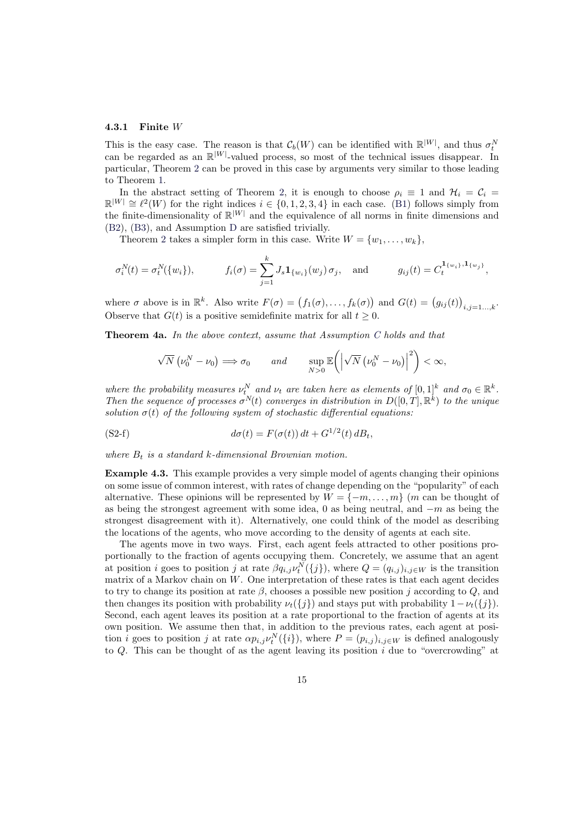#### 4.3.1 Finite W

This is the easy case. The reason is that  $\mathcal{C}_b(W)$  can be identified with  $\mathbb{R}^{|W|}$ , and thus  $\sigma_t^N$ can be regarded as an  $\mathbb{R}^{|W|}$ -valued process, so most of the technical issues disappear. In particular, Theorem 2 can be proved in this case by arguments very similar to those leading to Theorem 1.

In the abstract setting of Theorem 2, it is enough to choose  $\rho_i \equiv 1$  and  $\mathcal{H}_i = \mathcal{C}_i$  $\mathbb{R}^{|W|} \cong \ell^2(W)$  for the right indices  $i \in \{0, 1, 2, 3, 4\}$  in each case. (B1) follows simply from the finite-dimension[ali](#page-12-0)ty of  $\mathbb{R}^{|W|}$  and the equivalence of all norms in finite dimensions and (B2), (B3), [an](#page-5-0)d Assumption D are satisfied trivially.

Theorem 2 takes a simpler form in t[his](#page-12-0) case. Write  $W = \{w_1, \ldots, w_k\},\$ 

$$
\sigma_i^N(t) = \sigma_t^N(\{w_i\}),
$$
  $f_i(\sigma) = \sum_{j=1}^k J_s \mathbf{1}_{\{w_i\}}(w_j) \sigma_j,$  and  $g_{ij}(t) = C_t^{\mathbf{1}_{\{w_i\}}, \mathbf{1}_{\{w_j\}}},$ 

where  $\sigma$  above is in  $\mathbb{R}^k$ . Also write  $F(\sigma) = (f_1(\sigma), \ldots, f_k(\sigma))$ ) and  $G(t) = (g_{ij}(t))$ ¢  $i,j=1...$ , $k$ . Observe that  $G(t)$  is a positive semidefinite matrix for all  $t \geq 0$ .

Theorem 4a. In the above context, assume that Assumption C holds and that

$$
\sqrt{N}\left(\nu_0^N-\nu_0\right)\Longrightarrow\sigma_0\qquad\text{and}\qquad\sup_{N>0}\mathbb{E}\bigg(\bigg|\sqrt{N}\left(\nu_0^N-\nu_0\right)\bigg|^2\bigg)<\infty,
$$

<span id="page-14-0"></span>where the probability measures  $\nu_t^N$  and  $\nu_t$  are taken here as el[em](#page-10-1)ents of  $[0,1]^k$  and  $\sigma_0 \in \mathbb{R}^k$ . Then the sequence of processes  $\sigma^{N}(t)$  converges in distribution in  $D([0,T],\mathbb{R}^{k})$  to the unique solution  $\sigma(t)$  of the following system of stochastic differential equations:

(S2-f) 
$$
d\sigma(t) = F(\sigma(t)) dt + G^{1/2}(t) dB_t,
$$

where  $B_t$  is a standard k-dimensional Brownian motion.

Example 4.3. This example provides a very simple model of agents changing their opinions on some issue of common interest, with rates of change depending on the "popularity" of each alternative. These opinions will be represented by  $W = \{-m, \ldots, m\}$  (m can be thought of as being the strongest agreement with some idea, 0 as being neutral, and  $-m$  as being the strongest disagreement with it). Alternatively, one could think of the model as describing the locations of the agents, who move according to the density of agents at each site.

The agents move in two ways. First, each agent feels attracted to other positions proportionally to the fraction of agents occupying them. Concretely, we assume that an agent at position *i* goes to position *j* at rate  $\beta q_{i,j} \nu_t^N(\{j\})$ , where  $Q = (q_{i,j})_{i,j \in W}$  is the transition matrix of a Markov chain on W. One interpretation of these rates is that each agent decides to try to change its position at rate  $\beta$ , chooses a possible new position j according to  $Q$ , and then changes its position with probability  $\nu_t({j})$  and stays put with probability  $1-\nu_t({j})$ . Second, each agent leaves its position at a rate proportional to the fraction of agents at its own position. We assume then that, in addition to the previous rates, each agent at position *i* goes to position *j* at rate  $\alpha p_{i,j} \nu_t^N(\{i\})$ , where  $P = (p_{i,j})_{i,j \in W}$  is defined analogously to  $Q$ . This can be thought of as the agent leaving its position  $i$  due to "overcrowding" at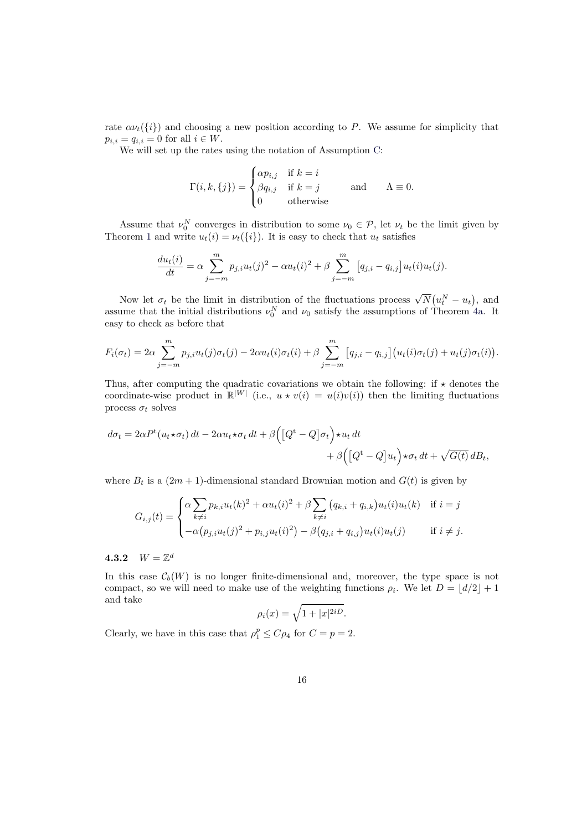rate  $\alpha \nu_t(\{i\})$  and choosing a new position according to P. We assume for simplicity that  $p_{i,i} = q_{i,i} = 0$  for all  $i \in W$ .

We will set up the rates using the notation of Assumption C:

$$
\Gamma(i,k,\{j\}) = \begin{cases} \alpha p_{i,j} & \text{if } k = i \\ \beta q_{i,j} & \text{if } k = j \\ 0 & \text{otherwise} \end{cases} \quad \text{and} \quad \Lambda \equiv 0.
$$

Assume that  $\nu_0^N$  converges in distribution to some  $\nu_0 \in \mathcal{P}$ , let  $\nu_t$  be the limit given by Theorem 1 and write  $u_t(i) = \nu_t(\{i\})$ . It is easy to check that  $u_t$  satisfies

$$
\frac{du_t(i)}{dt} = \alpha \sum_{j=-m}^{m} p_{j,i} u_t(j)^2 - \alpha u_t(i)^2 + \beta \sum_{j=-m}^{m} [q_{j,i} - q_{i,j}] u_t(i) u_t(j).
$$

Now let  $\sigma_t$  be the limit in distribution of the fluctuations process  $\sqrt{N}$ ¡  $u_t^N - u_t$ ¢ , and assume that the initial distributions  $\nu_0^N$  and  $\nu_0$  satisfy the assumptions of Theorem 4a. It easy to check as before that

$$
F_i(\sigma_t) = 2\alpha \sum_{j=-m}^{m} p_{j,i} u_t(j) \sigma_t(j) - 2\alpha u_t(i) \sigma_t(i) + \beta \sum_{j=-m}^{m} \left[ q_{j,i} - q_{i,j} \right] \left( u_t(i) \sigma_t(j) + u_t(j) \sigma_t(i) \right).
$$

Thus, after computing the quadratic covariations we obtain the following: if  $\star$  denotes the coordinate-wise product in  $\mathbb{R}^{|W|}$  (i.e.,  $u \star v(i) = u(i)v(i)$ ) then the limiting fluctuations process  $\sigma_t$  solves

$$
d\sigma_t = 2\alpha P^t(u_t \star \sigma_t) dt - 2\alpha u_t \star \sigma_t dt + \beta \Big( \big[ Q^t - Q \big] \sigma_t \Big) \star u_t dt + \beta \Big( \big[ Q^t - Q \big] u_t \Big) \star \sigma_t dt + \sqrt{G(t)} dB_t,
$$

where  $B_t$  is a  $(2m + 1)$ -dimensional standard Brownian motion and  $G(t)$  is given by

$$
G_{i,j}(t) = \begin{cases} \alpha \sum_{k \neq i} p_{k,i} u_t(k)^2 + \alpha u_t(i)^2 + \beta \sum_{k \neq i} (q_{k,i} + q_{i,k}) u_t(i) u_t(k) & \text{if } i = j \\ -\alpha (p_{j,i} u_t(j)^2 + p_{i,j} u_t(i)^2) - \beta (q_{j,i} + q_{i,j}) u_t(i) u_t(j) & \text{if } i \neq j. \end{cases}
$$

### 4.3.2  $W = \mathbb{Z}^d$

In this case  $\mathcal{C}_b(W)$  is no longer finite-dimensional and, moreover, the type space is not compact, so we will need to make use of the weighting functions  $\rho_i$ . We let  $D = \lfloor d/2 \rfloor + 1$ and take

$$
\rho_i(x) = \sqrt{1 + |x|^{2iD}}.
$$

Clearly, we have in this case that  $\rho_1^p \leq C \rho_4$  for  $C = p = 2$ .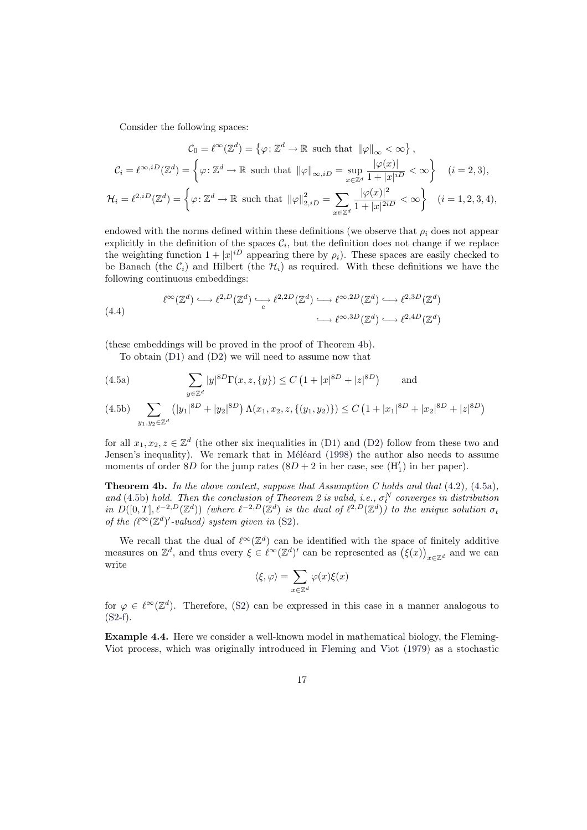Consider the following spaces:

$$
\mathcal{C}_0 = \ell^{\infty}(\mathbb{Z}^d) = \left\{ \varphi \colon \mathbb{Z}^d \to \mathbb{R} \text{ such that } \|\varphi\|_{\infty} < \infty \right\},
$$
\n
$$
\mathcal{C}_i = \ell^{\infty, iD}(\mathbb{Z}^d) = \left\{ \varphi \colon \mathbb{Z}^d \to \mathbb{R} \text{ such that } \|\varphi\|_{\infty, iD} = \sup_{x \in \mathbb{Z}^d} \frac{|\varphi(x)|}{1 + |x|^{iD}} < \infty \right\} \quad (i = 2, 3),
$$
\n
$$
\mathcal{H}_i = \ell^{2, iD}(\mathbb{Z}^d) = \left\{ \varphi \colon \mathbb{Z}^d \to \mathbb{R} \text{ such that } \|\varphi\|_{2, iD}^2 = \sum_{x \in \mathbb{Z}^d} \frac{|\varphi(x)|^2}{1 + |x|^{2iD}} < \infty \right\} \quad (i = 1, 2, 3, 4),
$$

endowed with the norms defined within these definitions (we observe that  $\rho_i$  does not appear explicitly in the definition of the spaces  $\mathcal{C}_i$ , but the definition does not change if we replace the weighting function  $1+|x|^{iD}$  appearing there by  $\rho_i$ ). These spaces are easily checked to be Banach (the  $C_i$ ) and Hilbert (the  $\mathcal{H}_i$ ) as required. With these definitions we have the following continuous embeddings:

(4.4)  
\n
$$
\ell^{\infty}(\mathbb{Z}^d) \hookrightarrow \ell^{2,D}(\mathbb{Z}^d) \hookrightarrow \ell^{2,2D}(\mathbb{Z}^d) \hookrightarrow \ell^{\infty,2D}(\mathbb{Z}^d) \hookrightarrow \ell^{2,3D}(\mathbb{Z}^d)
$$
\n
$$
\hookrightarrow \ell^{\infty,3D}(\mathbb{Z}^d) \hookrightarrow \ell^{2,4D}(\mathbb{Z}^d)
$$

(these embeddings will be proved in the proof of Theorem 4b).

To obtain (D1) and (D2) we will need to assume now that

(4.5a) 
$$
\sum_{y \in \mathbb{Z}^d} |y|^{8D} \Gamma(x, z, \{y\}) \le C \left(1 + |x|^{8D} + |z|^{8D}\right) \quad \text{and}
$$

$$
(4.5b)\quad \sum_{y_1, y_2 \in \mathbb{Z}^d} \left( |y_1|^{8D} + |y_2|^{8D} \right) \Lambda(x_1, x_2, z, \{(y_1, y_2)\}) \le C \left( 1 + |x_1|^{8D} + |x_2|^{8D} + |z|^{8D} \right)
$$

<span id="page-16-2"></span><span id="page-16-1"></span>for all  $x_1, x_2, z \in \mathbb{Z}^d$  (the other six inequalities in (D1) and (D2) follow from these two and Jensen's inequality). We remark that in Méléard (1998) the author also needs to assume moments of order  $8D$  for the jump rates  $(8D + 2 \text{ in her case, see } (H_1')$  in her paper).

**Theorem 4b.** In the above context, suppose that Assumption C holds and that  $(4.2)$ ,  $(4.5a)$ , and (4.5b) hold. Then the conclusion of Theorem 2 [is](#page-11-0)[v](#page-11-0)[alid](#page-37-1), i.[e.,](#page-11-1)  $\sigma_t^N$  converges in distribution in  $D([0,T], \ell^{-2,D}(\mathbb{Z}^d))$  (where  $\ell^{-2,D}(\mathbb{Z}^d)$  [is the du](#page-37-1)al of  $\ell^{2,D}(\mathbb{Z}^d)$ ) to the unique solution  $\sigma_t$ of the  $(\ell^{\infty}(\mathbb{Z}^d)'$ -valued) system given in (S2).

<span id="page-16-0"></span>[We rec](#page-16-2)all [th](#page-10-1)at the dual of  $\ell^{\infty}(\mathbb{Z}^d)$  can be i[den](#page-12-0)tified with the space of fini[tely](#page-12-3) a[dditiv](#page-16-1)e We recall that the qual of  $\ell^{\infty}(\mathbb{Z}^d)$  can be identified with the space of measures on  $\mathbb{Z}^d$ , and thus every  $\xi \in \ell^{\infty}(\mathbb{Z}^d)'$  can be represented as  $(\xi(x))$ ≀ٍ<br>∖  $x\in\mathbb{Z}^d$  and we can write  $\overline{a}$ 

$$
\langle \xi, \varphi \rangle = \sum_{x \in \mathbb{Z}^d} \varphi(x) \xi(x)
$$

for  $\varphi \in \ell^{\infty}(\mathbb{Z}^d)$ . Therefore, (S2) can be expressed in this case in a manner analogous to (S2-f).

Example 4.4. Here we consider a well-known model in mathematical biology, the Fleming-Viot process, which was origi[nal](#page-12-1)ly introduced in Fleming and Viot (1979) as a stochastic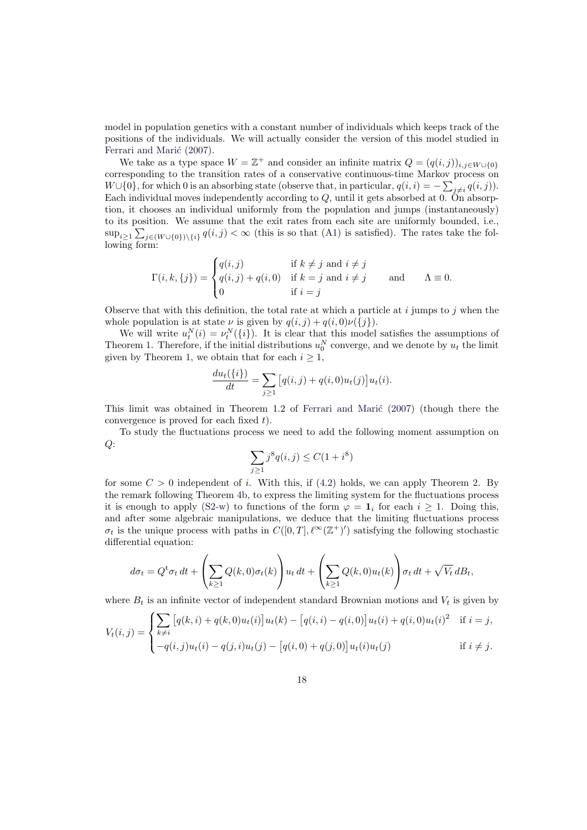model in population genetics with a constant number of individuals which keeps track of the positions of the individuals. We will actually consider the version of this model studied in Ferrari and Marić (2007).

We take as a type space  $W = \mathbb{Z}^+$  and consider an infinite matrix  $Q = (q(i,j))_{i,j \in W \cup \{0\}}$ corresponding to the transition rates of a conservative continuous-time Markov process on  $W \cup \{0\}$ , for which 0 is an absorbing state (observe that, in particular,  $q(i, i) = -\sum_{j \neq i} q(i, j)$ ). [Each individual m](#page-36-11)o[ves in](#page-36-11)dependently according to  $Q$ , until it gets absorbed at 0. On absorption, it chooses an individual uniformly from the population and jumps (instantaneously) to its position. We assume that the exit rates from each site are uniformly bounded, i.e., P  $\sup_{i\geq 1}\sum_{j\in (W\cup\{0\})\setminus\{i\}}q(i,j)<\infty$  (this is so that (A1) is satisfied). The rates take the following form:

$$
\Gamma(i,k,\{j\}) = \begin{cases} q(i,j) & \text{if } k \neq j \text{ and } i \neq j \\ q(i,j) + q(i,0) & \text{if } k = j \text{ and } i \neq j \\ 0 & \text{if } i = j \end{cases} \quad \text{and} \quad \Lambda \equiv 0.
$$

Observe that with this definition, the total rate at which a particle at  $i$  jumps to  $j$  when the whole population is at state  $\nu$  is given by  $q(i, j) + q(i, 0)\nu({j}).$ 

We will write  $u_t^N(i) = \nu_t^N(\{i\})$ . It is clear that this model satisfies the assumptions of Theorem 1. Therefore, if the initial distributions  $u_0^N$  converge, and we denote by  $u_t$  the limit given by Theorem 1, we obtain that for each  $i \geq 1$ ,

$$
\frac{du_t(\{i\})}{dt} = \sum_{j\geq 1} [q(i,j) + q(i,0)u_t(j)]u_t(i).
$$

This limit was o[bta](#page-5-0)ined in Theorem 1.2 of Ferrari and Mari $\epsilon$  (2007) (though there the convergence is proved for each fixed t).

To study the fluctuations process we need to add the following moment assumption on  $Q$ :

$$
\sum_{j\geq 1} j^8 q(i,j) \leq C(1+i^8)
$$

for some  $C > 0$  independent of i. With this, if (4.2) holds, we can apply Theorem 2. By the remark following Theorem 4b, to express the limiting system for the fluctuations process it is enough to apply (S2-w) to functions of the form  $\varphi = \mathbf{1}_i$  for each  $i \geq 1$ . Doing this, and after some algebraic manipulations, we deduce that the limiting fluctuations process  $\sigma_t$  is the unique process with paths in  $C([0,T], \ell^{\infty}(\mathbb{Z}^+)')$  $C([0,T], \ell^{\infty}(\mathbb{Z}^+)')$  $C([0,T], \ell^{\infty}(\mathbb{Z}^+)')$  satisfying the following sto[ch](#page-12-0)astic differential equation:

$$
d\sigma_t = Q^t \sigma_t dt + \left(\sum_{k\geq 1} Q(k,0)\sigma_t(k)\right) u_t dt + \left(\sum_{k\geq 1} Q(k,0)u_t(k)\right) \sigma_t dt + \sqrt{V_t} dB_t,
$$

where  $B_t$  is an infinite vector of independent standard Brownian motions and  $V_t$  is given by

$$
V_t(i,j) = \begin{cases} \sum_{k \neq i} [q(k,i) + q(k,0)u_t(i)]u_t(k) - [q(i,i) - q(i,0)]u_t(i) + q(i,0)u_t(i)^2 & \text{if } i = j, \\ -q(i,j)u_t(i) - q(j,i)u_t(j) - [q(i,0) + q(j,0)]u_t(i)u_t(j) & \text{if } i \neq j. \end{cases}
$$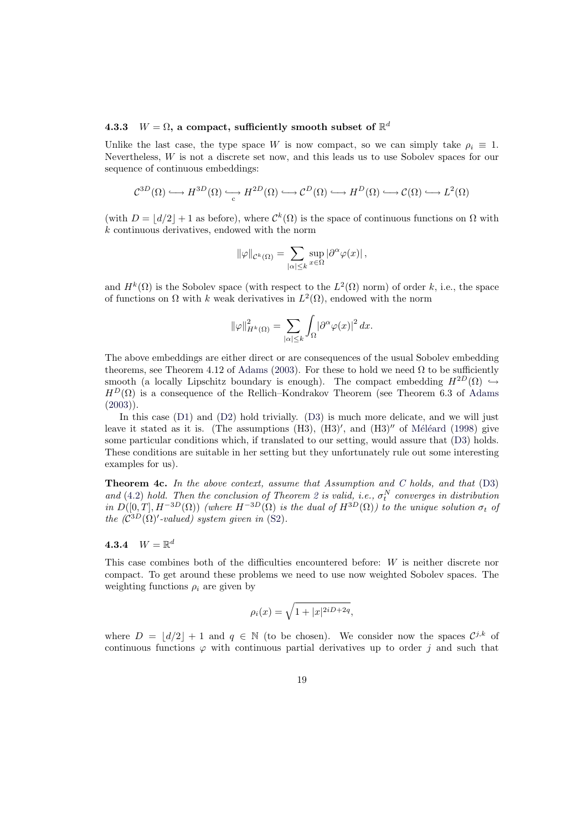### 4.3.3  $W = \Omega$ , a compact, sufficiently smooth subset of  $\mathbb{R}^d$

Unlike the last case, the type space W is now compact, so we can simply take  $\rho_i \equiv 1$ . Nevertheless,  $W$  is not a discrete set now, and this leads us to use Sobolev spaces for our sequence of continuous embeddings:

$$
\mathcal{C}^{3D}(\Omega) \longrightarrow H^{3D}(\Omega) \longrightarrow H^{2D}(\Omega) \longrightarrow \mathcal{C}^{D}(\Omega) \longrightarrow H^{D}(\Omega) \longrightarrow \mathcal{C}(\Omega) \longrightarrow L^{2}(\Omega)
$$

(with  $D = |d/2| + 1$  as before), where  $\mathcal{C}^k(\Omega)$  is the space of continuous functions on  $\Omega$  with k continuous derivatives, endowed with the norm

$$
\|\varphi\|_{\mathcal{C}^k(\Omega)} = \sum_{|\alpha| \leq k} \sup_{x \in \Omega} |\partial^{\alpha} \varphi(x)|,
$$

and  $H^k(\Omega)$  is the Sobolev space (with respect to the  $L^2(\Omega)$  norm) of order k, i.e., the space of functions on  $\Omega$  with k weak derivatives in  $L^2(\Omega)$ , endowed with the norm

$$
\|\varphi\|_{H^k(\Omega)}^2=\sum_{|\alpha|\leq k}\int_\Omega|\partial^\alpha\varphi(x)|^2\,dx.
$$

The above embeddings are either direct or are consequences of the usual Sobolev embedding theorems, see Theorem 4.12 of Adams (2003). For these to hold we need  $\Omega$  to be sufficiently smooth (a locally Lipschitz boundary is enough). The compact embedding  $H^{2D}(\Omega) \hookrightarrow$  $H^D(\Omega)$  is a consequence of the Rellich–Kondrakov Theorem (see Theorem 6.3 of Adams  $(2003)$ ).

In this case (D1) and (D2) [hold tr](#page-35-1)i[vially](#page-35-1). (D3) is much more delicate, and we will just leave it stated as it is. (The assumptions  $(H3)$ ,  $(H3)'$ , and  $(H3)''$  of Méléard (1998) give some particular conditions which, if translated to our setting, would assure that (D3[\) holds.](#page-35-1) [These](#page-35-1) conditions are suitable in her setting but they unfortunately rule out some interesting examples for us)[.](#page-11-0)

**Theorem 4c.** In the above context, assume that Assumption and C [holds, and](#page-37-1) [th](#page-11-4)[at](#page-37-1)  $(D3)$ and (4.2) hold. Then the conclusion of Theorem 2 is valid, i.e.,  $\sigma_t^N$  converges in distribution in  $D([0,T], H^{-3D}(\Omega))$  (where  $H^{-3D}(\Omega)$  is the dual of  $H^{3D}(\Omega)$ ) to the unique solution  $\sigma_t$  of the  $(\mathcal{C}^{3D}(\Omega)^\prime$ -valued) system given in (S2).

### <span id="page-18-1"></span>[4](#page-12-3).3.4  $W = \mathbb{R}^d$

<span id="page-18-0"></span>This case combines both of the diffic[ulti](#page-12-1)es encountered before: W is neither discrete nor compact. To get around these problems we need to use now weighted Sobolev spaces. The weighting functions  $\rho_i$  are given by

$$
\rho_i(x) = \sqrt{1+|x|^{2iD+2q}},
$$

where  $D = |d/2| + 1$  and  $q \in \mathbb{N}$  (to be chosen). We consider now the spaces  $\mathcal{C}^{j,k}$  of continuous functions  $\varphi$  with continuous partial derivatives up to order j and such that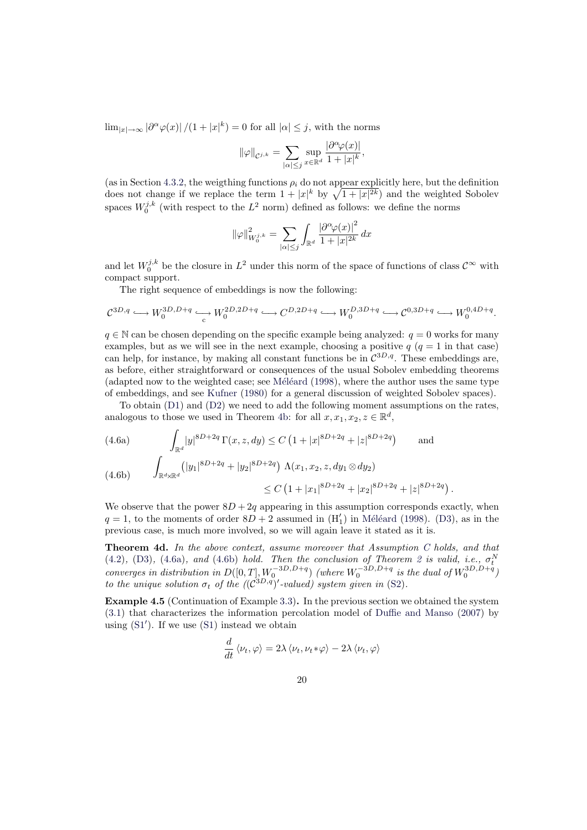$\lim_{|x|\to\infty} |\partial^{\alpha}\varphi(x)|/(1+|x|^k)=0$  for all  $|\alpha|\leq j$ , with the norms

$$
\|\varphi\|_{\mathcal{C}^{j,k}} = \sum_{|\alpha| \leq j} \sup_{x \in \mathbb{R}^d} \frac{|\partial^{\alpha} \varphi(x)|}{1 + |x|^k},
$$

(as in Section 4.3.2, the weigthing functions  $\rho_i$  do not appear explicitly here, but the definition (as in Section 4.3.2, the weigthing functions  $\rho_i$  do not appear explicitly here, but the definition does not change if we replace the term  $1 + |x|^k$  by  $\sqrt{1 + |x|^{2k}}$  and the weighted Sobolev spaces  $W_0^{j,k}$  (with respect to the  $L^2$  norm) defined as follows: we define the norms

$$
\|\varphi\|_{W_0^{j,k}}^2 = \sum_{|\alpha| \le j} \int_{\mathbb{R}^d} \frac{|\partial^{\alpha}\varphi(x)|^2}{1 + |x|^{2k}} \, dx
$$

and let  $W_0^{j,k}$  be the closure in  $L^2$  under this norm of the space of functions of class  $\mathcal{C}^{\infty}$  with compact support.

The right sequence of embeddings is now the following:

$$
\mathcal{C}^{3D,q} \longrightarrow W_0^{3D,D+q} \longrightarrow W_0^{2D,2D+q} \longrightarrow C^{D,2D+q} \longrightarrow W_0^{D,3D+q} \longrightarrow \mathcal{C}^{0,3D+q} \longrightarrow W_0^{0,4D+q}.
$$

 $q \in \mathbb{N}$  can be chosen depending on the specific example being analyzed:  $q = 0$  works for many examples, but as we will see in the next example, choosing a positive  $q$  ( $q = 1$  in that case) can help, for instance, by making all constant functions be in  $\mathcal{C}^{3D,q}$ . These embeddings are, as before, either straightforward or consequences of the usual Sobolev embedding theorems (adapted now to the weighted case; see M $\acute{e}$ eard (1998), where the author uses the same type of embeddings, and see Kufner (1980) for a general discussion of weighted Sobolev spaces).

To obtain (D1) and (D2) we need to add the following moment assumptions on the rates, analogous to those we used in Theorem 4b: for all  $x, x_1, x_2, z \in \mathbb{R}^d$ ,

(4.6a) 
$$
\int_{\mathbb{R}^d} |y|^{8D+2q} \Gamma(x, z, dy) \le C \left(1 + |x|^{8D+2q} + |z|^{8D+2q}\right) \quad \text{and}
$$

<span id="page-19-0"></span>(4.6b) 
$$
\int_{\mathbb{R}^d \times \mathbb{R}^d} (|y_1|^{8D+2q} + |y_2|^{8D+2q}) \Lambda(x_1, x_2, z, dy_1 \otimes dy_2) \leq C \left(1 + |x_1|^{8D+2q} + |x_2|^{8D+2q} + |z|^{8D+2q}\right).
$$

<span id="page-19-1"></span>We observe that the power  $8D + 2q$  appearing in this assumption corresponds exactly, when  $q = 1$ , to the moments of order  $8D + 2$  assumed in  $(H'_1)$  in Méléard (1998). (D3), as in the previous case, is much more involved, so we will again leave it stated as it is.

Theorem 4d. In the above context, assume moreover that Assumption C holds, and that (4.2), (D3), (4.6a), and (4.6b) hold. Then the conclusion of Theorem 2 is valid, i.e.,  $\sigma_t^N$ (4.2), (D3), (4.0a), and (4.0b) notal. Then the conclusion of Theorem 2 is valid, i.e.,  $o_t$ <br>converges in distribution in  $D([0,T], W_0^{-3D, D+q})$  (where  $W_0^{-3D, D+q}$  i[s the d](#page-37-1)ua[l of](#page-11-4)  $W_0^{3D, D+q}$ ) to the unique solution  $\sigma_t$  of the  $((\mathcal{C}^{3D,q})'$ -valued) system given in (S2).

<span id="page-19-2"></span>Example 4.5 (Continuation of Example 3.3). In the previous section we o[bta](#page-10-1)ined the system [\(3.1\)](#page-12-3) t[hat](#page-11-4) ch[aract](#page-19-0)erizes t[he in](#page-19-1)formation percolation model of Duffie a[nd](#page-12-0) Manso (2007) by using  $(S1')$ . If we use  $(S1)$  instead we obtain

$$
\frac{d}{dt}\left\langle \nu_t, \varphi \right\rangle = 2\lambda \left\langle \nu_t, \nu_t * \varphi \right\rangle - 2\lambda \left\langle \nu_t, \varphi \right\rangle
$$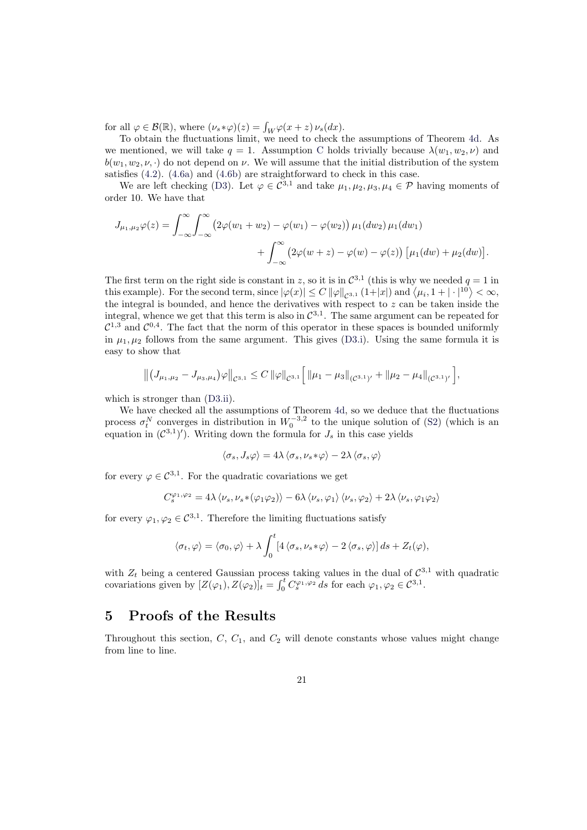for all  $\varphi \in \mathcal{B}(\mathbb{R})$ , where  $(\nu_s * \varphi)(z) = \int_W \varphi(x+z) \nu_s(dx)$ .

To obtain the fluctuations limit, we need to check the assumptions of Theorem 4d. As we mentioned, we will take  $q = 1$ . Assumption C holds trivially because  $\lambda(w_1, w_2, \nu)$  and  $b(w_1, w_2, \nu, \cdot)$  do not depend on  $\nu$ . We will assume that the initial distribution of the system satisfies (4.2). (4.6a) and (4.6b) are straightforward to check in this case.

We are left checking (D3). Let  $\varphi \in C^{3,1}$  and take  $\mu_1, \mu_2, \mu_3, \mu_4 \in \mathcal{P}$  having mo[ment](#page-19-2)s of order 10. We have that

$$
J_{\mu_1,\mu_2}\varphi(z) = \int_{-\infty}^{\infty} \int_{-\infty}^{\infty} \left(2\varphi(w_1+w_2) - \varphi(w_1) - \varphi(w_2)\right) \mu_1(dw_2) \mu_1(dw_1
$$

$$
+ \int_{-\infty}^{\infty} \left(2\varphi(w+z) - \varphi(w) - \varphi(z)\right) \left[\mu_1(dw) + \mu_2(dw)\right].
$$

The first term on the right side is constant in z, so it is in  $\mathcal{C}^{3,1}$  (this is why we needed  $q=1$  in The first term on the right side is constant in z, so it is in  $C^{3,2}$  (this is why we needed  $q = 1$  in this example). For the second term, since  $|\varphi(x)| \leq C ||\varphi||_{C^{3,1}} (1+|x|)$  and  $\langle \mu_i, 1 + |\cdot|^{10} \rangle < \infty$ , the integral is bounded, and hence the derivatives with respect to  $z$  can be taken inside the integral, whence we get that this term is also in  $\mathcal{C}^{3,1}$ . The same argument can be repeated for  $C^{1,3}$  and  $C^{0,4}$ . The fact that the norm of this operator in these spaces is bounded uniformly in  $\mu_1, \mu_2$  follows from the same argument. This gives (D3.i). Using the same formula it is easy to show that

$$
\left\|\left(J_{\mu_1,\mu_2}-J_{\mu_3,\mu_4}\right)\varphi\right\|_{\mathcal{C}^{3,1}}\leq C\left\|\varphi\right\|_{\mathcal{C}^{3,1}}\left[\left\|\mu_1-\mu_3\right\|_{(\mathcal{C}^{3,1})'}+\left\|\mu_2-\mu_4\right\|_{(\mathcal{C}^{3,1})'}\right],
$$

which is stronger than  $(D3.ii)$ .

We have checked all the assumptions of Theorem 4d, so we deduce that the fluctuations process  $\sigma_t^N$  converges in distribution in  $W_0^{-3,2}$  to the unique solution of (S2) (which is an equation in  $(\mathcal{C}^{3,1})'$ ). Writing down the formula for  $J_s$  in this case yields

$$
\langle \sigma_s, J_s \varphi \rangle = 4\lambda \langle \sigma_s, \nu_s * \varphi \rangle - 2\lambda \langle \sigma_s, \varphi \rangle
$$

for every  $\varphi \in C^{3,1}$ . For the quadratic covariations we get

$$
C_{s}^{\varphi_{1},\varphi_{2}}=4\lambda\left\langle \nu_{s},\nu_{s}\ast(\varphi_{1}\varphi_{2})\right\rangle -6\lambda\left\langle \nu_{s},\varphi_{1}\right\rangle \left\langle \nu_{s},\varphi_{2}\right\rangle +2\lambda\left\langle \nu_{s},\varphi_{1}\varphi_{2}\right\rangle
$$

for every  $\varphi_1, \varphi_2 \in C^{3,1}$ . Therefore the limiting fluctuations satisfy

$$
\langle \sigma_t, \varphi \rangle = \langle \sigma_0, \varphi \rangle + \lambda \int_0^t \left[ 4 \langle \sigma_s, \nu_s * \varphi \rangle - 2 \langle \sigma_s, \varphi \rangle \right] ds + Z_t(\varphi),
$$

with  $Z_t$  being a centered Gaussian process taking values in the dual of  $C^{3,1}$  with quadratic with  $Z_t$  being a centered Gaussian process<br>covariations given by  $[Z(\varphi_1), Z(\varphi_2)]_t = \int_0^t$  $\int_0^t C_s^{\varphi_1,\varphi_2} ds$  for each  $\varphi_1,\varphi_2 \in C^{3,1}$ .

# 5 Proofs of the Results

<span id="page-20-0"></span>Throughout this section,  $C$ ,  $C_1$ , and  $C_2$  will denote constants whose values might change from line to line.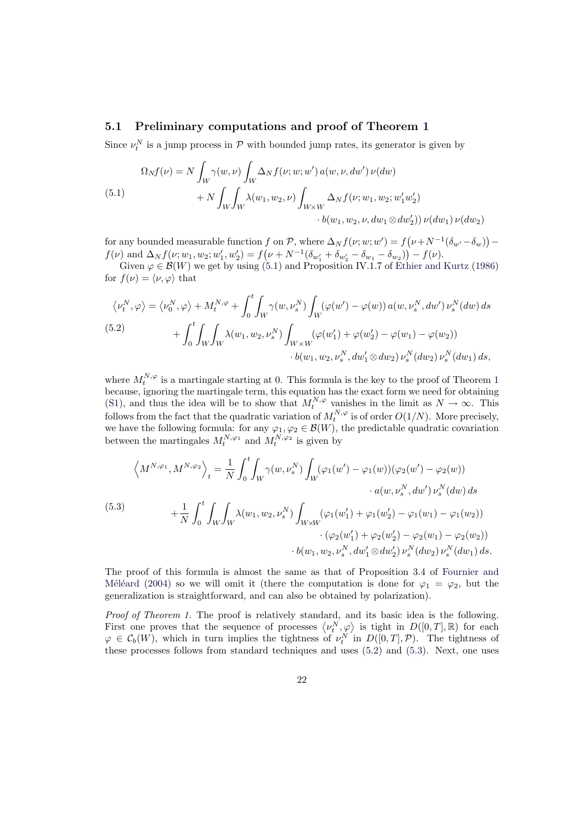### 5.1 Preliminary computations and proof of Theorem 1

Since  $\nu_t^N$  is a jump process in  $P$  with bounded jump rates, its generator is given by

(5.1)  
\n
$$
\Omega_N f(\nu) = N \int_W \gamma(w, \nu) \int_W \Delta_N f(\nu; w; w') a(w, \nu, dw') \nu(dw) + N \int_W \int_W \lambda(w_1, w_2, \nu) \int_{W \times W} \Delta_N f(\nu; w_1, w_2; w'_1 w'_2) + N \int_W \int_W \lambda(w_1, w_2, \nu) \int_{W \times W} \Delta_N f(\nu; w_1, w_2; w'_1 w'_2) \nu(dw_1) \nu(dw_2)
$$

<span id="page-21-0"></span>for any bounded measurable function f on  $\mathcal{P}$ , where  $\Delta_N f(\nu; w; w') = f$  $(\nu+N^{-1}(\delta_{w'}-\delta_w))$ ¢  $f$  on P, where  $\Delta_N f(\nu; w; w') = f(\nu + N^{-1}(\delta_{w'} - \delta_w))$  $f(\nu)$  and  $\Delta_N f(\nu; w_1, w_2; w_1', w_2') = f(\nu + N^{-1}(\delta_{w_1'} + \delta_{w_2'} - \delta_{w_1} - \delta_{w_2})) - f(\nu)$ .

Given  $\varphi \in \mathcal{B}(W)$  we get by using (5.1) and Proposition IV.1.7 of Ethier and Kurtz (1986) for  $f(\nu) = \langle \nu, \varphi \rangle$  that

$$
\langle \nu_t^N, \varphi \rangle = \langle \nu_0^N, \varphi \rangle + M_t^{N, \varphi} + \int_0^t \int_W \gamma(w, \nu_s^N) \int_W (\varphi(w') - \varphi(w)) a(w, \nu_s^N, dw') \nu_s^N(dw) ds + \int_0^t \int_W \int_W \lambda(w_1, w_2, \nu_s^N) \int_{W \times W} (\varphi(w'_1) + \varphi(w'_2) - \varphi(w_1) - \varphi(w_2)) \cdot b(w_1, w_2, \nu_s^N, dw'_1 \otimes dw_2) \nu_s^N(dw_1) ds,
$$

<span id="page-21-2"></span>where  $M_t^{N,\varphi}$  is a martingale starting at 0. This formula is the key to the proof of Theorem 1 because, ignoring the martingale term, this equation has the exact form we need for obtaining (S1), and thus the idea will be to show that  $M_t^{N,\varphi}$  vanishes in the limit as  $N \to \infty$ . This follows from the fact that the quadratic variation of  $M_t^{N,\varphi}$  is of order  $O(1/N)$ . More precisely, we have the followi[n](#page-5-0)g formula: for any  $\varphi_1, \varphi_2 \in \mathcal{B}(W)$ , the predictable quadratic covariation between the martingales  $M_t^{N,\varphi_1}$  and  $M_t^{N,\varphi_2}$  is given by

$$
\left\langle M^{N,\varphi_1}, M^{N,\varphi_2} \right\rangle_t = \frac{1}{N} \int_0^t \int_W \gamma(w, \nu_s^N) \int_W (\varphi_1(w') - \varphi_1(w)) (\varphi_2(w') - \varphi_2(w)) \n\cdot a(w, \nu_s^N, dw') \nu_s^N(dw) ds \n+ \frac{1}{N} \int_0^t \int_W \int_W \lambda(w_1, w_2, \nu_s^N) \int_{W \times W} (\varphi_1(w'_1) + \varphi_1(w'_2) - \varphi_1(w_1) - \varphi_1(w_2)) \n\cdot (\varphi_2(w'_1) + \varphi_2(w'_2) - \varphi_2(w_1) - \varphi_2(w_2)) \n\cdot b(w_1, w_2, \nu_s^N, dw'_1 \otimes dw'_2) \nu_s^N(dw_2) \nu_s^N(dw_1) ds.
$$

<span id="page-21-1"></span>The proof of this formula is almost the same as that of Proposition 3.4 of Fournier and M'el'eard (2004) so we will omit it (there the computation is done for  $\varphi_1 = \varphi_2$ , but the generalization is straightforward, and can also be obtained by polarization).

Proof of Theorem 1. The proof is relatively standard, and its basic idea is [the following.](#page-36-6) *Froot of Theorem 1.* The proof is relatively standard, and its basic idea is the following.<br>[First on](#page-36-6)e [prove](#page-36-6)s that the sequence of processes  $\langle \nu_i^N, \varphi \rangle$  is tight in  $D([0,T], \mathbb{R})$  for each  $\varphi \in \mathcal{C}_b(W)$ , which in turn implies the tightness of  $\nu_t^N$  in  $D([0,T], \mathcal{P})$ . The tightness of these processes follows from standard techniques and uses (5.2) and (5.3). Next, one uses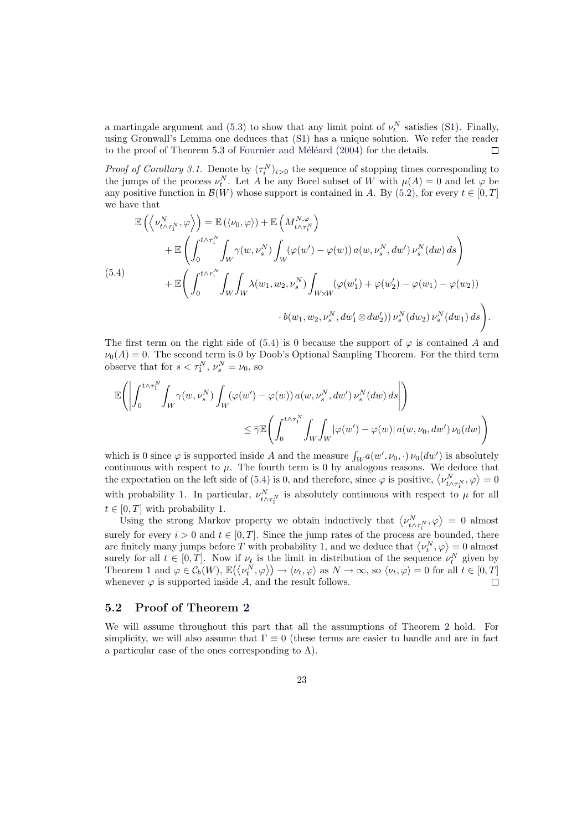a martingale argument and (5.3) to show that any limit point of  $\nu_t^N$  satisfies (S1). Finally, using Gronwall's Lemma one deduces that (S1) has a unique solution. We refer the reader to the proof of Theorem 5.3 of Fournier and Méléard  $(2004)$  for the details.  $\Box$ 

*Proof of Corollary 3.1.* Denote by  $(\tau_i^N)_{i>0}$  the sequence of stopping times corresponding to the jumps of the process  $\nu_t^N$ [. Le](#page-21-1)t A be any Borel subset of W with  $\mu(A) = 0$  [and](#page-5-2) let  $\varphi$  be any positive function in  $\mathcal{B}(W)$  [whose suppor](#page-36-6)[t is](#page-5-2) [conta](#page-36-6)i[ned in](#page-36-6) A. By (5.2), for every  $t \in [0, T]$ we have that  $\frac{1}{2}$  $\overline{a}$ ´

$$
\mathbb{E}\left(\left\langle\nu_{t\wedge\tau_{1}^{N}}^{N},\varphi\right\rangle\right)=\mathbb{E}\left(\left\langle\nu_{0},\varphi\right\rangle\right)+\mathbb{E}\left(M_{t\wedge\tau_{1}^{N}}^{N,\varphi}\right) \n+\mathbb{E}\left(\int_{0}^{t\wedge\tau_{1}^{N}}\int_{W}\gamma(w,\nu_{s}^{N})\int_{W}(\varphi(w')-\varphi(w)) a(w,\nu_{s}^{N},dw')\,\nu_{s}^{N}(dw)\,ds\right) \n+\mathbb{E}\left(\int_{0}^{t\wedge\tau_{1}^{N}}\int_{W}\int_{W}\lambda(w_{1},w_{2},\nu_{s}^{N})\int_{W\times W}(\varphi(w'_{1})+\varphi(w'_{2})-\varphi(w_{1})-\varphi(w_{2})) \n\cdot b(w_{1},w_{2},\nu_{s}^{N},dw'_{1}\otimes dw'_{2}))\,\nu_{s}^{N}(dw_{2})\,\nu_{s}^{N}(dw_{1})\,ds\right).
$$

<span id="page-22-0"></span>The first term on the right side of (5.4) is 0 because the support of  $\varphi$  is contained A and  $\nu_0(A) = 0$ . The second term is 0 by Doob's Optional Sampling Theorem. For the third term observe that for  $s < \tau_1^N$ ,  $\nu_s^N = \nu_0$ , so

$$
\mathbb{E}\Bigg(\Bigg|\int_{0}^{t\wedge\tau_{1}^{N}}\int_{W}\gamma(w,\nu_{s}^{N})\int_{W}(\varphi(w')-\varphi(w))\,a(w,\nu_{s}^{N},dw')\,\nu_{s}^{N}(dw)\,ds\Bigg|\Bigg)\\qquad \qquad \leq\overline{\gamma}\mathbb{E}\Bigg(\int_{0}^{t\wedge\tau_{1}^{N}}\int_{W}\int_{W}|\varphi(w')-\varphi(w)|\,a(w,\nu_{0},dw')\,\nu_{0}(dw)\Bigg)
$$

which is 0 since  $\varphi$  is supported inside A and the measure  $\int_W a(w', \nu_0, \cdot) \nu_0(dw')$  is absolutely continuous with respect to  $\mu$ . The fourth term is 0 by analogous reasons. We deduce that continuous with respect to  $\mu$ . The fourth term is 0 by analogous reasons. We deduce that the expectation on the left side of (5.4) is 0, and therefore, since  $\varphi$  is positive,  $\langle \nu_{t \wedge \tau_1^N}^N, \varphi \rangle = 0$ with probability 1. In particular,  $\nu_{t \wedge \tau_1^N}^N$  is absolutely continuous with respect to  $\mu$  for all  $t \in [0, T]$  with probability 1.

[U, I] with probability 1.<br>Using the strong Markov property we obtain inductively that  $\langle \nu_{t \wedge \tau_i^N}^N, \varphi \rangle = 0$  almost surely for every  $i > 0$  and  $t \in [0, T]$ . Since the jump rates of the process are bounded, there surely for every  $i > 0$  and  $t \in [0, 1]$ . Since the jump rates of the process are bounded, there are finitely many jumps before T with probability 1, and we deduce that  $\langle \nu_i^N, \varphi \rangle = 0$  almost surely for all  $t \in [0, T]$ . Now if  $\nu_t$  is the limit in distribution of the sequence  $\nu_t^N$  given by surely for all  $t \in [0, T]$ . Now if  $\nu_t$  is the limit in distribution of the sequence  $\nu_t^{\perp}$  given by<br>Theorem 1 and  $\varphi \in C_b(W)$ ,  $\mathbb{E}(\langle \nu_t^N, \varphi \rangle) \to \langle \nu_t, \varphi \rangle$  as  $N \to \infty$ , so  $\langle \nu_t, \varphi \rangle = 0$  for all  $t \in [0, T]$ whenever  $\varphi$  is supported inside A, and the result follows.  $\Box$ 

### 5.2 Proof of Theorem 2

We will [as](#page-5-0)sume throughout this part that all the assumptions of Theorem 2 hold. For simplicity, we will also assume that  $\Gamma \equiv 0$  (these terms are easier to handle and are in fact a particular case of the ones co[rres](#page-12-0)ponding to  $\Lambda$ ).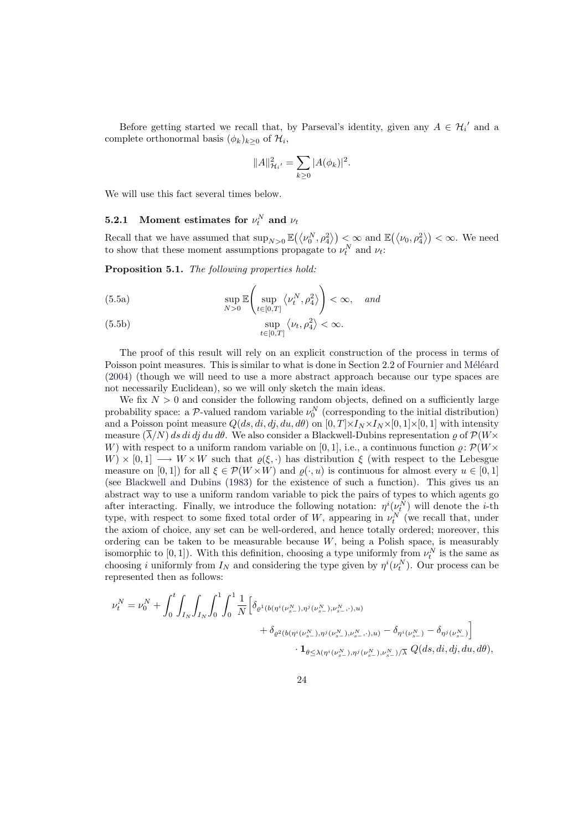Before getting started we recall that, by Parseval's identity, given any  $A \in \mathcal{H}'_i$  and a complete orthonormal basis  $(\phi_k)_{k \geq 0}$  of  $\mathcal{H}_i$ ,

$$
||A||_{\mathcal{H}_i'}^2 = \sum_{k \ge 0} |A(\phi_k)|^2.
$$

We will use this fact several times below.

# **5.2.1** Moment estimates for  $\nu_t^N$  and  $\nu_t$

Recall that we have assumed that  $\sup_{N>0} \mathbb{E}(\langle \nu_0^N, \rho_4^2 \rangle) < \infty$  and  $\mathbb{E}(\langle \nu_0, \rho_4^2 \rangle) < \infty$ . We need to show that these moment assumptions propagate to  $\nu_t^N$  and  $\nu_t$ :

Proposition 5.1. The following properties hold:

(5.5a) 
$$
\sup_{N>0} \mathbb{E}\left(\sup_{t\in[0,T]} \left\langle \nu_t^N, \rho_4^2 \right\rangle\right) < \infty, \quad \text{and}
$$

<span id="page-23-2"></span>(5.5b) 
$$
\sup_{t \in [0,T]} \langle \nu_t, \rho_4^2 \rangle < \infty.
$$

<span id="page-23-1"></span><span id="page-23-0"></span>The proof of this result will rely on an explicit construction of the process in terms of Poisson point measures. This is similar to what is done in Section 2.2 of Fournier and Méléard (2004) (though we will need to use a more abstract approach because our type spaces are not necessarily Euclidean), so we will only sketch the main ideas.

We fix  $N > 0$  and consider the following random objects, defined on a sufficiently large probability space: a  $P$ -valued random variable  $\nu_0^N$  (corresponding to t[he initial distribution\)](#page-36-6) [and a](#page-36-6) Poisson point measure  $Q(ds, di, di, di, d\theta)$  on  $[0, T] \times I_N \times I_N \times [0, 1] \times [0, 1]$  with intensity measure  $(\overline{\lambda}/N)$  ds di dj du d $\theta$ . We also consider a Blackwell-Dubins representation  $\rho$  of  $\mathcal{P}(W\times$ W) with respect to a uniform random variable on [0, 1], i.e., a continuous function  $\rho: \mathcal{P}(W\times$  $W) \times [0,1] \longrightarrow W \times W$  such that  $\varrho(\xi, \cdot)$  has distribution  $\xi$  (with respect to the Lebesgue measure on [0, 1]) for all  $\xi \in \mathcal{P}(W \times W)$  and  $\varrho(\cdot, u)$  is continuous for almost every  $u \in [0, 1]$ (see Blackwell and Dubins (1983) for the existence of such a function). This gives us an abstract way to use a uniform random variable to pick the pairs of types to which agents go after interacting. Finally, we introduce the following notation:  $\eta^{i}(\nu_{t}^{N})$  will denote the *i*-th type, with respect to some fixed total order of W, appearing in  $\nu_t^N$  (we recall that, under the [axiom of choice, any se](#page-36-12)t [can b](#page-36-12)e well-ordered, and hence totally ordered; moreover, this ordering can be taken to be measurable because  $W$ , being a Polish space, is measurably isomorphic to  $[0,1]$ ). With this definition, choosing a type uniformly from  $\nu_t^N$  is the same as choosing i uniformly from  $I_N$  and considering the type given by  $\eta^{i}(\nu_i^N)$ . Our process can be represented then as follows:

$$
\begin{split} \nu^N_t &= \nu^N_0 + \int_0^t \! \int_{I_N} \! \int_{I_N} \! \int_0^1 \! \int_0^1 \! \frac{1}{N} \Big[ \delta_{\varrho^1(b(\eta^i(\nu^N_{s-}),\eta^j(\nu^N_{s-}),\nu^N_{s-},\cdot),u)} \\ &\hspace{1cm} + \delta_{\varrho^2(b(\eta^i(\nu^N_{s-}),\eta^j(\nu^N_{s-}),\nu^N_{s-},\cdot),u)} - \delta_{\eta^i(\nu^N_{s-})} - \delta_{\eta^j(\nu^N_{s-})} \Big] \\ &\hspace{1cm} \cdot {\bf 1}_{\theta \leq \lambda(\eta^i(\nu^N_{s-}),\eta^j(\nu^N_{s-}),\nu^N_{s-})/\overline{\lambda}} \,\, Q(ds,di,dj,du, d\theta), \end{split}
$$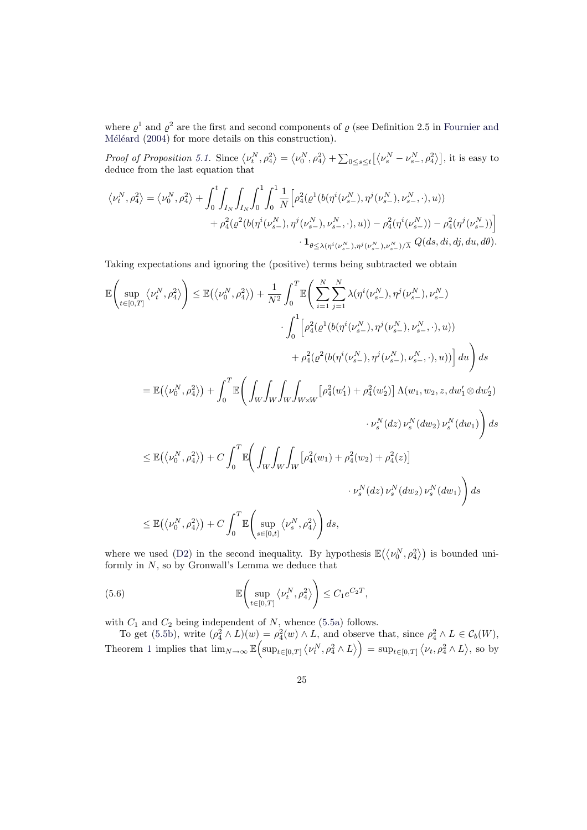where  $\varrho^1$  and  $\varrho^2$  are the first and second components of  $\varrho$  (see Definition 2.5 in Fournier and Méléard (2004) for more details on this construction).

Proof of Proposition 5.1. Since  $\langle \nu_t^N, \rho_4^2 \rangle$ ® =  $\overline{1}$  $\nu_0^N, \rho_4^2$ ®  $+\sum$  $\int_{0 \leq s \leq t} \left[ \langle \nu_s^N - \nu_{s-}^N, \rho_4^2 \rangle \right]$ , it is easy to deduce from the last equation that

$$
\begin{aligned} \left<\nu_t^N,\rho_4^2\right> &= \left<\nu_0^N,\rho_4^2\right> + \int_0^t\!\int_{I_N}\!\int_{I_N}\!\int_0^1\!\int_0^1\!\frac{1}{N}\Big[\rho_4^2\big(\varrho^1\big(b\big(\eta^i(\nu_{s-}^N),\eta^j(\nu_{s-}^N),\nu_{s-}^N,\cdot\big),u\big)\big) \\ &\quad + \rho_4^2\big(\varrho^2\big(b\big(\eta^i(\nu_{s-}^N),\eta^j(\nu_{s-}^N),\nu_{s-}^N,\cdot\big),u\big)\big) - \rho_4^2\big(\eta^i(\nu_{s-}^N)\big) - \rho_4^2\big(\eta^j(\nu_{s-}^N)\big)\Big] \\ &\qquad \qquad \cdot {\bf 1}_{\theta \le \lambda \left(\eta^i(\nu_{s-}^N),\eta^j(\nu_{s-}^N),\nu_{s-}^N\right)/\overline{\lambda}} \,\,Q\big(ds,di,dj,du,dd\big). \end{aligned}
$$

Taking expectations and ignoring the (positive) terms being subtracted we obtain

$$
\begin{split} \mathbb{E}\biggl(\sup_{t\in[0,T]}\big\langle\nu_i^N,\rho_4^2\big\rangle\biggr) &\leq \mathbb{E}\bigl(\big\langle\nu_0^N,\rho_4^2\big\rangle\biggr) + \frac{1}{N^2}\int_0^T\mathbb{E}\biggl(\sum_{i=1}^N\sum_{j=1}^N\lambda(\eta^i(\nu_{s-}^N),\eta^j(\nu_{s-}^N),\nu_{s-}^N)\\ &\qquad\cdot\int_0^1\Bigl[\rho_4^2\bigl(\varrho^1(b(\eta^i(\nu_{s-}^N),\eta^j(\nu_{s-}^N),\nu_{s-}^N,\cdot),u)\bigr)\\ &\qquad\qquad + \rho_4^2\bigl(\varrho^2(b(\eta^i(\nu_{s-}^N),\eta^j(\nu_{s-}^N),\nu_{s-}^N,\cdot),u)\bigr)\Bigr]\,du\biggr)\,ds\\ &\leq \mathbb{E}\bigl(\big\langle\nu_0^N,\rho_4^2\big\rangle\bigr) + \int_0^T\mathbb{E}\biggl(\int_W\int_W\int_W\int_{W\times W}\bigl[\rho_4^2(w_1')+\rho_4^2(w_2')\bigr]\,\Lambda(w_1,w_2,z,dw_1'\otimes dw_2')\\ &\qquad\cdot\nu_s^N(dz)\,\nu_s^N(dw_2)\,\nu_s^N(dw_1)\biggr)\,ds\\ &\leq \mathbb{E}\bigl(\big\langle\nu_0^N,\rho_4^2\big\rangle\bigr) + C\int_0^T\mathbb{E}\biggl(\int_W\int_W\int_W\bigl[\rho_4^2(w_1)+\rho_4^2(w_2)+\rho_4^2(z)\bigr]\\ &\qquad\cdot\nu_s^N(dz)\,\nu_s^N(dw_2)\,\nu_s^N(dw_1)\biggr)\,ds\\ &\leq \mathbb{E}\bigl(\big\langle\nu_0^N,\rho_4^2\big\rangle\bigr) + C\int_0^T\mathbb{E}\biggl(\sup_{s\in[0,t]}\big\langle\nu_s^N,\rho_4^2\big\rangle\biggr)\,ds, \end{split}
$$

where we used (D2) in the second inequality. By hypothesis  $\mathbb{E}(\langle \nu_0^N, \rho_4^2 \rangle)$  is bounded uniformly in  $N$ , so by Gronwall's Lemma we deduce that

(5.6) 
$$
\mathbb{E}\left(\sup_{t\in[0,T]}\left\langle \nu_t^N,\rho_4^2\right\rangle\right)\leq C_1e^{C_2T},
$$

with  $C_1$  and  $C_2$  being independent of N, whence (5.5a) follows.

<span id="page-24-0"></span>To get (5.5b), write  $(\rho_4^2 \wedge L)(w) = \rho_4^2(w) \wedge L$ , and observe that, since  $\rho_4^2 \wedge L \in C_b(W)$ , Theorem 1 implies that  $\lim_{N\to\infty} \mathbb{E}$  $^{\prime}$  $\sup_{t\in[0,T]}$  $\frac{1}{2}$  $\nu_t^N, \rho_4^2 \wedge L$ sei<br>、  $=$  sup<sub>t∈[0,T]</sub>  $\langle \nu_t, \rho_4^2 \wedge L \rangle$ ® , so by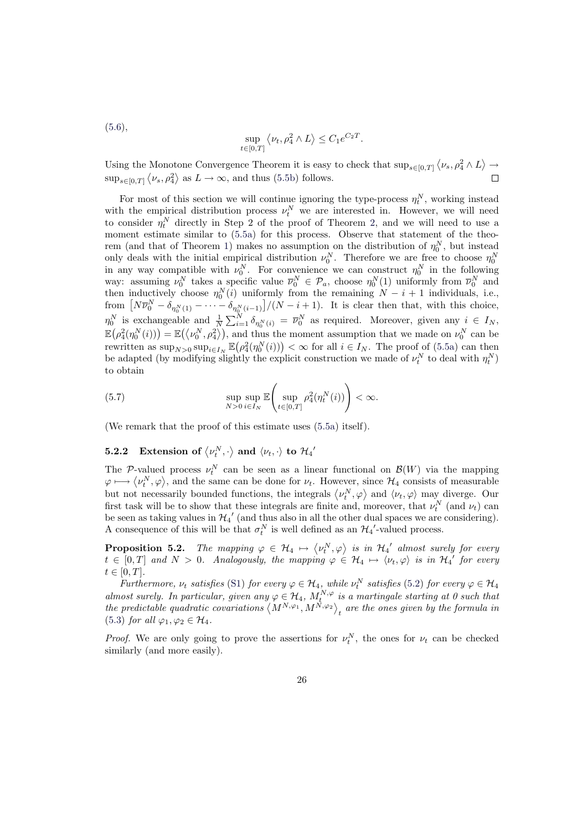$$
(5.6),
$$

$$
\sup_{t \in [0,T]} \left\langle \nu_t, \rho_4^2 \wedge L \right\rangle \le C_1 e^{C_2 T}.
$$

 $\langle \nu_s, \rho_4^2 \wedge L$ ® Using the Monotone Convergence Theorem it is easy to check that  $\sup_{s\in[0,T]}$ Monotone Convergence Theorem it is easy to check that  $\sup_{s\in[0,T]} \langle \nu_s, \rho_4^2 \wedge L \rangle \rightarrow$  $\sup_{s\in[0,T]}\langle\nu_s,\rho_4^2\rangle$  $\sup_{s\in[0,T]}\langle\nu_s,\rho_4^2\rangle$  $\sup_{s\in[0,T]}\langle\nu_s,\rho_4^2\rangle$  as  $L\to\infty$ , and thus (5.5b) follows.  $\Box$ 

For most of this section we will continue ignoring the type-process  $\eta_t^N$ , working instead with the empirical distribution process  $\nu_t^N$  we are interested in. However, we will need to consider  $\eta_t^N$  directly in Step 2 of t[he pr](#page-23-0)oof of Theorem 2, and we will need to use a moment estimate similar to (5.5a) for this process. Observe that statement of the theorem (and that of Theorem 1) makes no assumption on the distribution of  $\eta_0^N$ , but instead only deals with the initial empirical distribution  $\nu_0^N$ . Therefore we are free to choose  $\eta_0^N$ in any way [co](#page-12-0)mpatible with  $\nu_0^N$ . For convenience we can construct  $\eta_0^N$  in the following way: assuming  $\nu_0^N$  takes a s[pecific](#page-23-1) value  $\overline{\nu}_0^N \in \mathcal{P}_a$ , choose  $\eta_0^N(1)$  uniformly from  $\overline{\nu}_0^N$  and then inductively choose  $\eta_0^N(i)$  $\eta_0^N(i)$  $\eta_0^N(i)$  uniformly from the remaining  $N - i + 1$  individuals, i.e., then inductively choose  $\eta_0^{\sim}(i)$  uniformly from the remaining  $N - i + 1$  individuals, i.e.,<br>from  $[N\overline{\nu}_0^N - \delta_{\eta_0^N(1)} - \cdots - \delta_{\eta_0^N(i-1)}]/(N - i + 1)$ . It is clear then that, with this choice,  $\eta_0^N$  is exchangeable and  $\frac{1}{N}$  $\sum_{i=1}^{N} \delta_{\eta_0^N(i)} = \overline{\nu}_0^N$  as required. Moreover, given any  $i \in I_N$ , E ¡ is exemigeable and  $\overline{N} \sum_{i=1}^{\infty} o_{\eta_0^N(i)}^2 = \nu_0$  as required. Moreover, given any  $\ell \in I_N$ ,<br>  $\rho_4^2(\eta_0^N(i)) = \mathbb{E}(\langle \nu_0^N, \rho_4^2 \rangle)$ , and thus the moment assumption that we made on  $\nu_0^N$  can be  $\mathbb{E}(P_4(\eta_0(t))) = \mathbb{E}(\nabla_0, P_4)$ , and thus the moment assumption that we made on  $\nu_0$  can be rewritten as  $\sup_{N>0} \sup_{i\in I_N} \mathbb{E}(\rho_4^2(\eta_0^N(i))) < \infty$  for all  $i \in I_N$ . The proof of (5.5a) can then be adapted (by modifying slightly the explicit construction we made of  $\nu_t^N$  to deal with  $\eta_t^N$ ) to obtain

(5.7) 
$$
\sup_{N>0} \sup_{i\in I_N} \mathbb{E}\left(\sup_{t\in[0,T]} \rho_4^2(\eta_t^N(i))\right) < \infty.
$$

(We remark that the proof of this estimate uses (5.5a) itself).

#### <span id="page-25-1"></span>**5.2.2** Extension of  $\langle v_t^N, \cdot \rangle$ ® and  $\langle \nu_t, \cdot \rangle$  to  $\mathcal{H}_4^{\;\prime}$

The P-valued process  $\nu_t^N$  can be seen as a lin[ear fu](#page-23-1)nctional on  $\mathcal{B}(W)$  via the mapping The P-valued process  $\nu_i$  can be seen as a linear functional on  $\mathcal{B}(W)$  via the mapping  $\varphi \longmapsto \langle \nu_i^N, \varphi \rangle$ , and the same can be done for  $\nu_t$ . However, since  $\mathcal{H}_4$  consists of measurable  $\varphi \mapsto \varphi$ ,  $\varphi$ , and the same can be done for  $\nu_t$ . However, since  $\nu_t$  consists of measurable<br>but not necessarily bounded functions, the integrals  $\langle \nu_t^N, \varphi \rangle$  and  $\langle \nu_t, \varphi \rangle$  may diverge. Our first task will be to show that these integrals are finite and, moreover, that  $\nu_t^N$  (and  $\nu_t$ ) can be seen as taking values in  $\mathcal{H}_{4}'$  (and thus also in all the other dual spaces we are considering). A consequence of this will be that  $\sigma_t^N$  is well defined as an  $\mathcal{H}_4'$ -valued process.

**Proposition 5.2.** The mapping  $\varphi \in \mathcal{H}_4 \mapsto$  $\overline{1}$  $\langle \nu_t^N, \varphi \rangle$  is in  $\mathcal{H}_4{}'$  almost surely for every  $t \in [0,T]$  and  $N > 0$ . Analogously, the mapping  $\varphi \in \mathcal{H}_4 \mapsto \langle \nu_t, \varphi \rangle$  is in  $\mathcal{H}_4$  for every  $t\in[0,T].$ 

<span id="page-25-0"></span>Furthermore,  $\nu_t$  satisfies (S1) for every  $\varphi \in \mathcal{H}_4$ , while  $\nu_t^N$  satisfies (5.2) for every  $\varphi \in \mathcal{H}_4$ almost surely. In particular, given any  $\varphi \in \mathcal{H}_4$ ,  $M_t^{N,\varphi}$  is a martingale starting at 0 such that the predictable quadratic covariations  $\langle M^{N,\varphi_1}, M^{N,\varphi_2} \rangle$ , are the ones given by the formula in  $_{t}$  are the ones given by the formula in (5.3) for all  $\varphi_1, \varphi_2 \in \mathcal{H}_4$ .

*Proof.* We are only going t[o pr](#page-5-2)ove the assertions [for](#page-21-2)  $\nu_t^N$ , the ones for  $\nu_t$  can be checked similarly (and more easily).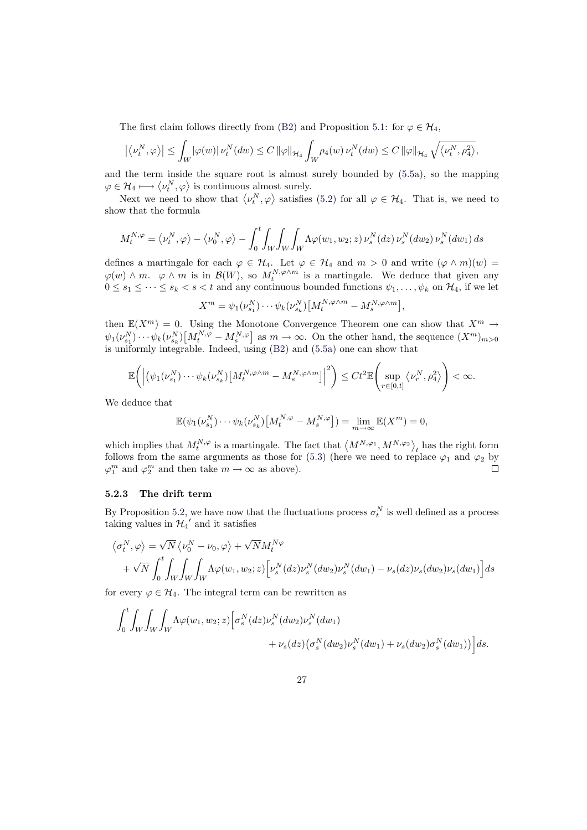The first claim follows directly from (B2) and Proposition 5.1: for  $\varphi \in \mathcal{H}_4$ ,

$$
\left|\left\langle\nu_t^N,\varphi\right\rangle\right|\leq\int_W|\varphi(w)|\,\nu_t^N(dw)\leq C\,\|\varphi\|_{\mathcal{H}_4}\int_W\rho_4(w)\,\nu_t^N(dw)\leq C\,\|\varphi\|_{\mathcal{H}_4}\,\sqrt{\left\langle\nu_t^N,\rho_4^2\right\rangle},
$$

and the term inside the square root is [alm](#page-9-2)ost surely bound[ed b](#page-23-2)y (5.5a), so the mapping and the term inside the square root is almost<br> $\varphi \in \mathcal{H}_4 \longmapsto \langle \nu_t^N, \varphi \rangle$  is continuous almost surely.

Next we need to show that  $\langle \nu_i^N, \varphi \rangle$  satisfies (5.2) for all  $\varphi \in \mathcal{H}_4$ . That is, we need to show that the formula

$$
M_t^{N,\varphi} = \langle \nu_t^N, \varphi \rangle - \langle \nu_0^N, \varphi \rangle - \int_0^t \int_W \int_W \int_W \int_W \Lambda \varphi(w_1, w_2; z) \, \nu_s^N(dz) \, \nu_s^N(dw_2) \, \nu_s^N(dw_1) \, ds
$$

defines a martingale for each  $\varphi \in \mathcal{H}_4$ . Let  $\varphi \in \mathcal{H}_4$  and  $m > 0$  and write  $(\varphi \wedge m)(w) =$  $\varphi(w) \wedge m$ .  $\varphi \wedge m$  is in  $\mathcal{B}(W)$ , so  $M_t^{N,\varphi \wedge m}$  is a martingale. We deduce that given any  $0 \leq s_1 \leq \cdots \leq s_k < s < t$  and any continuous bounded functions  $\psi_1, \ldots, \psi_k$  on  $\mathcal{H}_4$ , if we let

$$
X^m = \psi_1(\nu_{s_1}^N) \cdots \psi_k(\nu_{s_k}^N) \big[ M_t^{N, \varphi \wedge m} - M_s^{N, \varphi \wedge m} \big],
$$

then  $\mathbb{E}(X^m) = 0$ . Using the Monotone Convergence Theorem one can show that  $X^m \to$  $\psi_1(\nu_{s_1}^N)\cdots\psi_k(\nu_{s_k}^N)\left[M_t^{N,\varphi}-M_s^{N,\varphi}\right]$  as  $m\to\infty$ . On the other hand, the sequence  $(X^m)_{m>0}$ is uniformly integrable. Indeed, using (B2) and (5.5a) one can show that

$$
\mathbb{E}\bigg(\Big|\big(\psi_1(\nu^N_{s_1})\cdots \psi_k(\nu^N_{s_k})\big[M^{N,\varphi\wedge m}_t-M^{N,\varphi\wedge m}_s\big]\Big|^2\bigg)\leq Ct^2\mathbb{E}\Bigg(\sup_{r\in[0,t]}\big\langle \nu^N_r,\rho^2_4\big\rangle\Bigg)<\infty.
$$

We deduce that

$$
\mathbb{E}(\psi_1(\nu_{s_1}^N)\cdots\psi_k(\nu_{s_k}^N)[M_t^{N,\varphi}-M_s^{N,\varphi}])=\lim_{m\to\infty}\mathbb{E}(X^m)=0,
$$

which implies that  $M_t^{N,\varphi}$  is a martingale. The fact that  $\langle M^{N,\varphi_1}, M^{N,\varphi_2} \rangle$ has the right form follows from the same arguments as those for (5.3) (here we need to replace  $\varphi_1$  and  $\varphi_2$  by  $\varphi_1^m$  and  $\varphi_2^m$  and then take  $m \to \infty$  as above).  $\Box$ 

#### 5.2.3 The drift term

By Proposition 5.2, we have now that the fluctu[atio](#page-21-1)ns process  $\sigma_t^N$  is well defined as a process taking values in  $\mathcal{H}_{4}'$  and it satisfies

$$
\langle \sigma_t^N, \varphi \rangle = \sqrt{N} \langle \nu_0^N - \nu_0, \varphi \rangle + \sqrt{N} M_t^{N\varphi} + \sqrt{N} \int_0^t \int_W \int_W \int_W \Lambda \varphi(w_1, w_2; z) \Big[ \nu_s^N(dz) \nu_s^N(dw_2) \nu_s^N(dw_1) - \nu_s(dz) \nu_s(dw_2) \nu_s(dw_1 \Big] ds
$$

for every  $\varphi \in \mathcal{H}_4$ . The integral term can be rewritten as

$$
\int_0^t \int_W \int_W \int_W \Lambda \varphi(w_1, w_2; z) \left[ \sigma_s^N(dz) \nu_s^N(dw_2) \nu_s^N(dw_1 \right. \\ \left. + \nu_s(dz) \left( \sigma_s^N(dw_2) \nu_s^N(dw_1 \right) + \nu_s(dw_2) \sigma_s^N(dw_1 \right) \right] ds.
$$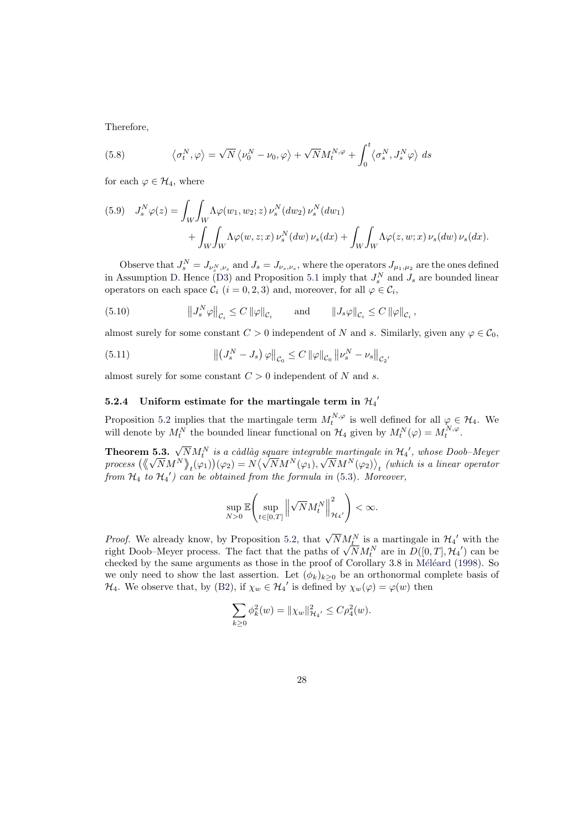Therefore,

(5.8) 
$$
\langle \sigma_t^N, \varphi \rangle = \sqrt{N} \langle \nu_0^N - \nu_0, \varphi \rangle + \sqrt{N} M_t^{N, \varphi} + \int_0^t \langle \sigma_s^N, J_s^N \varphi \rangle ds
$$

for each  $\varphi \in \mathcal{H}_4$ , where

<span id="page-27-1"></span>(5.9) 
$$
J_s^N \varphi(z) = \int_W \int_W \Lambda \varphi(w_1, w_2; z) \nu_s^N(dw_2) \nu_s^N(dw_1)
$$

$$
+ \int_W \int_W \Lambda \varphi(w, z; x) \nu_s^N(dw) \nu_s(dx) + \int_W \int_W \Lambda \varphi(z, w; x) \nu_s(dw) \nu_s(dx).
$$

<span id="page-27-0"></span>Observe that  $J_s^N = J_{\nu_s^N,\nu_s}$  and  $J_s = J_{\nu_s,\nu_s}$ , where the operators  $J_{\mu_1,\mu_2}$  are the ones defined in Assumption D. Hence (D3) and Proposition 5.1 imply that  $J_s^N$  and  $J_s$  are bounded linear operators on each space  $\mathcal{C}_i$   $(i = 0, 2, 3)$  and, moreover, for all  $\varphi \in \mathcal{C}_i$ ,

(5.10) 
$$
\left\|J_s^N\varphi\right\|_{\mathcal{C}_i} \leq C \left\|\varphi\right\|_{\mathcal{C}_i} \quad \text{and} \quad \left\|J_s\varphi\right\|_{\mathcal{C}_i} \leq C \left\|\varphi\right\|_{\mathcal{C}_i},
$$

almost surely f[or](#page-10-0) some co[nsta](#page-11-4)nt  $C > 0$  indepen[den](#page-23-2)t of N and s. Similarly, given any  $\varphi \in \mathcal{C}_0$ ,

<span id="page-27-2"></span>(5.11) 
$$
\left\| \left( J_s^N - J_s \right) \varphi \right\|_{C_0} \leq C \left\| \varphi \right\|_{C_0} \left\| \nu_s^N - \nu_s \right\|_{C_2},
$$

almost surely for some constant  $C > 0$  independent of N and s.

# 5.2.4 Uniform estimate for the martingale term in  $\mathcal{H}_4'$

Proposition 5.2 implies that the martingale term  $M_t^{N,\varphi}$  is well defined for all  $\varphi \in \mathcal{H}_4$ . We will denote by  $M_t^N$  the bounded linear functional on  $\mathcal{H}_4$  given by  $M_t^N(\varphi) = M_t^{N,\varphi}$ .

**Theorem 5.3.**  $\sqrt{N}M_t^N$  is a càdlàg square integrable martingale in  $\mathcal{H}_4'$ , whose Doob-Meyer process  $(\sqrt[N]{N}M^N)_{\star}(\varphi_1)(\varphi_2) = N(\sqrt{N}M^N(\varphi_1), \sqrt{N}M^N(\varphi_2))_{\star}$  (which is a linear operator  $_{t}(\varphi_{1})$  $\mathcal{L}$  $(\varphi_2) = N$  $\langle \sqrt{N} M^N(\varphi_1), \sqrt{N} M^N(\varphi_2) \rangle$  $_{t}$  (which is a linear operator from  $\mathcal{H}_4$  to  $\mathcal{H}_4'$ ) can be obtained from the formula in (5.3). Moreover,

$$
\sup_{N>0}\mathbb{E}\Bigg(\sup_{t\in[0,T]}\Big\|\sqrt{N}M^N_t\Big\|^2_{{\mathcal H}_4'}\Bigg)<\infty.
$$

<span id="page-27-3"></span>*Proof.* We already know, by Proposition 5.2, that  $\sqrt{N}M_{\underline{t}}^N$  is a martingale in  $\mathcal{H}_{4}^{\prime}$  with the *Proof.* We already know, by Proposition 5.2, that  $\sqrt{N}M_t^N$  is a martingale in  $\mathcal{H}_4$  with the right Doob–Meyer process. The fact that the paths of  $\sqrt{N}M_t^N$  are in  $D([0,T], \mathcal{H}_4')$  can be checked by the same arguments as those in the proof of Corollary  $3.8$  in Méléard (1998). So we only need to show the last assertion. Let  $(\phi_k)_{k>0}$  be an orthonormal complete basis of  $\mathcal{H}_4$ . We observe that, by (B2), if  $\chi_w \in \mathcal{H}_4'$  [is](#page-25-0) defined by  $\chi_w(\varphi) = \varphi(w)$  then

$$
\sum_{k\geq 0} \phi_k^2(w) = \|\chi_w\|_{\mathcal{H}_{4'}}^2 \leq C\rho_4^2(w).
$$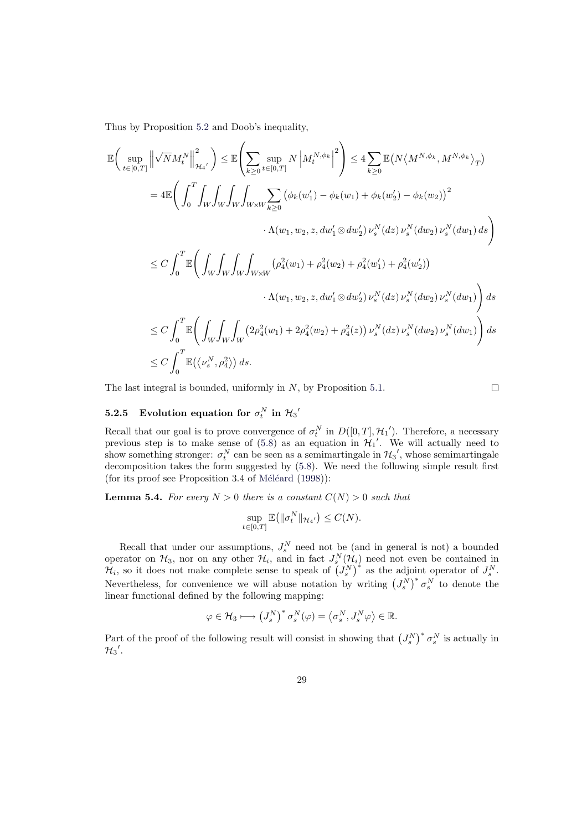Thus by Proposition 5.2 and Doob's inequality,

$$
\mathbb{E}\left(\sup_{t\in[0,T]}\left\|\sqrt{N}M_{t}^{N}\right\|^{2}_{\mathcal{H}_{4'}}\right) \leq \mathbb{E}\left(\sum_{k\geq 0}\sup_{t\in[0,T]}N\left|M_{t}^{N,\phi_{k}}\right|^{2}\right) \leq 4\sum_{k\geq 0}\mathbb{E}\left(N\langle M^{N,\phi_{k}},M^{N,\phi_{k}}\rangle_{T}\right) \n= 4\mathbb{E}\left(\int_{0}^{T}\int_{W}\int_{W}\int_{W}\int_{W\times W}\sum_{k\geq 0}\left(\phi_{k}(w_{1}')-\phi_{k}(w_{1})+\phi_{k}(w_{2}')-\phi_{k}(w_{2})\right)^{2} \right. \n\left.\Lambda(w_{1},w_{2},z,dw_{1}'\otimes dw_{2}')\,\nu_{s}^{N}(dz)\,\nu_{s}^{N}(dw_{2})\,\nu_{s}^{N}(dw_{1})\,ds\right) \n\leq C\int_{0}^{T}\mathbb{E}\left(\int_{W}\int_{W}\int_{W}\int_{W\times W}\left(\rho_{4}^{2}(w_{1})+\rho_{4}^{2}(w_{2})+\rho_{4}^{2}(w_{1}')+\rho_{4}^{2}(w_{2}')\right) \right. \n\left.\Lambda(w_{1},w_{2},z,dw_{1}'\otimes dw_{2}')\,\nu_{s}^{N}(dz)\,\nu_{s}^{N}(dw_{2})\,\nu_{s}^{N}(dw_{1})\right)ds \n\leq C\int_{0}^{T}\mathbb{E}\left(\int_{W}\int_{W}\int_{W}\left(2\rho_{4}^{2}(w_{1})+2\rho_{4}^{2}(w_{2})+\rho_{4}^{2}(z)\right)\nu_{s}^{N}(dz)\,\nu_{s}^{N}(dw_{2})\,\nu_{s}^{N}(dw_{1})\right)ds \n\leq C\int_{0}^{T}\mathbb{E}(\langle\nu_{s}^{N},\rho_{4}^{2}\rangle)ds.
$$

The last integral is bounded, uniformly in N, by Proposition 5.1.

 $\Box$ 

# **5.2.5** Evolution equation for  $\sigma_t^N$  in  $\mathcal{H}_3'$

Recall that our goal is to prove convergence of  $\sigma_t^N$  in  $D([0,T], \mathcal{H}_1')$  $D([0,T], \mathcal{H}_1')$  $D([0,T], \mathcal{H}_1')$ . Therefore, a necessary previous step is to make sense of  $(5.8)$  as an equation in  $\mathcal{H}_1'$ . We will actually need to show something stronger:  $\sigma_t^N$  can be seen as a semimartingale in  $\mathcal{H}_3$ ', whose semimartingale decomposition takes the form suggested by (5.8). We need the following simple result first (for its proof see Proposition 3.4 of Méléard  $(1998)$ ):

**Lemma 5.4.** For every  $N > 0$  ther[e is](#page-27-1) a constant  $C(N) > 0$  such that

$$
\sup_{t\in[0,T]}\mathbb{E}\big(\|\sigma_t^N\|_{\mathcal{H}_{4}}\big)\leq C(N).
$$

<span id="page-28-0"></span>Recall that under our assumptions,  $J_s^N$  need not be (and in general is not) a bounded operator on  $\mathcal{H}_3$ , nor on any other  $\mathcal{H}_i$ , and in fact  $J_s^N(\mathcal{H}_i)$  need not even be contained in operator on  $H_3$ , nor on any other  $H_i$ , and in fact  $J_s^{\sim}$  ( $H_i$ , so it does not make complete sense to speak of  $(J_s^N)$  $(t_i)$  need not even be contained in<br>  $(t_i)^*$  as the adjoint operator of  $J_s^N$ . Nevertheless, for convenience we will abuse notation by writing  $(J_s^N)^* \sigma_s^N$  to denote the linear functional defined by the following mapping:

$$
\varphi \in \mathcal{H}_3 \longmapsto \left(J_s^N\right)^* \sigma_s^N(\varphi) = \left\langle \sigma_s^N,J_s^N\varphi\right\rangle \in \mathbb{R}.
$$

<span id="page-28-1"></span>Part of the proof of the following result will consist in showing that  $(J_s^N)$  $(\sigma_s^N \text{ is actually in})$  $\mathcal{H}_3'$  .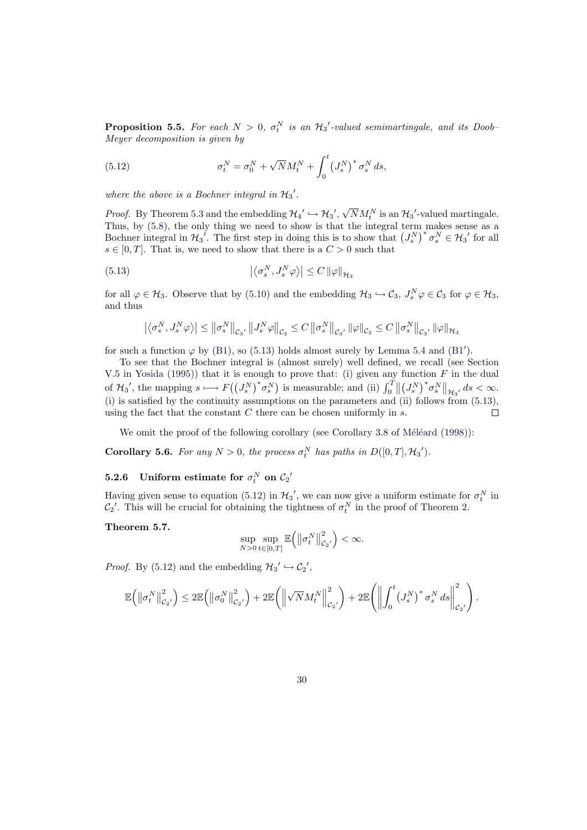**Proposition 5.5.** For each  $N > 0$ ,  $\sigma_t^N$  is an  $\mathcal{H}_3'$ -valued semimartingale, and its Doob-Meyer decomposition is given by

(5.12) 
$$
\sigma_t^N = \sigma_0^N + \sqrt{N} M_t^N + \int_0^t (J_s^N)^* \sigma_s^N ds,
$$

where the above is a Bochner integral in  $\mathcal{H}_3'$ .

<span id="page-29-1"></span>*Proof.* By Theorem 5.3 and the embedding  $\mathcal{H}_4' \hookrightarrow \mathcal{H}_3'$ ,  $\sqrt{N}M_t^N$  is an  $\mathcal{H}_3'$ -valued martingale. Thus, by  $(5.8)$ , the only thing we need to show is that the integral term makes sense as a Thus, by (5.8), the only thing we need to show is that the integral term<br>Bochner integral in  $\mathcal{H}_3'$ . The first step in doing this is to show that  $(J_s^N)$  $\int^* \sigma_s^N \in \mathcal{H}_3'$  for all  $s \in [0, T]$ . That is, we need to show that there is a  $C > 0$  such that

(5.13) 
$$
\left| \left\langle \sigma_s^N, J_s^N \varphi \right\rangle \right| \leq C \left\| \varphi \right\|_{\mathcal{H}_3}
$$

<span id="page-29-0"></span>for all  $\varphi \in \mathcal{H}_3$ . Observe that by (5.10) and the embedding  $\mathcal{H}_3 \hookrightarrow \mathcal{C}_3$ ,  $J_s^N \varphi \in \mathcal{C}_3$  for  $\varphi \in \mathcal{H}_3$ , and thus

$$
\left|\left\langle \sigma_s^N,J_s^N\varphi\right\rangle\right|\leq\left\|\sigma_s^N\right\|_{\mathcal{C}_3},\,\left\|J_s^N\varphi\right\|_{\mathcal{C}_3}\leq C\left\|\sigma_s^N\right\|_{\mathcal{C}_3},\,\left\|\varphi\right\|_{\mathcal{C}_3}\leq C\left\|\sigma_s^N\right\|_{\mathcal{C}_3},\,\left\|\varphi\right\|_{\mathcal{H}_3}
$$

for such a function  $\varphi$  by (B1), so [\(5.13](#page-27-2)) holds almost surely by Lemma 5.4 and (B1').

To see that the Bochner integral is (almost surely) well defined, we recall (see Section V.5 in Yosida (1995)) that it is enough to prove that: (i) given any function  $F$  in the dual of  $\mathcal{H}_3'$ , the mapping  $s \mapsto F((J_s^N))$  $\int^* \! \sigma_s^N$ to prove that. (1) given and<br>) is measurable; and (ii)  $\int_0^T$ ⊔<br>∕ ∥ (  $\big)^* \sigma_s^N$  $\|\mathcal{H}_3\|$  ds  $<\infty$ .  $J_s^N$ (i) is satisfied by the cont[inui](#page-8-0)ty as[sump](#page-29-0)tions on the parameters and (ii) [foll](#page-28-0)ows f[rom](#page-9-0) (5.13), using the fact that the constant  $C$  there can be chosen uniformly in  $s$ . П

We [omit the proo](#page-37-3)f of the following corollary (see Corollary 3.8 of Méléard  $(1998)$ ):

**Corollary 5.6.** For any  $N > 0$ , the process  $\sigma_t^N$  has paths in  $D([0, T], \mathcal{H}_3')$ .

# **5.2.6** Uniform estimate for  $\sigma_t^N$  on  $\mathcal{C}_2'$

Having given sense to equation (5.12) in  $\mathcal{H}_3'$ , we can now give a uniform estimate for  $\sigma_t^N$  in  $\mathcal{C}_2'$ . This will be crucial for obtaining the tightness of  $\sigma_t^N$  in the proof of Theorem 2.

#### Theorem 5.7.

$$
\sup_{N>0}\sup_{t\in[0,T]}\mathbb{E}\left(\left\|\sigma_t^N\right\|_{\mathcal{C}_2}^2\right)<\infty.
$$

<span id="page-29-2"></span>*Proof.* By (5.12) and the embedding  $\mathcal{H}_3' \hookrightarrow \mathcal{C}_2'$ ,

$$
\mathbb{E}\left(\left\|\sigma_t^N\right\|_{\mathcal{C}_2}^2\right) \leq 2 \mathbb{E}\left(\left\|\sigma_0^N\right\|_{\mathcal{C}_2}^2\right) + 2 \mathbb{E}\left(\left\|\sqrt{N}M_t^N\right\|_{\mathcal{C}_2}^2\right) + 2 \mathbb{E}\left(\left\|\int_0^t \left(J_s^N\right)^* \sigma_s^N ds\right\|_{\mathcal{C}_2}^2\right).
$$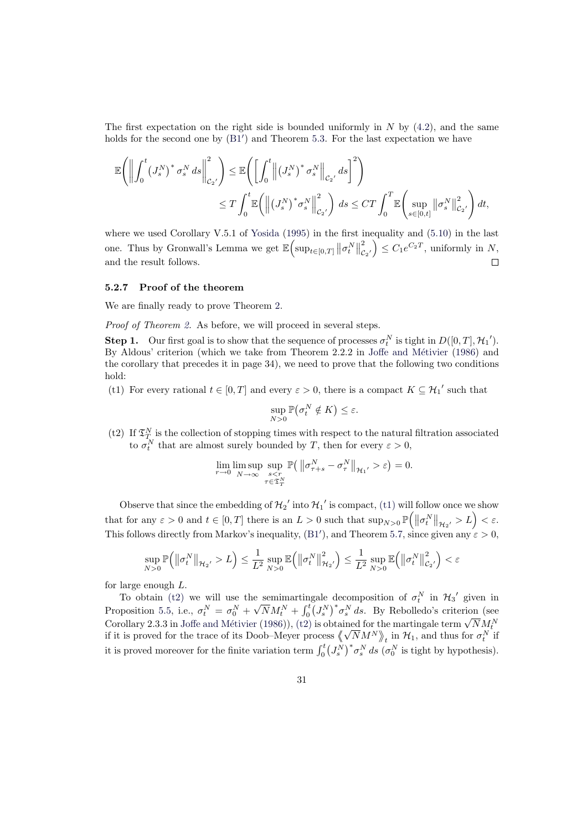The first expectation on the right side is bounded uniformly in N by  $(4.2)$ , and the same holds for the second one by  $(B1')$  and Theorem 5.3. For the last expectation we have

$$
\mathbb{E}\Bigg(\Bigg\|\int_{0}^{t} \left(J_{s}^{N}\right)^{*} \sigma_{s}^{N} ds\Bigg\|_{\mathcal{C}_{2}'}^{2}\Bigg) \leq \mathbb{E}\Bigg(\Bigg[\int_{0}^{t} \Big\|\left(J_{s}^{N}\right)^{*} \sigma_{s}^{N}\Big\|_{\mathcal{C}_{2}'} ds\Bigg]^{2}\Bigg) \leq T \int_{0}^{t} \mathbb{E}\Bigg(\Big\|\left(J_{s}^{N}\right)^{*} \sigma_{s}^{N}\Big\|_{\mathcal{C}_{2}'}^{2}\Bigg) ds \leq CT \int_{0}^{T} \mathbb{E}\Bigg(\sup_{s\in[0,t]} \big\|\sigma_{s}^{N}\big\|_{\mathcal{C}_{2}'}^{2}\Bigg) dt,
$$

where we used Corollary V.5.1 of Yosida  $(1995)$  in the first inequality and  $(5.10)$  in the last  $\|\sigma_t^N\|$  $\frac{1}{\|2}$  $\begin{aligned} \mathcal{L}_{2'}^2 \end{aligned} \big\} \leq C_1 e^{C_2 T},$  uniformly in N, one. Thus by Gronwall's Lemma we get  $\mathbb{E}(\sup_{t\in[0,T]}$ and the result follows.  $\Box$ 

#### 5.2.7 Proof of the theorem

We are finally ready to prove Theorem 2.

Proof of Theorem 2. As before, we will proceed in several steps.

**Step 1.** Our first goal is to show that the sequence of processes  $\sigma_t^N$  is tight in  $D([0, T], \mathcal{H}_1')$ . By Aldous' criterion (which we take fr[om](#page-12-0) Theorem 2.2.2 in Joffe and Métivier (1986) and the corollary that precedes it in page 34), we need to prove that the following two conditions hold:

(t1) For every rational  $t \in [0, T]$  and every  $\varepsilon > 0$ , there is a compact  $K \subseteq \mathcal{H}_{1}'$  such that

$$
\sup_{N>0} \mathbb{P}(\sigma_t^N \notin K) \leq \varepsilon.
$$

<span id="page-30-0"></span>(t2) If  $\mathfrak{T}_T^N$  is the collection of stopping times with respect to the natural filtration associated to  $\sigma_t^N$  that are almost surely bounded by T, then for every  $\varepsilon > 0$ ,

$$
\lim_{r \to 0} \limsup_{N \to \infty} \sup_{\substack{s < r \\ \tau \in \mathfrak{T}_T^N}} \mathbb{P}\left( \left. \left\|\sigma_{\tau+s}^N - \sigma_{\tau}^N \right\|_{\mathcal{H}_1} \right) > \varepsilon \right) = 0.
$$

<span id="page-30-1"></span>Observe that since the embedding of  $\mathcal{H}_2$  into  $\mathcal{H}_1$  is compact, (t1) will follow once we show that for any  $\varepsilon > 0$  and  $t \in [0, T]$  there is an  $L > 0$  such that  $\sup_{N>0} \mathbb{P}(|\sigma_t^N|)$ w once we snow<br>  $\big\|_{\mathcal{H}_2}$ ,  $> L$   $\Big) < \varepsilon$ . This follows directly from Markov's inequality, (B1'), and Theorem 5.7, since given any  $\varepsilon > 0$ ,

$$
\sup_{N>0}\mathbb{P}\Big(\big\|\sigma^N_t\big\|_{\mathcal{H}_2} > L\Big) \leq \frac{1}{L^2}\sup_{N>0}\mathbb{E}\Big(\big\|\sigma^N_t\big\|_{\mathcal{H}_2}^2\Big) \leq \frac{1}{L^2}\sup_{N>0}\mathbb{E}\Big(\big\|\sigma^N_t\big\|_{\mathcal{C}_2}^2\Big) < \varepsilon
$$

for large enough L.

To obtain (t2) we will use the semimartingale decomposition of  $\sigma_t^N$  in  $\mathcal{H}_3'$  given in Proposition 5.5, i.e.,  $\sigma_t^N = \sigma_0^N + \sqrt{N} M_t^N +$  $\frac{1}{t}$  $\int_0^t (J_s^N)^* \sigma_s^N ds$ . By Rebolledo's criterion (see Corollary 2.3.3 in Joffe and Métivier (1986)), (t2) is obtained for the martingale term  $\sqrt{N}M_t^N$ . Coronary 2.3.3 in Jone and Metivier (1986)), (t2) is obtained for the martingale term  $\sqrt{NM_t}$ <br>if it is proved for the trace of its Doob–Meyer process  $\left\langle \sqrt{N}M^N \right\rangle_t$  in  $\mathcal{H}_1$ , and thus for  $\sigma_t^N$  if it is proved n[oreov](#page-30-1)er for the finite variation term  $\int_0^t$ ں<br>،  $J_s^N$  $\int^* \sigma_s^N ds$  ( $\sigma_0^N$  is tight by hypothesis).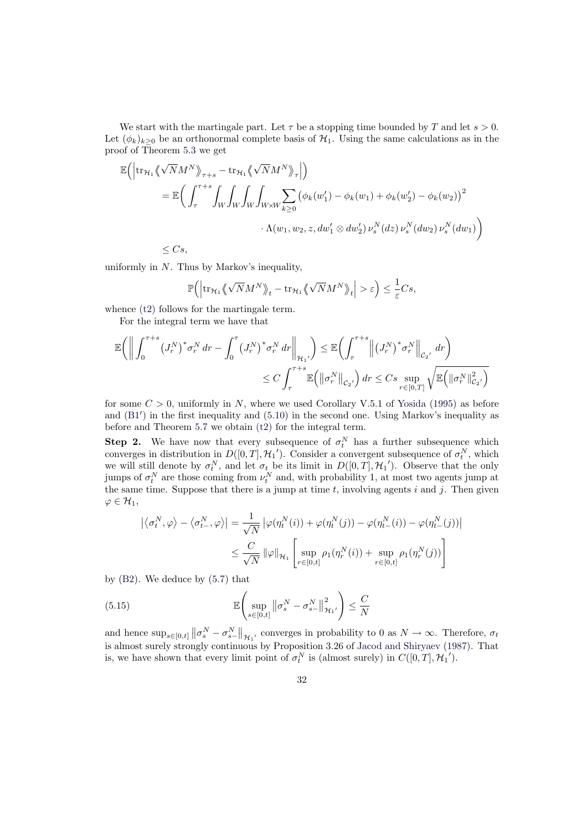We start with the martingale part. Let  $\tau$  be a stopping time bounded by T and let  $s > 0$ . Let  $(\phi_k)_{k>0}$  be an orthonormal complete basis of  $\mathcal{H}_1$ . Using the same calculations as in the proof of Theorem 5.3 we get

$$
\mathbb{E}\Big(\Big|\mathrm{tr}_{\mathcal{H}_1}\Big\langle\!\sqrt{N}M^N\Big\rangle\!\Big|_{\tau+s} - \mathrm{tr}_{\mathcal{H}_1}\Big\langle\!\sqrt{N}M^N\Big\rangle\!\Big|_{\tau}\Big|\Big)\n= \mathbb{E}\Big(\int_{\tau}^{\tau+s}\int_W\int_W\int_W\int_{W\times W}\sum_{k\geq 0}\big(\phi_k(w_1')-\phi_k(w_1)+\phi_k(w_2')-\phi_k(w_2)\big)^2\cdot \Lambda(w_1,w_2,z,dw_1'\otimes dw_2')\,\nu_s^N(dx)\,\nu_s^N(dw_2)\,\nu_s^N(dw_1)\Big)\n\leq Cs,
$$

uniformly in  $N$ . Thus by Markov's inequality,

$$
\mathbb{P}\Big(\Big|\mathrm{tr}_{\mathcal{H}_1}\big\langle\!\!\big\langle\sqrt{N}M^N\big\rangle\!\!\big\rangle_t - \mathrm{tr}_{\mathcal{H}_1}\big\langle\!\!\big\langle\sqrt{N}M^N\big\rangle\!\!\big\rangle_t\Big| > \varepsilon\Big) \leq \frac{1}{\varepsilon}Cs,
$$

whence  $(t2)$  follows for the martingale term.

For the integral term we have that

$$
\mathbb{E}\left(\bigg\|\int_{0}^{\tau+s} (J_r^N)^* \sigma_r^N dr - \int_{0}^{\tau} (J_r^N)^* \sigma_r^N dr \bigg\|_{\mathcal{H}_1}\right) \leq \mathbb{E}\left(\int_{\tau}^{\tau+s} \bigg\| (J_r^N)^* \sigma_r^N \bigg\|_{\mathcal{C}_2}, dr\right)
$$
  

$$
\leq C \int_{\tau}^{\tau+s} \mathbb{E}\left(\big\| \sigma_r^N \big\|_{\mathcal{C}_2}\right) dr \leq C s \sup_{r \in [0,T]} \sqrt{\mathbb{E}\left(\big\| \sigma_r^N \big\|_{\mathcal{C}_2}^2\right)}
$$

for some  $C > 0$ , uniformly in N, where we used Corollary V.5.1 of Yosida (1995) as before and  $(B1')$  in the first inequality and  $(5.10)$  in the second one. Using Markov's inequality as before and Theorem 5.7 we obtain (t2) for the integral term.

**Step 2.** We have now that every subsequence of  $\sigma_t^N$  has a further subsequence which converges in distribution in  $D([0,T], \mathcal{H}_1')$ . Consider a convergent s[ubsequence of](#page-37-3)  $\sigma_t^N$ , which we w[ill st](#page-9-0)ill denote by  $\sigma_t^N$ , and let  $\sigma_t$  [be](#page-27-2) its limit in  $D([0,T], \mathcal{H}_1')$ . Observe that the only jumps of  $\sigma_t^N$  are tho[se co](#page-29-2)ming from  $\nu_t^N$  and, with probability 1, at most two agents jump at the same time. Suppose that there is a jump at time  $t$ , involving agents  $i$  and  $j$ . Then given  $\varphi \in \mathcal{H}_1,$ 

$$
\left| \langle \sigma_t^N, \varphi \rangle - \langle \sigma_{t-}^N, \varphi \rangle \right| = \frac{1}{\sqrt{N}} \left| \varphi(\eta_t^N(i)) + \varphi(\eta_t^N(j)) - \varphi(\eta_{t-}^N(i)) - \varphi(\eta_{t-}^N(j)) \right|
$$
  

$$
\leq \frac{C}{\sqrt{N}} \left\| \varphi \right\|_{\mathcal{H}_1} \left[ \sup_{r \in [0, t]} \rho_1(\eta_r^N(i)) + \sup_{r \in [0, t]} \rho_1(\eta_r^N(j)) \right]
$$

by  $(B2)$ . We deduce by  $(5.7)$  that

(5.15) 
$$
\mathbb{E}\left(\sup_{s\in[0,t]}\left\|\sigma_s^N-\sigma_{s-}^N\right\|_{\mathcal{H}_1'}^2\right)\leq\frac{C}{N}
$$

and [hen](#page-9-2)ce  $\sup_{s\in[0,t]}$  $\|\sigma_s^N - \sigma_{s-}^N\|$  $\big\|_{\mathcal{H}_{1'}}$  converges in probability to 0 as  $N \to \infty$ . Therefore,  $\sigma_t$ is almost surely strongly continuous by Proposition 3.26 of Jacod and Shiryaev (1987). That is, we have shown that every limit point of  $\sigma_t^N$  is (almost surely) in  $C([0,T], \mathcal{H}_1')$ .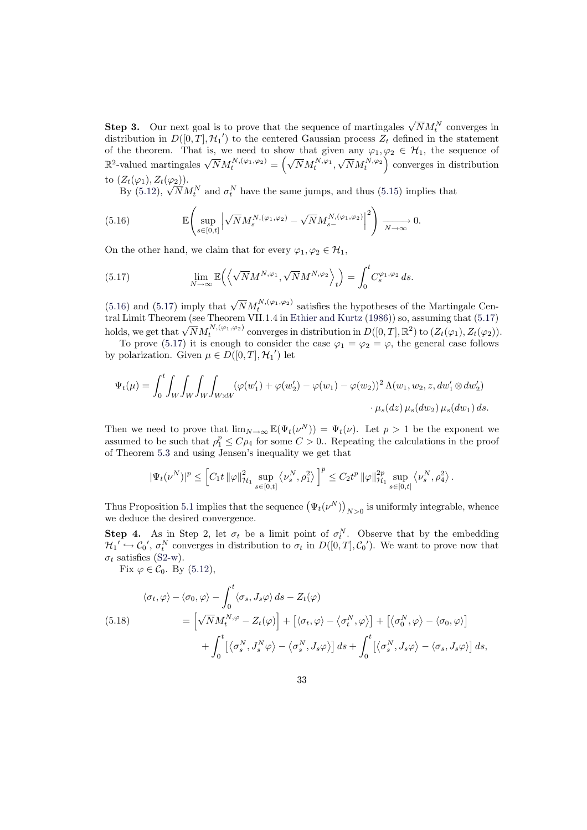**Step 3.** Our next goal is to prove that the sequence of martingales  $\sqrt{N}M_t^N$  converges in distribution in  $D([0, T], \mathcal{H}_1)$  to the centered Gaussian process  $Z_t$  defined in the statement of the theorem. That is, we need to show that given any  $\varphi_1, \varphi_2 \in \mathcal{H}_1$ , the sequence of  $\mathbb{R}^2$ -valued martingales  $\sqrt{N}M_t^{N,(\varphi_1,\varphi_2)}$  = lOW<br>∕  $\overline{N}M_t^{N,\varphi_1},$  $\left(\sqrt{N}M_t^{N,\varphi_2}\right)$  converges in distribution to  $(Z_t(\varphi_1), Z_t(\varphi_2)).$ 

 $Z_t(\varphi_1), Z_t(\varphi_2)$ .<br>By (5.12),  $\sqrt{N}M_t^N$  and  $\sigma_t^N$  have the same jumps, and thus (5.15) implies that

(5.16) 
$$
\mathbb{E}\left(\sup_{s\in[0,t]}\left|\sqrt{N}M_s^{N,(\varphi_1,\varphi_2)}-\sqrt{N}M_{s-}^{N,(\varphi_1,\varphi_2)}\right|^2\right)\xrightarrow[N\to\infty]{}0.
$$

On the other hand, we claim that for every  $\varphi_1, \varphi_2 \in \mathcal{H}_1$ ,

<span id="page-32-0"></span>(5.17) 
$$
\lim_{N \to \infty} \mathbb{E} \left( \left\langle \sqrt{N} M^{N, \varphi_1}, \sqrt{N} M^{N, \varphi_2} \right\rangle_t \right) = \int_0^t C_s^{\varphi_1, \varphi_2} ds.
$$

(5.16) and (5.17) imply that  $\sqrt{N}M_t^{N,(\varphi_1,\varphi_2)}$  satisfies the hypotheses of the Martingale Central Limit Theorem (see Theorem VII.1.4 in Ethier and Kurtz (1986)) so, assuming that (5.17) training that  $(\overline{S}$ . Theorem v1.1.4 in Equiter and Kuttz (1930)) so, assuming that  $(\overline{S}$ .11)<br>holds, we get that  $\sqrt{N}M_t^{N,(\varphi_1,\varphi_2)}$  converges in distribution in  $D([0,T],\mathbb{R}^2)$  to  $(Z_t(\varphi_1), Z_t(\varphi_2)).$ 

<span id="page-32-1"></span>To prove (5.17) it is enough to consider the case  $\varphi_1 = \varphi_2 = \varphi$ , the general case follows [by po](#page-32-0)lariza[tion.](#page-32-1) Given  $\mu \in D([0, T], {\mathcal{H}_1}')$  let

$$
\Psi_t(\mu) = \int_0^t \int_W \int_W \int_W \int_{W \times W} (\varphi(w_1') + \varphi(w_2') - \varphi(w_1) - \varphi(w_2))^2 \Lambda(w_1, w_2, z, dw_1' \otimes dw_2')
$$

$$
\cdot \mu_s(dz) \mu_s(dw_2) \mu_s(dw_1) ds.
$$

Then we need to prove that  $\lim_{N\to\infty} \mathbb{E}(\Psi_t(\nu^N)) = \Psi_t(\nu)$ . Let  $p > 1$  be the exponent we assumed to be such that  $\rho_1^p \leq C \rho_4$  for some  $C > 0$ . Repeating the calculations in the proof of Theorem 5.3 and using Jensen's inequality we get that

$$
|\Psi_t(\nu^N)|^p \leq \left[ C_1 t \left\| \varphi \right\|^2_{\mathcal{H}_1} \sup_{s \in [0,t]} \left\langle \nu_s^N , \rho_1^2 \right\rangle \right]^p \leq C_2 t^p \left\| \varphi \right\|^2_{\mathcal{H}_1} \sup_{s \in [0,t]} \left\langle \nu_s^N , \rho_4^2 \right\rangle
$$

.

Thus Propo[sitio](#page-27-3)n 5.1 implies that the sequence  $(\Psi_t(\nu^N))$  $N>0$  is uniformly integrable, whence we deduce the desired convergence.

**Step 4.** As in Step 2, let  $\sigma_t$  be a limit point of  $\sigma_t^N$ . Observe that by the embedding  $\mathcal{H}_1' \hookrightarrow \mathcal{C}_0', \sigma_t^N$  converges in distribution to  $\sigma_t$  in  $D([0,T], \mathcal{C}_0')$ . We want to prove now that  $\sigma_t$  satisfies (S2-w[\).](#page-23-2)

Fix  $\varphi \in \mathcal{C}_0$ . By (5.12),

<span id="page-32-2"></span>(5.18)  
\n
$$
\langle \sigma_t, \varphi \rangle - \langle \sigma_0, \varphi \rangle - \int_0^t \langle \sigma_s, J_s \varphi \rangle ds - Z_t(\varphi)
$$
\n
$$
= \left[ \sqrt{N} M_t^{N, \varphi} - Z_t(\varphi) \right] + \left[ \langle \sigma_t, \varphi \rangle - \langle \sigma_t^N, \varphi \rangle \right] + \left[ \langle \sigma_0^N, \varphi \rangle - \langle \sigma_0, \varphi \rangle \right]
$$
\n
$$
+ \int_0^t \left[ \langle \sigma_s^N, J_s^N \varphi \rangle - \langle \sigma_s^N, J_s \varphi \rangle \right] ds + \int_0^t \left[ \langle \sigma_s^N, J_s \varphi \rangle - \langle \sigma_s, J_s \varphi \rangle \right] ds,
$$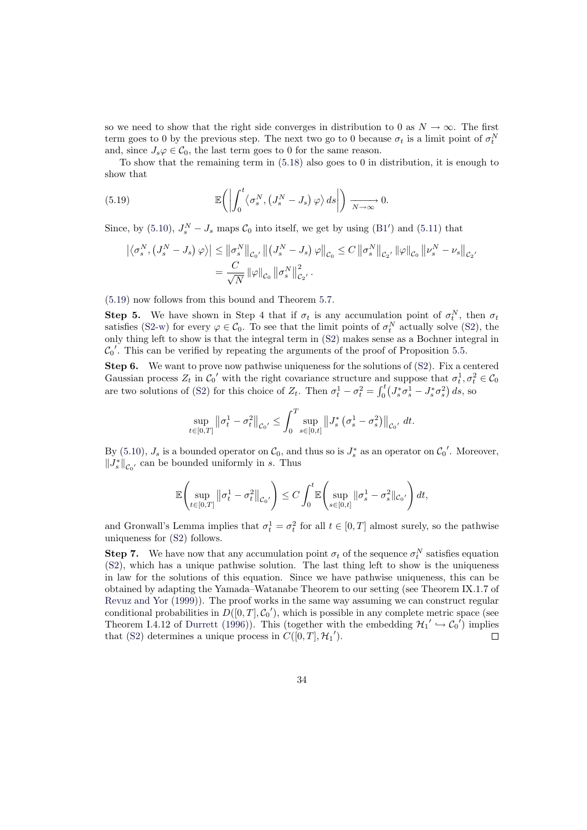so we need to show that the right side converges in distribution to 0 as  $N \to \infty$ . The first term goes to 0 by the previous step. The next two go to 0 because  $\sigma_t$  is a limit point of  $\sigma_t^N$ and, since  $J_s\varphi \in \mathcal{C}_0$ , the last term goes to 0 for the same reason.

To show that the remaining term in (5.18) also goes to 0 in distribution, it is enough to show that

(5.19) 
$$
\mathbb{E}\left(\left|\int_0^t \langle \sigma_s^N, \left(J_s^N-J_s\right) \varphi \rangle ds \right|\right) \xrightarrow[N \to \infty]{} 0.
$$

<span id="page-33-0"></span>Since, by (5.10),  $J_s^N - J_s$  maps  $\mathcal{C}_0$  into itself, we get by using (B1') and (5.11) that

$$
\left| \left\langle \sigma_s^N, \left( J_s^N - J_s \right) \varphi \right\rangle \right| \le \left\| \sigma_s^N \right\|_{\mathcal{C}_0}, \left\| \left( J_s^N - J_s \right) \varphi \right\|_{\mathcal{C}_0} \le C \left\| \sigma_s^N \right\|_{\mathcal{C}_2}, \left\| \varphi \right\|_{\mathcal{C}_0} \left\| \nu_s^N - \nu_s \right\|_{\mathcal{C}_2},
$$
  

$$
= \frac{C}{\sqrt{N}} \left\| \varphi \right\|_{\mathcal{C}_0} \left\| \sigma_s^N \right\|_{\mathcal{C}_2}^2.
$$

(5.19) now follows from this bound and Theorem 5.7.

**Step 5.** We have shown in Step 4 that if  $\sigma_t$  is any accumulation point of  $\sigma_t^N$ , then  $\sigma_t$ satisfies (S2-w) for every  $\varphi \in \mathcal{C}_0$ . To see that the limit points of  $\sigma_t^N$  actually solve (S2), the only thing left to show is that the integral term in (S2) makes sense as a Bochner integral in  $\mathcal{C}_0'$ [. T](#page-33-0)his can be verified by repeating the argume[nts](#page-29-2) of the proof of Proposition 5.5.

Step 6. We want to prove now pathwise uniqueness for the solutions of (S2). Fix a centered Gaussian [proce](#page-13-2)ss  $Z_t$  in  $C_0'$  with the right covariance structure and suppose that  $\sigma_t^1, \sigma_t^2 \in C_0$ are two solutions of (S2) for this choice of  $Z_t$ . Then  $\sigma_t^1 - \sigma_t^2 =$  $\frac{\mathrm{d} \Pi}{\mathrm{d} t}$  $\int_0^t \left( J_s^* \sigma_s^1 - J_s^* \sigma_s^2 \right) ds$  $\int_0^t \left( J_s^* \sigma_s^1 - J_s^* \sigma_s^2 \right) ds$ , so

$$
\sup_{t \in [0,T]} \left\| \sigma_t^1 - \sigma_t^2 \right\|_{\mathcal{C}_0'} \le \int_0^T \sup_{s \in [0,t]} \left\| J_s^* \left( \sigma_s^1 - \sigma_s^2 \right) \right\|_{\mathcal{C}_0'} dt.
$$

By (5.10),  $J_s$  is a bounded operator on  $\mathcal{C}_0$ , and thus so is  $J_s^*$  as an operator on  $\mathcal{C}_0'$ . Moreover,  $||J_s^*||_{\mathcal{C}_0}$  can be bounded uniformly in s. Thus

$$
\mathbb{E}\Biggl(\sup_{t\in[0,T]}\big\|\sigma^1_t-\sigma^2_t\big\|_{\mathcal{C}_0}\bigg)\leq C\int_0^t\mathbb{E}\Biggl(\sup_{s\in[0,t]}\|\sigma^1_s-\sigma^2_s\|_{\mathcal{C}_0}\bigg)\,dt,
$$

and Gronwall's Lemma implies that  $\sigma_t^1 = \sigma_t^2$  for all  $t \in [0, T]$  almost surely, so the pathwise uniqueness for (S2) follows.

**Step 7.** We have now that any accumulation point  $\sigma_t$  of the sequence  $\sigma_t^N$  satisfies equation (S2), which has a unique pathwise solution. The last thing left to show is the uniqueness in law for the solutions of this equation. Since we have pathwise uniqueness, this can be obtained by ad[apti](#page-12-1)ng the Yamada–Watanabe Theorem to our setting (see Theorem IX.1.7 of Revuz and Yor (1999)). The proof works in the same way assuming we can construct regular [cond](#page-12-1)itional probabilities in  $D([0,T], \mathcal{C}_0')$ , which is possible in any complete metric space (see Theorem I.4.12 of Durrett (1996)). This (together with the embedding  $\mathcal{H}_1' \hookrightarrow \mathcal{C}_0'$ ) implies that (S2) determines a unique process in  $C([0, T], \mathcal{H}_1')$ .  $\Box$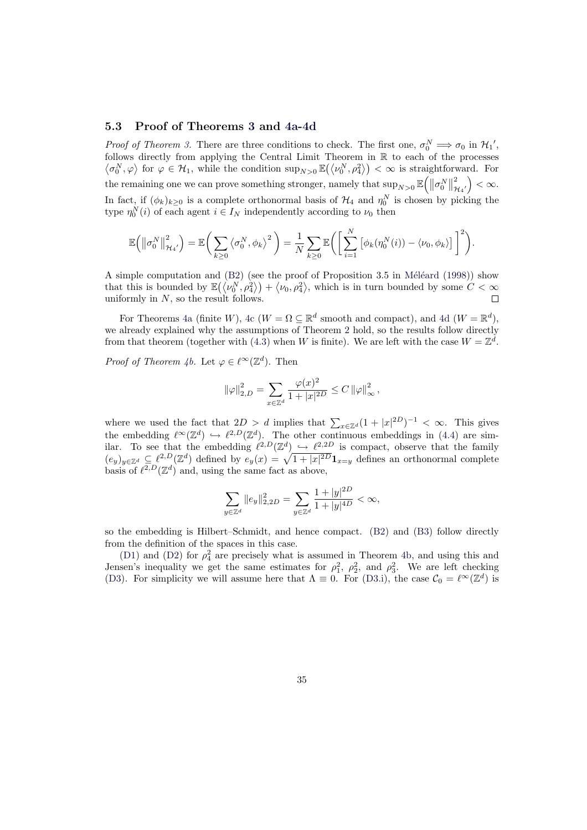### 5.3 Proof of Theorems 3 and 4a-4d

*Proof of Theorem 3.* There are three conditions to check. The first one,  $\sigma_0^N \implies \sigma_0$  in  $\mathcal{H}_1'$ , follows directly from applying the Central Limit Theorem in  $\mathbb{R}$  to each of the processes blows directly from applying the Central Limit Theorem in  $\mathbb{R}$  to each of the processes  $\sigma_0^N$ ,  $\varphi$  for  $\varphi \in \mathcal{H}_1$ , while the c[on](#page-13-3)dition  $\sup_{N>0} \mathbb{E}(\langle \nu_0^N, \rho_4^2 \rangle) < \infty$  $\sup_{N>0} \mathbb{E}(\langle \nu_0^N, \rho_4^2 \rangle) < \infty$  $\sup_{N>0} \mathbb{E}(\langle \nu_0^N, \rho_4^2 \rangle) < \infty$  is straightforward. For the remaining one we can prove something stronger, namely that  $\sup_{N>0} \mathbb{E}\left( \left\| \sigma_0^N \right\| \right)$  $\frac{1}{\parallel}$ <sup>2</sup>  $\left(\begin{smallmatrix} 2 & \ A_{4\, \prime} \end{smallmatrix}\right) < \infty.$ In fact, [i](#page-13-3)f  $(\phi_k)_{k\geq 0}$  is a complete orthonormal basis of  $\mathcal{H}_4$  and  $\eta_0^N$  is chosen by picking the type  $\eta_0^N(i)$  of each agent  $i \in I_N$  independently according to  $\nu_0$  then

$$
\mathbb{E}\left(\left\|\sigma_0^N\right\|_{\mathcal{H}_4'}^2\right) = \mathbb{E}\bigg(\sum_{k\geq 0} \left\langle \sigma_0^N, \phi_k\right\rangle^2\bigg) = \frac{1}{N} \sum_{k\geq 0} \mathbb{E}\bigg(\bigg[\sum_{i=1}^N \left[\phi_k(\eta_0^N(i)) - \langle \nu_0, \phi_k \rangle\right]\bigg]^2\bigg).
$$

A simple computation and  $(B2)$  (see the proof of Proposition 3.5 in Méléard (1998)) show A simple computation and  $(B_2)$  (see the proof of Proposition 3.5 in Meleard (1998)) show<br>that this is bounded by  $\mathbb{E}(\langle \nu_0^N, \rho_4^2 \rangle + \langle \nu_0, \rho_4^2 \rangle$ , which is in turn bounded by some  $C < \infty$ uniformly in  $N$ , so the result follows.  $\Box$ 

For Theorems 4a (finite W), 4c ( $W = \Omega \subseteq \mathbb{R}^d$  smooth and compa[ct\), and](#page-37-1) 4d ( $W = \mathbb{R}^d$ ), we already explained why t[he as](#page-9-2)sumptions of Theorem 2 hold, so the results fo[llow d](#page-37-1)irectly from that theorem (together with (4.3) when W is finite). We are left with the case  $W = \mathbb{Z}^d$ .

*Proof of Theorem [4b.](#page-14-0)* Let  $\varphi \in \ell^{\infty}(\mathbb{Z}^d)$  $\varphi \in \ell^{\infty}(\mathbb{Z}^d)$  $\varphi \in \ell^{\infty}(\mathbb{Z}^d)$ . Then

$$
\|\varphi\|_{2,D}^2=\sum_{x\in\mathbb{Z}^d}\frac{\varphi(x)^2}{1+|x|^{2D}}\leq C\left\|\varphi\right\|_\infty^2,
$$

where we used the fact that  $2D > d$  implies that  $\sum_{x \in \mathbb{Z}^d} (1 + |x|^{2D})^{-1} < \infty$ . This gives the embedding  $\ell^{\infty}(\mathbb{Z}^d) \hookrightarrow \ell^{2,D}(\mathbb{Z}^d)$ . The other continuous embeddings in (4.4) are similar. To see that the embedding  $\ell^{2,D}(\mathbb{Z}^d) \hookrightarrow \ell^{2,2D}$  is compact, observe that the family duar. To see that the embedding  $\ell^{2,\infty}(\mathbb{Z}^d) \hookrightarrow \ell^{2,\infty}$  is compact, observe that the family  $(e_y)_{y\in\mathbb{Z}^d} \subseteq \ell^{2,D}(\mathbb{Z}^d)$  defined by  $e_y(x) = \sqrt{1+|x|^{2D}} \mathbf{1}_{x=y}$  defines an orthonormal complete basis of  $\ell^{2,D}(\mathbb{Z}^d)$  and, using the same fact as above,

$$
\sum_{y\in\mathbb{Z}^d}\|e_y\|_{2,2D}^2=\sum_{y\in\mathbb{Z}^d}\frac{1+|y|^{2D}}{1+|y|^{4D}}<\infty,
$$

so the embedding is Hilbert–Schmidt, and hence compact. (B2) and (B3) follow directly from the definition of the spaces in this case.

(D1) and (D2) for  $\rho_4^2$  are precisely what is assumed in Theorem 4b, and using this and Jensen's inequality we get the same estimates for  $\rho_1^2$ ,  $\rho_2^2$ , and  $\rho_3^2$ . We are left checking (D3). For simplicity we will assume here that  $\Lambda \equiv 0$ . For ([D3.i\)](#page-9-2), the c[ase](#page-9-1)  $C_0 = \ell^{\infty}(\mathbb{Z}^d)$  is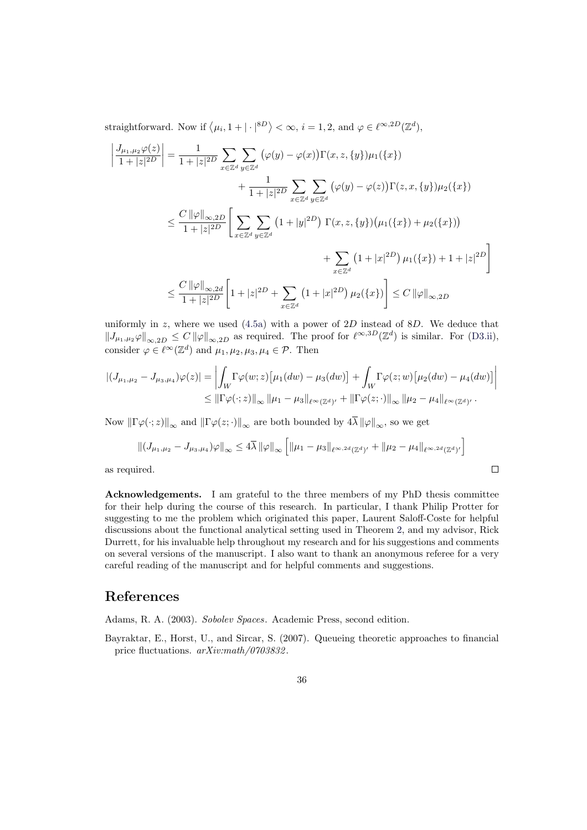straightforward. Now if  $\langle \mu_i, 1 + | \cdot |^{8D} \rangle < \infty$ ,  $i = 1, 2$ , and  $\varphi \in \ell^{\infty, 2D}(\mathbb{Z}^d)$ ,

$$
\left| \frac{J_{\mu_1,\mu_2}\varphi(z)}{1+|z|^{2D}} \right| = \frac{1}{1+|z|^{2D}} \sum_{x \in \mathbb{Z}^d} \sum_{y \in \mathbb{Z}^d} (\varphi(y) - \varphi(x)) \Gamma(x, z, \{y\}) \mu_1(\{x\}) \n+ \frac{1}{1+|z|^{2D}} \sum_{x \in \mathbb{Z}^d} \sum_{y \in \mathbb{Z}^d} (\varphi(y) - \varphi(z)) \Gamma(z, x, \{y\}) \mu_2(\{x\}) \n\leq \frac{C \|\varphi\|_{\infty, 2D}}{1+|z|^{2D}} \left[ \sum_{x \in \mathbb{Z}^d} \sum_{y \in \mathbb{Z}^d} (1+|y|^{2D}) \Gamma(x, z, \{y\}) (\mu_1(\{x\}) + \mu_2(\{x\})) \right. \n+ \sum_{x \in \mathbb{Z}^d} (1+|x|^{2D}) \mu_1(\{x\}) + 1 + |z|^{2D} \right] \n\leq \frac{C \|\varphi\|_{\infty, 2d}}{1+|z|^{2D}} \left[ 1 + |z|^{2D} + \sum_{x \in \mathbb{Z}^d} (1+|x|^{2D}) \mu_2(\{x\}) \right] \leq C \|\varphi\|_{\infty, 2D}
$$

uniformly in z, where we used  $(4.5a)$  with a power of 2D instead of 8D. We deduce that  $||J_{\mu_1,\mu_2} \varphi||_{\infty,2D} \leq C ||\varphi||_{\infty,2D}$  as required. The proof for  $\ell^{\infty,3D}(\mathbb{Z}^d)$  is similar. For (D3.ii), consider  $\varphi \in \ell^{\infty}(\mathbb{Z}^d)$  and  $\mu_1, \mu_2, \mu_3, \mu_4 \in \mathcal{P}$ . Then

$$
|(J_{\mu_1,\mu_2} - J_{\mu_3,\mu_4})\varphi(z)| = \left| \int_W \Gamma \varphi(w; z) \left[ \mu_1(dw) - \mu_3(dw) \right] + \int_W \Gamma \varphi(z; w) \left[ \mu_2(dw) - \mu_4(dw) \right] \right|
$$
  
 
$$
\leq ||\Gamma \varphi(\cdot; z)||_{\infty} ||\mu_1 - \mu_3||_{\ell^{\infty}(\mathbb{Z}^d)'} + ||\Gamma \varphi(z; \cdot)||_{\infty} ||\mu_2 - \mu_4||_{\ell^{\infty}(\mathbb{Z}^d)'}.
$$

Now  $\|\Gamma \varphi(\cdot; z)\|_{\infty}$  and  $\|\Gamma \varphi(z; \cdot)\|_{\infty}$  are both bounded by  $4\overline{\lambda} \|\varphi\|_{\infty}$ , so we get

$$
\left\| (J_{\mu_1,\mu_2} - J_{\mu_3,\mu_4})\varphi \right\|_{\infty} \le 4\overline{\lambda} \left\| \varphi \right\|_{\infty} \left[ \left\| \mu_1 - \mu_3 \right\|_{\ell^{\infty,2d}(\mathbb{Z}^d)'} + \left\| \mu_2 - \mu_4 \right\|_{\ell^{\infty,2d}(\mathbb{Z}^d)'} \right]
$$
  
ired.

as required.

Acknowledgements. I am grateful to the three members of my PhD thesis committee for their help during the course of this research. In particular, I thank Philip Protter for suggesting to me the problem which originated this paper, Laurent Saloff-Coste for helpful discussions about the functional analytical setting used in Theorem 2, and my advisor, Rick Durrett, for his invaluable help throughout my research and for his suggestions and comments on several versions of the manuscript. I also want to thank an anonymous referee for a very careful reading of the manuscript and for helpful comments and suggestions.

# References

Adams, R. A. (2003). Sobolev Spaces. Academic Press, second edition.

<span id="page-35-1"></span><span id="page-35-0"></span>Bayraktar, E., Horst, U., and Sircar, S. (2007). Queueing theoretic approaches to financial price fluctuations.  $arXiv.math/0703832$ .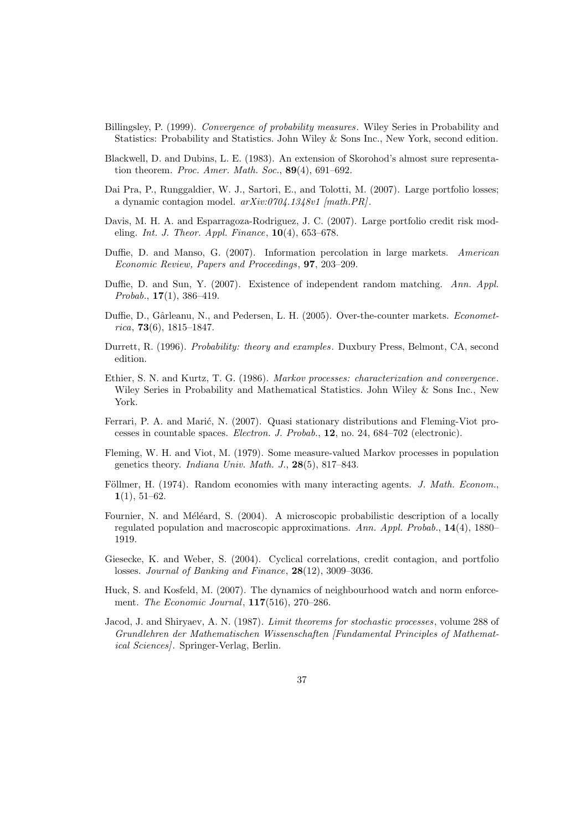- <span id="page-36-9"></span>Billingsley, P. (1999). Convergence of probability measures. Wiley Series in Probability and Statistics: Probability and Statistics. John Wiley & Sons Inc., New York, second edition.
- <span id="page-36-12"></span>Blackwell, D. and Dubins, L. E. (1983). An extension of Skorohod's almost sure representation theorem. Proc. Amer. Math. Soc.,  $89(4)$ , 691–692.
- <span id="page-36-3"></span>Dai Pra, P., Runggaldier, W. J., Sartori, E., and Tolotti, M. (2007). Large portfolio losses; a dynamic contagion model. arXiv:0704.1348v1 [math.PR].
- <span id="page-36-4"></span>Davis, M. H. A. and Esparragoza-Rodriguez, J. C. (2007). Large portfolio credit risk modeling. Int. J. Theor. Appl. Finance,  $10(4)$ , 653–678.
- <span id="page-36-10"></span>Duffie, D. and Manso, G. (2007). Information percolation in large markets. American Economic Review, Papers and Proceedings, 97, 203–209.
- <span id="page-36-5"></span>Duffie, D. and Sun, Y. (2007). Existence of independent random matching. Ann. Appl. Probab.,  $17(1)$ , 386-419.
- <span id="page-36-7"></span>Duffie, D., Gârleanu, N., and Pedersen, L. H. (2005). Over-the-counter markets. *Economet* $rica, 73(6), 1815-1847.$
- Durrett, R. (1996). Probability: theory and examples. Duxbury Press, Belmont, CA, second edition.
- <span id="page-36-8"></span>Ethier, S. N. and Kurtz, T. G. (1986). Markov processes: characterization and convergence. Wiley Series in Probability and Mathematical Statistics. John Wiley & Sons Inc., New York.
- <span id="page-36-11"></span>Ferrari, P. A. and Marić, N. (2007). Quasi stationary distributions and Fleming-Viot processes in countable spaces. Electron. J. Probab., 12, no. 24, 684–702 (electronic).
- Fleming, W. H. and Viot, M. (1979). Some measure-valued Markov processes in population genetics theory. Indiana Univ. Math. J., 28(5), 817–843.
- <span id="page-36-0"></span>Föllmer, H. (1974). Random economies with many interacting agents. J. Math. Econom.,  $1(1), 51-62.$
- <span id="page-36-6"></span>Fournier, N. and Méléard, S. (2004). A microscopic probabilistic description of a locally regulated population and macroscopic approximations. Ann. Appl. Probab., 14(4), 1880– 1919.
- <span id="page-36-1"></span>Giesecke, K. and Weber, S. (2004). Cyclical correlations, credit contagion, and portfolio losses. Journal of Banking and Finance, 28(12), 3009–3036.
- <span id="page-36-2"></span>Huck, S. and Kosfeld, M. (2007). The dynamics of neighbourhood watch and norm enforcement. The Economic Journal, 117(516), 270–286.
- Jacod, J. and Shiryaev, A. N. (1987). Limit theorems for stochastic processes, volume 288 of Grundlehren der Mathematischen Wissenschaften [Fundamental Principles of Mathematical Sciences]. Springer-Verlag, Berlin.